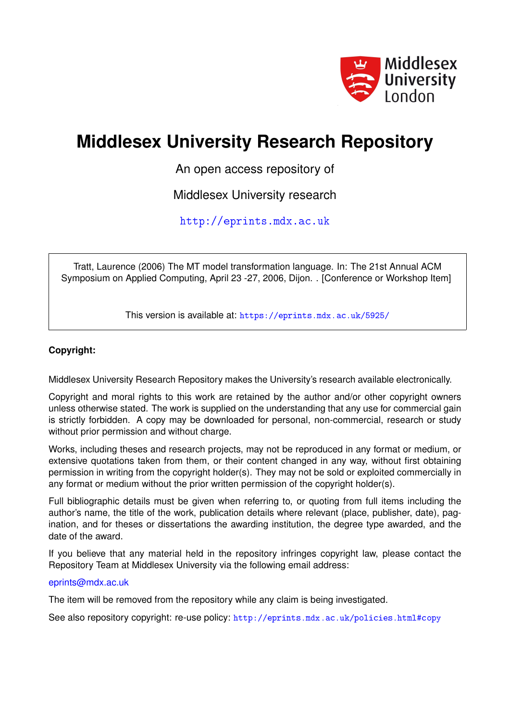

# **Middlesex University Research Repository**

An open access repository of

Middlesex University research

<http://eprints.mdx.ac.uk>

Tratt, Laurence (2006) The MT model transformation language. In: The 21st Annual ACM Symposium on Applied Computing, April 23 -27, 2006, Dijon. . [Conference or Workshop Item]

This version is available at: <https://eprints.mdx.ac.uk/5925/>

# **Copyright:**

Middlesex University Research Repository makes the University's research available electronically.

Copyright and moral rights to this work are retained by the author and/or other copyright owners unless otherwise stated. The work is supplied on the understanding that any use for commercial gain is strictly forbidden. A copy may be downloaded for personal, non-commercial, research or study without prior permission and without charge.

Works, including theses and research projects, may not be reproduced in any format or medium, or extensive quotations taken from them, or their content changed in any way, without first obtaining permission in writing from the copyright holder(s). They may not be sold or exploited commercially in any format or medium without the prior written permission of the copyright holder(s).

Full bibliographic details must be given when referring to, or quoting from full items including the author's name, the title of the work, publication details where relevant (place, publisher, date), pagination, and for theses or dissertations the awarding institution, the degree type awarded, and the date of the award.

If you believe that any material held in the repository infringes copyright law, please contact the Repository Team at Middlesex University via the following email address:

# [eprints@mdx.ac.uk](mailto:eprints@mdx.ac.uk)

The item will be removed from the repository while any claim is being investigated.

See also repository copyright: re-use policy: <http://eprints.mdx.ac.uk/policies.html#copy>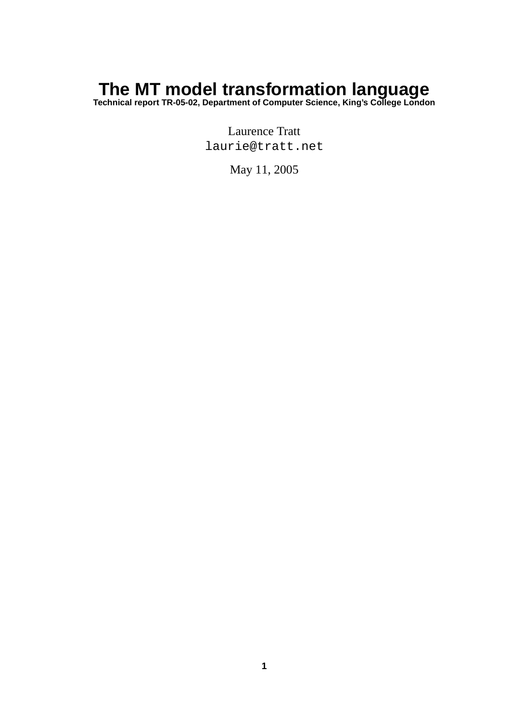# **The MT model transformation language**

**Technical report TR-05-02, Department of Computer Science, King's College London**

Laurence Tratt laurie@tratt.net

May 11, 2005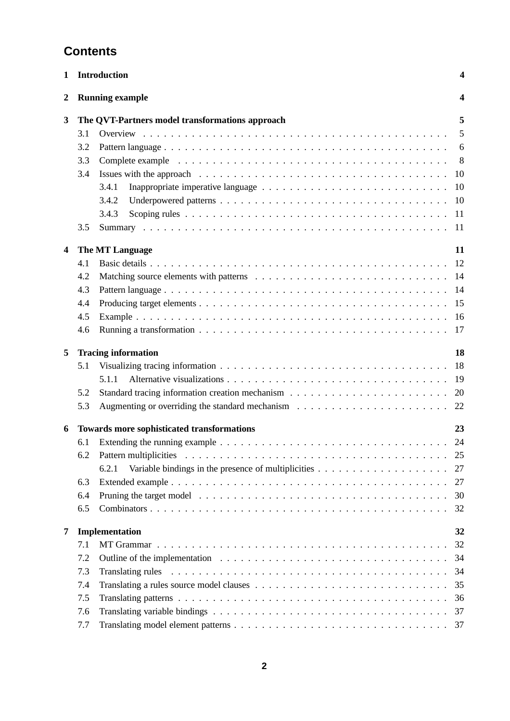# **Contents**

| <b>Running example</b><br>4<br>2<br>The QVT-Partners model transformations approach<br>5<br>3<br>5<br>3.1<br>3.2<br>6<br>3.3<br>$8^{\circ}$<br>3.4<br>10<br>3.4.1<br>10<br>3.4.2<br>3.4.3<br>-11<br>3.5<br><sup>11</sup><br>The MT Language<br>11<br>4<br>12<br>4.1<br>4.2<br>-14<br>4.3<br>14<br>15<br>4.4<br>4.5<br><sup>16</sup><br>4.6<br>17<br><b>Tracing information</b><br>18<br>5<br>18<br>5.1<br>5.1.1<br>-19<br>5.2<br>20<br>5.3<br>Augmenting or overriding the standard mechanism $\ldots \ldots \ldots \ldots \ldots \ldots \ldots \ldots$ 22<br>Towards more sophisticated transformations<br>23<br>6<br>24<br>6.1<br>25<br>6.2<br>6.2.1<br>Variable bindings in the presence of multiplicities $\dots \dots \dots \dots \dots \dots \dots$<br>27<br>6.3<br>27<br>6.4<br>30<br>6.5<br>32<br>Implementation<br>32<br>7<br>32<br>7.1<br>7.2<br>34<br>7.3<br>34<br>35<br>7.4<br>7.5<br>36<br>7.6<br>37<br>7.7<br>37 | 1 | <b>Introduction</b><br>4 |  |  |  |  |
|--------------------------------------------------------------------------------------------------------------------------------------------------------------------------------------------------------------------------------------------------------------------------------------------------------------------------------------------------------------------------------------------------------------------------------------------------------------------------------------------------------------------------------------------------------------------------------------------------------------------------------------------------------------------------------------------------------------------------------------------------------------------------------------------------------------------------------------------------------------------------------------------------------------------------------|---|--------------------------|--|--|--|--|
|                                                                                                                                                                                                                                                                                                                                                                                                                                                                                                                                                                                                                                                                                                                                                                                                                                                                                                                                |   |                          |  |  |  |  |
|                                                                                                                                                                                                                                                                                                                                                                                                                                                                                                                                                                                                                                                                                                                                                                                                                                                                                                                                |   |                          |  |  |  |  |
|                                                                                                                                                                                                                                                                                                                                                                                                                                                                                                                                                                                                                                                                                                                                                                                                                                                                                                                                |   |                          |  |  |  |  |
|                                                                                                                                                                                                                                                                                                                                                                                                                                                                                                                                                                                                                                                                                                                                                                                                                                                                                                                                |   |                          |  |  |  |  |
|                                                                                                                                                                                                                                                                                                                                                                                                                                                                                                                                                                                                                                                                                                                                                                                                                                                                                                                                |   |                          |  |  |  |  |
|                                                                                                                                                                                                                                                                                                                                                                                                                                                                                                                                                                                                                                                                                                                                                                                                                                                                                                                                |   |                          |  |  |  |  |
|                                                                                                                                                                                                                                                                                                                                                                                                                                                                                                                                                                                                                                                                                                                                                                                                                                                                                                                                |   |                          |  |  |  |  |
|                                                                                                                                                                                                                                                                                                                                                                                                                                                                                                                                                                                                                                                                                                                                                                                                                                                                                                                                |   |                          |  |  |  |  |
|                                                                                                                                                                                                                                                                                                                                                                                                                                                                                                                                                                                                                                                                                                                                                                                                                                                                                                                                |   |                          |  |  |  |  |
|                                                                                                                                                                                                                                                                                                                                                                                                                                                                                                                                                                                                                                                                                                                                                                                                                                                                                                                                |   |                          |  |  |  |  |
|                                                                                                                                                                                                                                                                                                                                                                                                                                                                                                                                                                                                                                                                                                                                                                                                                                                                                                                                |   |                          |  |  |  |  |
|                                                                                                                                                                                                                                                                                                                                                                                                                                                                                                                                                                                                                                                                                                                                                                                                                                                                                                                                |   |                          |  |  |  |  |
|                                                                                                                                                                                                                                                                                                                                                                                                                                                                                                                                                                                                                                                                                                                                                                                                                                                                                                                                |   |                          |  |  |  |  |
|                                                                                                                                                                                                                                                                                                                                                                                                                                                                                                                                                                                                                                                                                                                                                                                                                                                                                                                                |   |                          |  |  |  |  |
|                                                                                                                                                                                                                                                                                                                                                                                                                                                                                                                                                                                                                                                                                                                                                                                                                                                                                                                                |   |                          |  |  |  |  |
|                                                                                                                                                                                                                                                                                                                                                                                                                                                                                                                                                                                                                                                                                                                                                                                                                                                                                                                                |   |                          |  |  |  |  |
|                                                                                                                                                                                                                                                                                                                                                                                                                                                                                                                                                                                                                                                                                                                                                                                                                                                                                                                                |   |                          |  |  |  |  |
|                                                                                                                                                                                                                                                                                                                                                                                                                                                                                                                                                                                                                                                                                                                                                                                                                                                                                                                                |   |                          |  |  |  |  |
|                                                                                                                                                                                                                                                                                                                                                                                                                                                                                                                                                                                                                                                                                                                                                                                                                                                                                                                                |   |                          |  |  |  |  |
|                                                                                                                                                                                                                                                                                                                                                                                                                                                                                                                                                                                                                                                                                                                                                                                                                                                                                                                                |   |                          |  |  |  |  |
|                                                                                                                                                                                                                                                                                                                                                                                                                                                                                                                                                                                                                                                                                                                                                                                                                                                                                                                                |   |                          |  |  |  |  |
|                                                                                                                                                                                                                                                                                                                                                                                                                                                                                                                                                                                                                                                                                                                                                                                                                                                                                                                                |   |                          |  |  |  |  |
|                                                                                                                                                                                                                                                                                                                                                                                                                                                                                                                                                                                                                                                                                                                                                                                                                                                                                                                                |   |                          |  |  |  |  |
|                                                                                                                                                                                                                                                                                                                                                                                                                                                                                                                                                                                                                                                                                                                                                                                                                                                                                                                                |   |                          |  |  |  |  |
|                                                                                                                                                                                                                                                                                                                                                                                                                                                                                                                                                                                                                                                                                                                                                                                                                                                                                                                                |   |                          |  |  |  |  |
|                                                                                                                                                                                                                                                                                                                                                                                                                                                                                                                                                                                                                                                                                                                                                                                                                                                                                                                                |   |                          |  |  |  |  |
|                                                                                                                                                                                                                                                                                                                                                                                                                                                                                                                                                                                                                                                                                                                                                                                                                                                                                                                                |   |                          |  |  |  |  |
|                                                                                                                                                                                                                                                                                                                                                                                                                                                                                                                                                                                                                                                                                                                                                                                                                                                                                                                                |   |                          |  |  |  |  |
|                                                                                                                                                                                                                                                                                                                                                                                                                                                                                                                                                                                                                                                                                                                                                                                                                                                                                                                                |   |                          |  |  |  |  |
|                                                                                                                                                                                                                                                                                                                                                                                                                                                                                                                                                                                                                                                                                                                                                                                                                                                                                                                                |   |                          |  |  |  |  |
|                                                                                                                                                                                                                                                                                                                                                                                                                                                                                                                                                                                                                                                                                                                                                                                                                                                                                                                                |   |                          |  |  |  |  |
|                                                                                                                                                                                                                                                                                                                                                                                                                                                                                                                                                                                                                                                                                                                                                                                                                                                                                                                                |   |                          |  |  |  |  |
|                                                                                                                                                                                                                                                                                                                                                                                                                                                                                                                                                                                                                                                                                                                                                                                                                                                                                                                                |   |                          |  |  |  |  |
|                                                                                                                                                                                                                                                                                                                                                                                                                                                                                                                                                                                                                                                                                                                                                                                                                                                                                                                                |   |                          |  |  |  |  |
|                                                                                                                                                                                                                                                                                                                                                                                                                                                                                                                                                                                                                                                                                                                                                                                                                                                                                                                                |   |                          |  |  |  |  |
|                                                                                                                                                                                                                                                                                                                                                                                                                                                                                                                                                                                                                                                                                                                                                                                                                                                                                                                                |   |                          |  |  |  |  |
|                                                                                                                                                                                                                                                                                                                                                                                                                                                                                                                                                                                                                                                                                                                                                                                                                                                                                                                                |   |                          |  |  |  |  |
|                                                                                                                                                                                                                                                                                                                                                                                                                                                                                                                                                                                                                                                                                                                                                                                                                                                                                                                                |   |                          |  |  |  |  |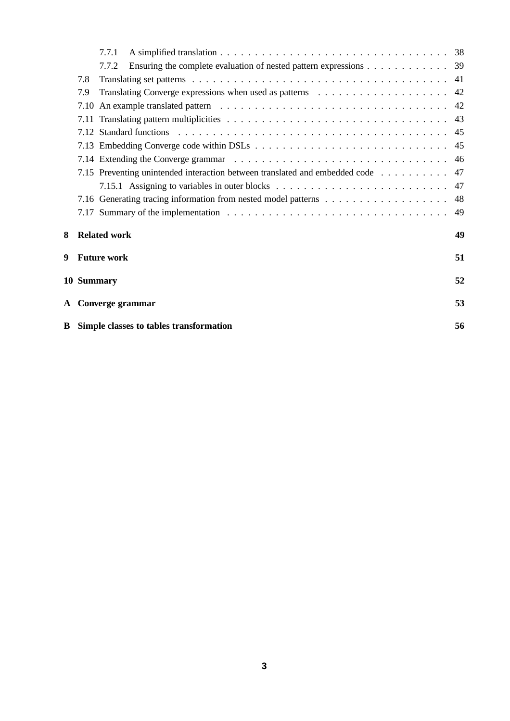|   |      | 7.7.1                                                                       |    |
|---|------|-----------------------------------------------------------------------------|----|
|   |      | Ensuring the complete evaluation of nested pattern expressions 39<br>7.7.2  |    |
|   | 7.8  |                                                                             |    |
|   | 7.9  |                                                                             |    |
|   |      |                                                                             |    |
|   | 7.11 |                                                                             |    |
|   |      |                                                                             |    |
|   |      |                                                                             |    |
|   |      |                                                                             | 46 |
|   |      | 7.15 Preventing unintended interaction between translated and embedded code | 47 |
|   |      |                                                                             |    |
|   |      |                                                                             | 48 |
|   |      |                                                                             |    |
| 8 |      | <b>Related work</b>                                                         | 49 |
|   |      | 9 Future work                                                               | 51 |
|   |      | 10 Summary                                                                  | 52 |
|   |      | A Converge grammar                                                          | 53 |
|   |      | <b>B</b> Simple classes to tables transformation                            | 56 |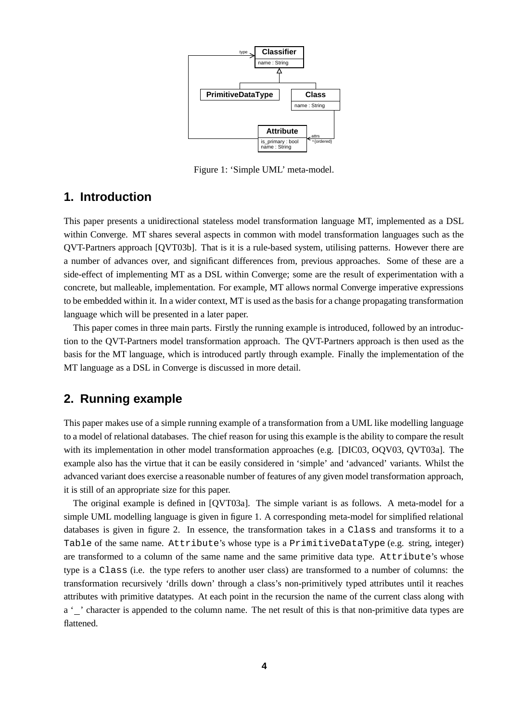

Figure 1: 'Simple UML' meta-model.

# **1. Introduction**

This paper presents a unidirectional stateless model transformation language MT, implemented as a DSL within Converge. MT shares several aspects in common with model transformation languages such as the QVT-Partners approach [QVT03b]. That is it is a rule-based system, utilising patterns. However there are a number of advances over, and significant differences from, previous approaches. Some of these are a side-effect of implementing MT as a DSL within Converge; some are the result of experimentation with a concrete, but malleable, implementation. For example, MT allows normal Converge imperative expressions to be embedded within it. In a wider context, MT is used as the basis for a change propagating transformation language which will be presented in a later paper.

This paper comes in three main parts. Firstly the running example is introduced, followed by an introduction to the QVT-Partners model transformation approach. The QVT-Partners approach is then used as the basis for the MT language, which is introduced partly through example. Finally the implementation of the MT language as a DSL in Converge is discussed in more detail.

# **2. Running example**

This paper makes use of a simple running example of a transformation from a UML like modelling language to a model of relational databases. The chief reason for using this example is the ability to compare the result with its implementation in other model transformation approaches (e.g. [DIC03, OQV03, QVT03a]. The example also has the virtue that it can be easily considered in 'simple' and 'advanced' variants. Whilst the advanced variant does exercise a reasonable number of features of any given model transformation approach, it is still of an appropriate size for this paper.

The original example is defined in [QVT03a]. The simple variant is as follows. A meta-model for a simple UML modelling language is given in figure 1. A corresponding meta-model for simplified relational databases is given in figure 2. In essence, the transformation takes in a Class and transforms it to a Table of the same name. Attribute's whose type is a PrimitiveDataType (e.g. string, integer) are transformed to a column of the same name and the same primitive data type. Attribute's whose type is a Class (i.e. the type refers to another user class) are transformed to a number of columns: the transformation recursively 'drills down' through a class's non-primitively typed attributes until it reaches attributes with primitive datatypes. At each point in the recursion the name of the current class along with a '\_' character is appended to the column name. The net result of this is that non-primitive data types are flattened.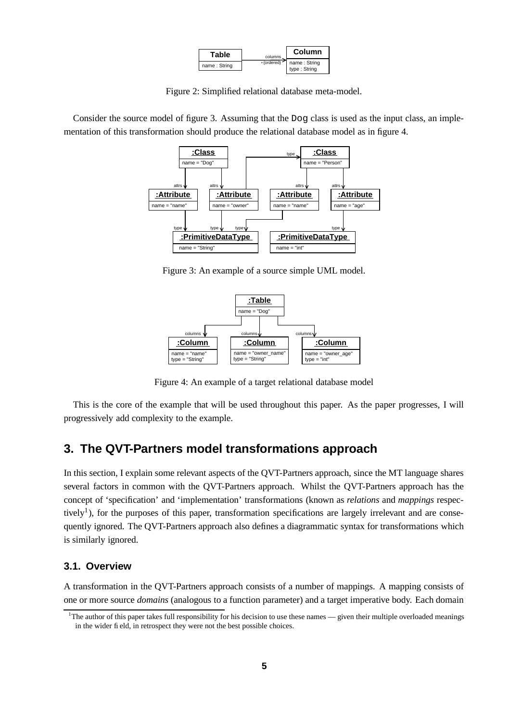| <b>Table</b> | columns.    | Column                       |
|--------------|-------------|------------------------------|
| name: String | *{ordered}' | name: String<br>type: String |

Figure 2: Simplified relational database meta-model.

Consider the source model of figure 3. Assuming that the Dog class is used as the input class, an implementation of this transformation should produce the relational database model as in figure 4.



Figure 3: An example of a source simple UML model.



Figure 4: An example of a target relational database model

This is the core of the example that will be used throughout this paper. As the paper progresses, I will progressively add complexity to the example.

# **3. The QVT-Partners model transformations approach**

In this section, I explain some relevant aspects of the QVT-Partners approach, since the MT language shares several factors in common with the QVT-Partners approach. Whilst the QVT-Partners approach has the concept of 'specification' and 'implementation' transformations (known as *relations* and *mappings* respectively<sup>1</sup>), for the purposes of this paper, transformation specifications are largely irrelevant and are consequently ignored. The QVT-Partners approach also defines a diagrammatic syntax for transformations which is similarly ignored.

# **3.1. Overview**

A transformation in the QVT-Partners approach consists of a number of mappings. A mapping consists of one or more source *domains* (analogous to a function parameter) and a target imperative body. Each domain

 $1$ The author of this paper takes full responsibility for his decision to use these names — given their multiple overloaded meanings in the wider field, in retrospect they were not the best possible choices.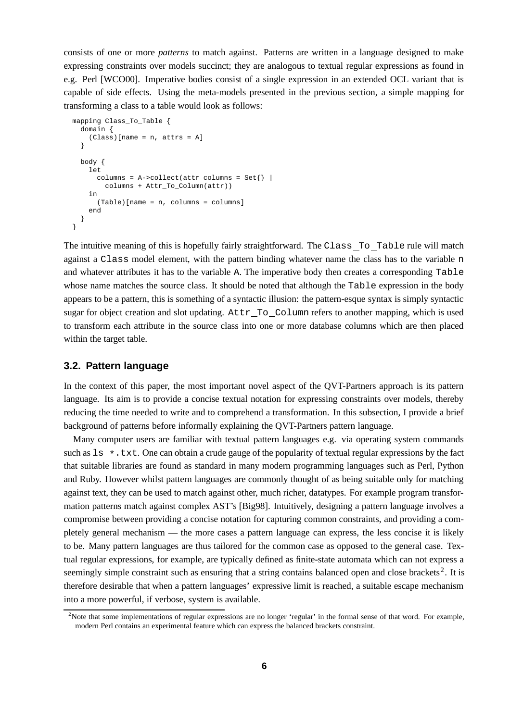consists of one or more *patterns* to match against. Patterns are written in a language designed to make expressing constraints over models succinct; they are analogous to textual regular expressions as found in e.g. Perl [WCO00]. Imperative bodies consist of a single expression in an extended OCL variant that is capable of side effects. Using the meta-models presented in the previous section, a simple mapping for transforming a class to a table would look as follows:

```
mapping Class_To_Table {
  domain {
    (Class)[name = n, attrs = A]
  }
  body {
    let
      columns = A->collect(attr columns = Set} |
        columns + Attr_To_Column(attr))
    in
      (Table)[name = n, columns = columns]
    end
  }
}
```
The intuitive meaning of this is hopefully fairly straightforward. The Class To Table rule will match against a Class model element, with the pattern binding whatever name the class has to the variable n and whatever attributes it has to the variable A. The imperative body then creates a corresponding Table whose name matches the source class. It should be noted that although the Table expression in the body appears to be a pattern, this is something of a syntactic illusion: the pattern-esque syntax is simply syntactic sugar for object creation and slot updating. Attr To Column refers to another mapping, which is used to transform each attribute in the source class into one or more database columns which are then placed within the target table.

# **3.2. Pattern language**

In the context of this paper, the most important novel aspect of the OVT-Partners approach is its pattern language. Its aim is to provide a concise textual notation for expressing constraints over models, thereby reducing the time needed to write and to comprehend a transformation. In this subsection, I provide a brief background of patterns before informally explaining the QVT-Partners pattern language.

Many computer users are familiar with textual pattern languages e.g. via operating system commands such as  $1s \star$ .txt. One can obtain a crude gauge of the popularity of textual regular expressions by the fact that suitable libraries are found as standard in many modern programming languages such as Perl, Python and Ruby. However whilst pattern languages are commonly thought of as being suitable only for matching against text, they can be used to match against other, much richer, datatypes. For example program transformation patterns match against complex AST's [Big98]. Intuitively, designing a pattern language involves a compromise between providing a concise notation for capturing common constraints, and providing a completely general mechanism — the more cases a pattern language can express, the less concise it is likely to be. Many pattern languages are thus tailored for the common case as opposed to the general case. Textual regular expressions, for example, are typically defined as finite-state automata which can not express a seemingly simple constraint such as ensuring that a string contains balanced open and close brackets<sup>2</sup>. It is therefore desirable that when a pattern languages' expressive limit is reached, a suitable escape mechanism into a more powerful, if verbose, system is available.

<sup>&</sup>lt;sup>2</sup>Note that some implementations of regular expressions are no longer 'regular' in the formal sense of that word. For example, modern Perl contains an experimental feature which can express the balanced brackets constraint.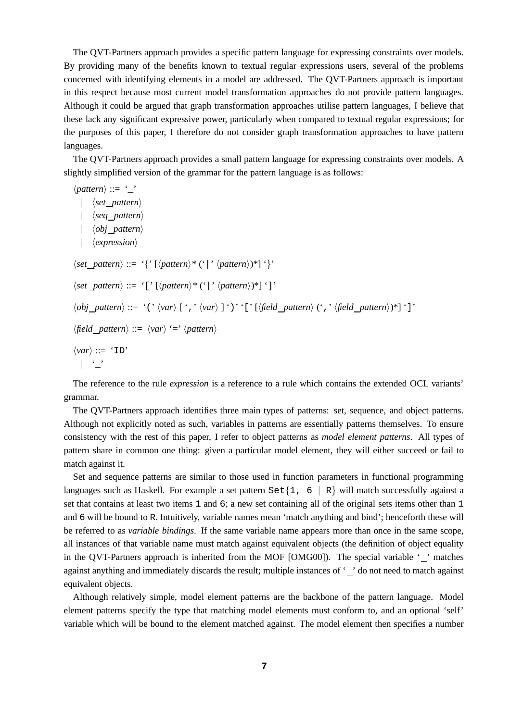The QVT-Partners approach provides a specific pattern language for expressing constraints over models. By providing many of the benefits known to textual regular expressions users, several of the problems concerned with identifying elements in a model are addressed. The QVT-Partners approach is important in this respect because most current model transformation approaches do not provide pattern languages. Although it could be argued that graph transformation approaches utilise pattern languages, I believe that these lack any significant expressive power, particularly when compared to textual regular expressions; for the purposes of this paper, I therefore do not consider graph transformation approaches to have pattern languages.

The QVT-Partners approach provides a small pattern language for expressing constraints over models. A slightly simplified version of the grammar for the pattern language is as follows:

 $\langle pattern \rangle ::= \ '$ | h*set pattern*i | h*seq pattern*i | h*obj pattern*i | *\expression*  $\langle set \; pattern \rangle ::= '{}' \; [\langle pattern \rangle^* (') \; \langle pattern \rangle^*] '$  $\langle set\ pattern \rangle ::= \{ [\ \langle pattern \rangle^* ( \ \rangle \ \langle pattern \rangle^* ] \$  ']'  $\langle obj\_pattern \rangle ::= '(' \langle var \rangle ['', ' \langle var \rangle ['')'']' [\langle field\_pattern \rangle ('', ' \langle field\_pattern \rangle )^*]'']'$  $\langle$ *field pattern* $\rangle ::= \langle var \rangle$  '='  $\langle pattern \rangle$  $\langle var \rangle ::= 'ID'$  $|$   $|$   $|$   $|$   $|$ 

The reference to the rule *expression* is a reference to a rule which contains the extended OCL variants' grammar.

The QVT-Partners approach identifies three main types of patterns: set, sequence, and object patterns. Although not explicitly noted as such, variables in patterns are essentially patterns themselves. To ensure consistency with the rest of this paper, I refer to object patterns as *model element patterns*. All types of pattern share in common one thing: given a particular model element, they will either succeed or fail to match against it.

Set and sequence patterns are similar to those used in function parameters in functional programming languages such as Haskell. For example a set pattern  $\text{Set}\{1, 6 | R\}$  will match successfully against a set that contains at least two items 1 and 6; a new set containing all of the original sets items other than 1 and 6 will be bound to R. Intuitively, variable names mean 'match anything and bind'; henceforth these will be referred to as *variable bindings*. If the same variable name appears more than once in the same scope, all instances of that variable name must match against equivalent objects (the definition of object equality in the QVT-Partners approach is inherited from the MOF [OMG00]). The special variable ' ' matches against anything and immediately discards the result; multiple instances of ' ' do not need to match against equivalent objects.

Although relatively simple, model element patterns are the backbone of the pattern language. Model element patterns specify the type that matching model elements must conform to, and an optional 'self' variable which will be bound to the element matched against. The model element then specifies a number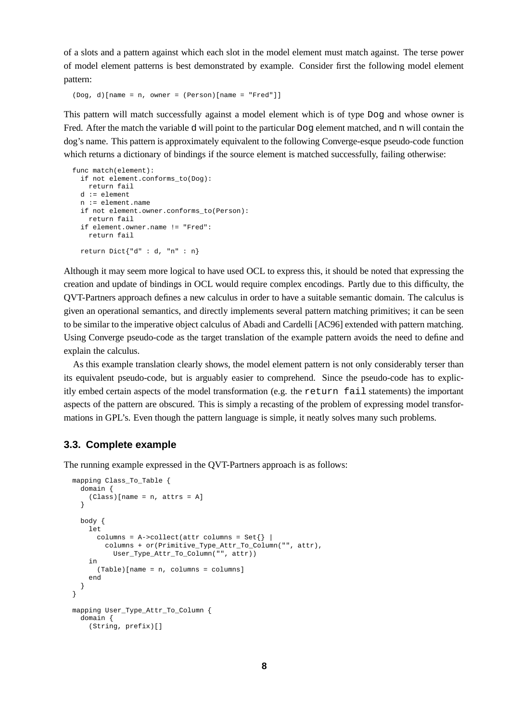of a slots and a pattern against which each slot in the model element must match against. The terse power of model element patterns is best demonstrated by example. Consider first the following model element pattern:

(Dog, d)[name = n, owner = (Person)[name = "Fred"]]

This pattern will match successfully against a model element which is of type Dog and whose owner is Fred. After the match the variable d will point to the particular Dog element matched, and n will contain the dog's name. This pattern is approximately equivalent to the following Converge-esque pseudo-code function which returns a dictionary of bindings if the source element is matched successfully, failing otherwise:

```
func match(element):
 if not element.conforms_to(Dog):
   return fail
 d := element
 n := element.name
 if not element.owner.conforms_to(Person):
   return fail
 if element.owner.name != "Fred":
   return fail
 return Dict{"d" : d, "n" : n}
```
Although it may seem more logical to have used OCL to express this, it should be noted that expressing the creation and update of bindings in OCL would require complex encodings. Partly due to this difficulty, the QVT-Partners approach defines a new calculus in order to have a suitable semantic domain. The calculus is given an operational semantics, and directly implements several pattern matching primitives; it can be seen to be similar to the imperative object calculus of Abadi and Cardelli [AC96] extended with pattern matching. Using Converge pseudo-code as the target translation of the example pattern avoids the need to define and explain the calculus.

As this example translation clearly shows, the model element pattern is not only considerably terser than its equivalent pseudo-code, but is arguably easier to comprehend. Since the pseudo-code has to explicitly embed certain aspects of the model transformation (e.g. the return fail statements) the important aspects of the pattern are obscured. This is simply a recasting of the problem of expressing model transformations in GPL's. Even though the pattern language is simple, it neatly solves many such problems.

# **3.3. Complete example**

The running example expressed in the QVT-Partners approach is as follows:

```
mapping Class_To_Table {
  domain {
    (Class)[name = n, attrs = A]
  }
  body {
    let
      columns = A->collect(attr columns = Set\} |
        columns + or(Primitive_Type_Attr_To_Column("", attr),
          User_Type_Attr_To_Column("", attr))
    in
     (Table)[name = n, columns = columns]
    end
  }
}
mapping User_Type_Attr_To_Column {
  domain {
    (String, prefix)[]
```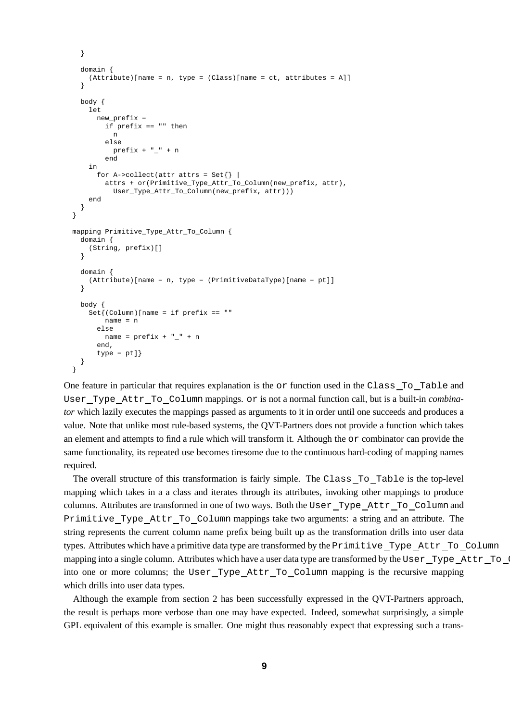```
}
  domain {
    (Attribute)[name = n, type = (Class)[name = ct, attributes = All]}
 body {
    let
     new_prefix =
       if prefix == "" then
          n
        else
          prefix + "-" + nend
    in
      for A->collect(attr attrs = Set\{\}\attrs + or(Primitive_Type_Attr_To_Column(new_prefix, attr),
          User_Type_Attr_To_Column(new_prefix, attr)))
    end
  }
}
mapping Primitive_Type_Attr_To_Column {
  domain {
    (String, prefix)[]
  }
  domain {
    (Attribute)[name = n, type = (PrimitiveDataType)[name = pt]]
  }
  body {
    Set\{(Column)[name = if prefix == ""
       name = n
      else
       name = prefix + "__" + nend,
      type = pt]}
}
```
One feature in particular that requires explanation is the or function used in the Class To Table and User Type Attr To Column mappings. or is not a normal function call, but is a built-in *combinator* which lazily executes the mappings passed as arguments to it in order until one succeeds and produces a value. Note that unlike most rule-based systems, the QVT-Partners does not provide a function which takes an element and attempts to find a rule which will transform it. Although the or combinator can provide the same functionality, its repeated use becomes tiresome due to the continuous hard-coding of mapping names required.

The overall structure of this transformation is fairly simple. The Class To Table is the top-level mapping which takes in a a class and iterates through its attributes, invoking other mappings to produce columns. Attributes are transformed in one of two ways. Both the User Type Attr To Column and Primitive Type Attr To Column mappings take two arguments: a string and an attribute. The string represents the current column name prefix being built up as the transformation drills into user data types. Attributes which have a primitive data type are transformed by the Primitive Type Attr To Column mapping into a single column. Attributes which have a user data type are transformed by the User Type Attr To into one or more columns; the User\_Type\_Attr\_To\_Column mapping is the recursive mapping which drills into user data types.

Although the example from section 2 has been successfully expressed in the QVT-Partners approach, the result is perhaps more verbose than one may have expected. Indeed, somewhat surprisingly, a simple GPL equivalent of this example is smaller. One might thus reasonably expect that expressing such a trans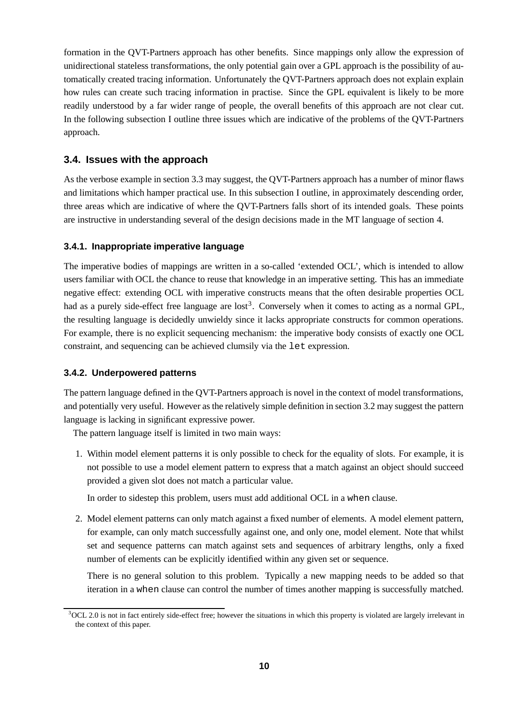formation in the QVT-Partners approach has other benefits. Since mappings only allow the expression of unidirectional stateless transformations, the only potential gain over a GPL approach is the possibility of automatically created tracing information. Unfortunately the QVT-Partners approach does not explain explain how rules can create such tracing information in practise. Since the GPL equivalent is likely to be more readily understood by a far wider range of people, the overall benefits of this approach are not clear cut. In the following subsection I outline three issues which are indicative of the problems of the QVT-Partners approach.

# **3.4. Issues with the approach**

As the verbose example in section 3.3 may suggest, the QVT-Partners approach has a number of minor flaws and limitations which hamper practical use. In this subsection I outline, in approximately descending order, three areas which are indicative of where the QVT-Partners falls short of its intended goals. These points are instructive in understanding several of the design decisions made in the MT language of section 4.

#### **3.4.1. Inappropriate imperative language**

The imperative bodies of mappings are written in a so-called 'extended OCL', which is intended to allow users familiar with OCL the chance to reuse that knowledge in an imperative setting. This has an immediate negative effect: extending OCL with imperative constructs means that the often desirable properties OCL had as a purely side-effect free language are lost<sup>3</sup>. Conversely when it comes to acting as a normal GPL, the resulting language is decidedly unwieldy since it lacks appropriate constructs for common operations. For example, there is no explicit sequencing mechanism: the imperative body consists of exactly one OCL constraint, and sequencing can be achieved clumsily via the let expression.

## **3.4.2. Underpowered patterns**

The pattern language defined in the QVT-Partners approach is novel in the context of model transformations, and potentially very useful. However as the relatively simple definition in section 3.2 may suggest the pattern language is lacking in significant expressive power.

The pattern language itself is limited in two main ways:

1. Within model element patterns it is only possible to check for the equality of slots. For example, it is not possible to use a model element pattern to express that a match against an object should succeed provided a given slot does not match a particular value.

In order to sidestep this problem, users must add additional OCL in a when clause.

2. Model element patterns can only match against a fixed number of elements. A model element pattern, for example, can only match successfully against one, and only one, model element. Note that whilst set and sequence patterns can match against sets and sequences of arbitrary lengths, only a fixed number of elements can be explicitly identified within any given set or sequence.

There is no general solution to this problem. Typically a new mapping needs to be added so that iteration in a when clause can control the number of times another mapping is successfully matched.

 $3$ OCL 2.0 is not in fact entirely side-effect free; however the situations in which this property is violated are largely irrelevant in the context of this paper.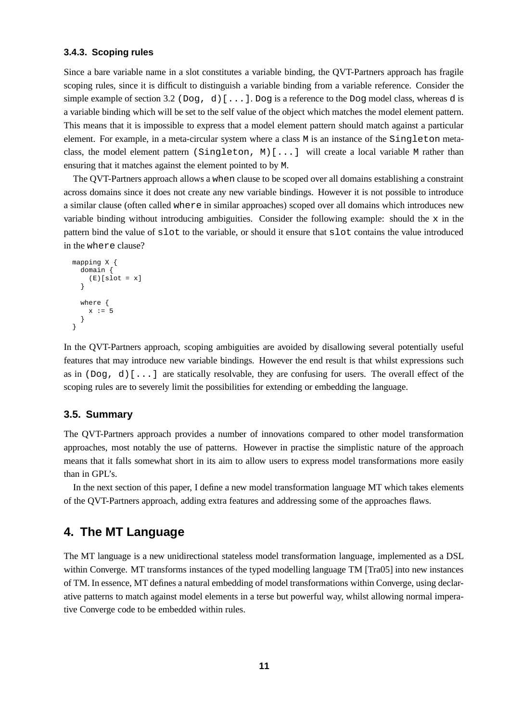#### **3.4.3. Scoping rules**

Since a bare variable name in a slot constitutes a variable binding, the QVT-Partners approach has fragile scoping rules, since it is difficult to distinguish a variable binding from a variable reference. Consider the simple example of section 3.2 (Dog, d) [ $\dots$ ]. Dog is a reference to the Dog model class, whereas d is a variable binding which will be set to the self value of the object which matches the model element pattern. This means that it is impossible to express that a model element pattern should match against a particular element. For example, in a meta-circular system where a class M is an instance of the Singleton metaclass, the model element pattern (Singleton, M)[...] will create a local variable M rather than ensuring that it matches against the element pointed to by M.

The QVT-Partners approach allows a when clause to be scoped over all domains establishing a constraint across domains since it does not create any new variable bindings. However it is not possible to introduce a similar clause (often called where in similar approaches) scoped over all domains which introduces new variable binding without introducing ambiguities. Consider the following example: should the  $x$  in the pattern bind the value of slot to the variable, or should it ensure that slot contains the value introduced in the where clause?

```
mapping X {
  domain {
   (E)[slot = x]
  }
  where {
   x := 5}
}
```
In the QVT-Partners approach, scoping ambiguities are avoided by disallowing several potentially useful features that may introduce new variable bindings. However the end result is that whilst expressions such as in  $(Dog, d)$ [...] are statically resolvable, they are confusing for users. The overall effect of the scoping rules are to severely limit the possibilities for extending or embedding the language.

## **3.5. Summary**

The QVT-Partners approach provides a number of innovations compared to other model transformation approaches, most notably the use of patterns. However in practise the simplistic nature of the approach means that it falls somewhat short in its aim to allow users to express model transformations more easily than in GPL's.

In the next section of this paper, I define a new model transformation language MT which takes elements of the QVT-Partners approach, adding extra features and addressing some of the approaches flaws.

# **4. The MT Language**

The MT language is a new unidirectional stateless model transformation language, implemented as a DSL within Converge. MT transforms instances of the typed modelling language TM [Tra05] into new instances of TM. In essence, MT defines a natural embedding of model transformations within Converge, using declarative patterns to match against model elements in a terse but powerful way, whilst allowing normal imperative Converge code to be embedded within rules.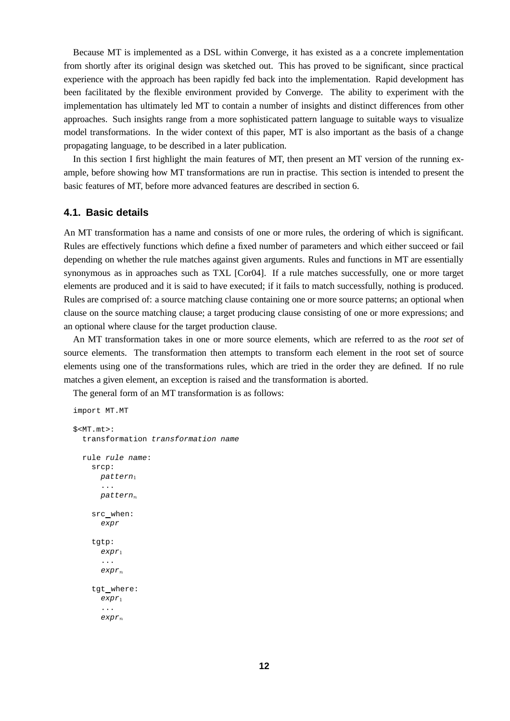Because MT is implemented as a DSL within Converge, it has existed as a a concrete implementation from shortly after its original design was sketched out. This has proved to be significant, since practical experience with the approach has been rapidly fed back into the implementation. Rapid development has been facilitated by the flexible environment provided by Converge. The ability to experiment with the implementation has ultimately led MT to contain a number of insights and distinct differences from other approaches. Such insights range from a more sophisticated pattern language to suitable ways to visualize model transformations. In the wider context of this paper, MT is also important as the basis of a change propagating language, to be described in a later publication.

In this section I first highlight the main features of MT, then present an MT version of the running example, before showing how MT transformations are run in practise. This section is intended to present the basic features of MT, before more advanced features are described in section 6.

# **4.1. Basic details**

An MT transformation has a name and consists of one or more rules, the ordering of which is significant. Rules are effectively functions which define a fixed number of parameters and which either succeed or fail depending on whether the rule matches against given arguments. Rules and functions in MT are essentially synonymous as in approaches such as TXL [Cor04]. If a rule matches successfully, one or more target elements are produced and it is said to have executed; if it fails to match successfully, nothing is produced. Rules are comprised of: a source matching clause containing one or more source patterns; an optional when clause on the source matching clause; a target producing clause consisting of one or more expressions; and an optional where clause for the target production clause.

An MT transformation takes in one or more source elements, which are referred to as the *root set* of source elements. The transformation then attempts to transform each element in the root set of source elements using one of the transformations rules, which are tried in the order they are defined. If no rule matches a given element, an exception is raised and the transformation is aborted.

The general form of an MT transformation is as follows:

```
import MT.MT
$<MT.mt>:
  transformation transformation name
  rule rule name:
    srcp:
      pattern1
      ...
      pattern_nsrc when:
      expr
    tgtp:
       expr<sub>1</sub>...
      expr<sub>n</sub>tgt where:
      expr1
       ...
       expr_n
```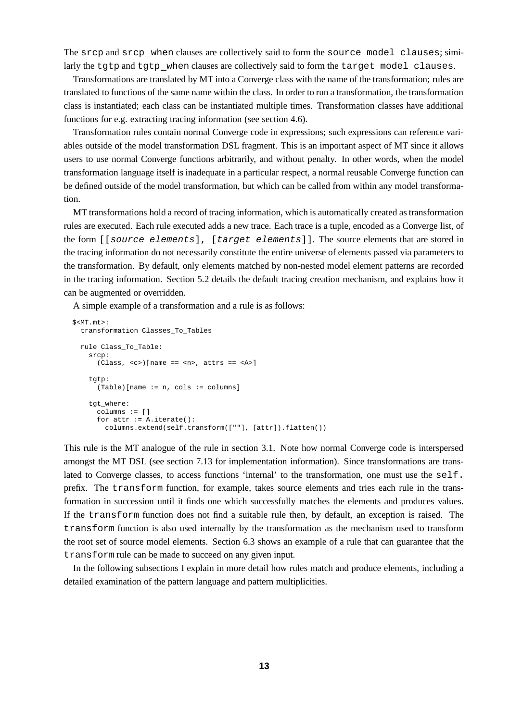The srcp and srcp when clauses are collectively said to form the source model clauses; similarly the tgtp and tgtp when clauses are collectively said to form the target model clauses.

Transformations are translated by MT into a Converge class with the name of the transformation; rules are translated to functions of the same name within the class. In order to run a transformation, the transformation class is instantiated; each class can be instantiated multiple times. Transformation classes have additional functions for e.g. extracting tracing information (see section 4.6).

Transformation rules contain normal Converge code in expressions; such expressions can reference variables outside of the model transformation DSL fragment. This is an important aspect of MT since it allows users to use normal Converge functions arbitrarily, and without penalty. In other words, when the model transformation language itself is inadequate in a particular respect, a normal reusable Converge function can be defined outside of the model transformation, but which can be called from within any model transformation.

MT transformations hold a record of tracing information, which is automatically created as transformation rules are executed. Each rule executed adds a new trace. Each trace is a tuple, encoded as a Converge list, of the form [[source elements], [target elements]]. The source elements that are stored in the tracing information do not necessarily constitute the entire universe of elements passed via parameters to the transformation. By default, only elements matched by non-nested model element patterns are recorded in the tracing information. Section 5.2 details the default tracing creation mechanism, and explains how it can be augmented or overridden.

A simple example of a transformation and a rule is as follows:

```
$<MT.mt>:
 transformation Classes_To_Tables
 rule Class_To_Table:
    srcp:
      (Class, <c>||name == <n>max, attrs == <a>max</a>tgtp:
      (Table)[name := n, cols := columns]
    tgt_where:
      colums := []for attr := A.iterate():
        columns.extend(self.transform([""], [attr]).flatten())
```
This rule is the MT analogue of the rule in section 3.1. Note how normal Converge code is interspersed amongst the MT DSL (see section 7.13 for implementation information). Since transformations are translated to Converge classes, to access functions 'internal' to the transformation, one must use the self. prefix. The transform function, for example, takes source elements and tries each rule in the transformation in succession until it finds one which successfully matches the elements and produces values. If the transform function does not find a suitable rule then, by default, an exception is raised. The transform function is also used internally by the transformation as the mechanism used to transform the root set of source model elements. Section 6.3 shows an example of a rule that can guarantee that the transform rule can be made to succeed on any given input.

In the following subsections I explain in more detail how rules match and produce elements, including a detailed examination of the pattern language and pattern multiplicities.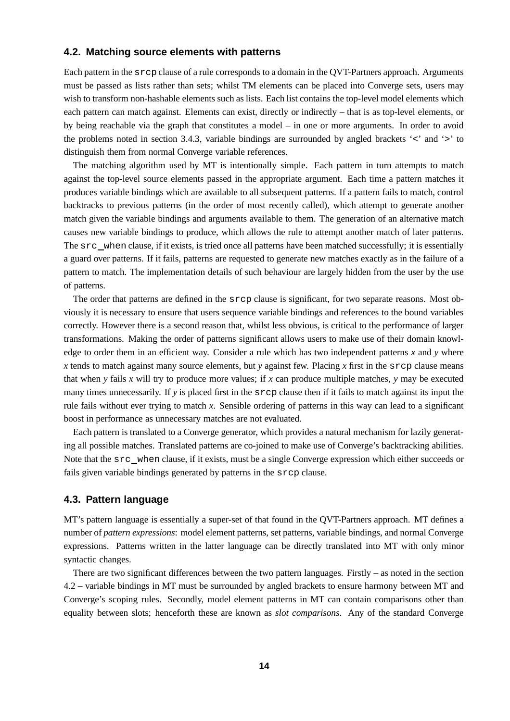# **4.2. Matching source elements with patterns**

Each pattern in the srcp clause of a rule corresponds to a domain in the QVT-Partners approach. Arguments must be passed as lists rather than sets; whilst TM elements can be placed into Converge sets, users may wish to transform non-hashable elements such as lists. Each list contains the top-level model elements which each pattern can match against. Elements can exist, directly or indirectly – that is as top-level elements, or by being reachable via the graph that constitutes a model – in one or more arguments. In order to avoid the problems noted in section 3.4.3, variable bindings are surrounded by angled brackets '<' and '>' to distinguish them from normal Converge variable references.

The matching algorithm used by MT is intentionally simple. Each pattern in turn attempts to match against the top-level source elements passed in the appropriate argument. Each time a pattern matches it produces variable bindings which are available to all subsequent patterns. If a pattern fails to match, control backtracks to previous patterns (in the order of most recently called), which attempt to generate another match given the variable bindings and arguments available to them. The generation of an alternative match causes new variable bindings to produce, which allows the rule to attempt another match of later patterns. The src when clause, if it exists, is tried once all patterns have been matched successfully; it is essentially a guard over patterns. If it fails, patterns are requested to generate new matches exactly as in the failure of a pattern to match. The implementation details of such behaviour are largely hidden from the user by the use of patterns.

The order that patterns are defined in the srcp clause is significant, for two separate reasons. Most obviously it is necessary to ensure that users sequence variable bindings and references to the bound variables correctly. However there is a second reason that, whilst less obvious, is critical to the performance of larger transformations. Making the order of patterns significant allows users to make use of their domain knowledge to order them in an efficient way. Consider a rule which has two independent patterns *x* and *y* where *x* tends to match against many source elements, but *y* against few. Placing *x* first in the srcp clause means that when *y* fails *x* will try to produce more values; if *x* can produce multiple matches, *y* may be executed many times unnecessarily. If *y* is placed first in the srcp clause then if it fails to match against its input the rule fails without ever trying to match *x*. Sensible ordering of patterns in this way can lead to a significant boost in performance as unnecessary matches are not evaluated.

Each pattern is translated to a Converge generator, which provides a natural mechanism for lazily generating all possible matches. Translated patterns are co-joined to make use of Converge's backtracking abilities. Note that the src\_when clause, if it exists, must be a single Converge expression which either succeeds or fails given variable bindings generated by patterns in the srcp clause.

#### **4.3. Pattern language**

MT's pattern language is essentially a super-set of that found in the QVT-Partners approach. MT defines a number of *pattern expressions*: model element patterns, set patterns, variable bindings, and normal Converge expressions. Patterns written in the latter language can be directly translated into MT with only minor syntactic changes.

There are two significant differences between the two pattern languages. Firstly – as noted in the section 4.2 – variable bindings in MT must be surrounded by angled brackets to ensure harmony between MT and Converge's scoping rules. Secondly, model element patterns in MT can contain comparisons other than equality between slots; henceforth these are known as *slot comparisons*. Any of the standard Converge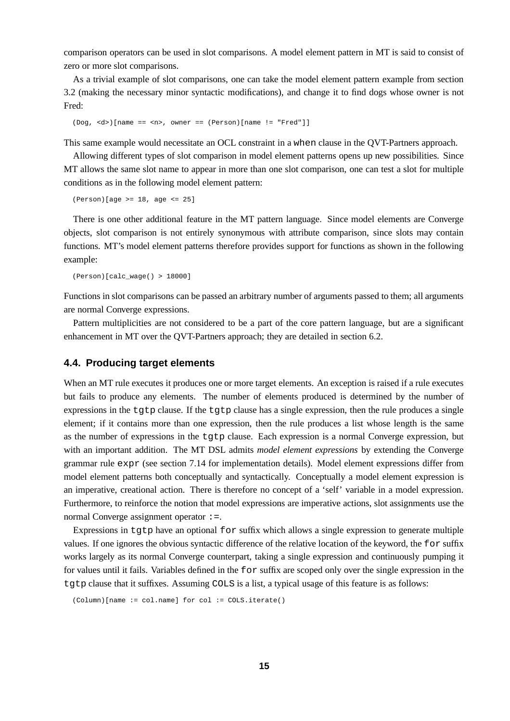comparison operators can be used in slot comparisons. A model element pattern in MT is said to consist of zero or more slot comparisons.

As a trivial example of slot comparisons, one can take the model element pattern example from section 3.2 (making the necessary minor syntactic modifications), and change it to find dogs whose owner is not Fred:

(Dog, <d>)[name == <n>, owner == (Person)[name != "Fred"]]

This same example would necessitate an OCL constraint in a when clause in the QVT-Partners approach.

Allowing different types of slot comparison in model element patterns opens up new possibilities. Since MT allows the same slot name to appear in more than one slot comparison, one can test a slot for multiple conditions as in the following model element pattern:

(Person)[age >= 18, age <= 25]

There is one other additional feature in the MT pattern language. Since model elements are Converge objects, slot comparison is not entirely synonymous with attribute comparison, since slots may contain functions. MT's model element patterns therefore provides support for functions as shown in the following example:

(Person)[calc\_wage() > 18000]

Functions in slot comparisons can be passed an arbitrary number of arguments passed to them; all arguments are normal Converge expressions.

Pattern multiplicities are not considered to be a part of the core pattern language, but are a significant enhancement in MT over the QVT-Partners approach; they are detailed in section 6.2.

### **4.4. Producing target elements**

When an MT rule executes it produces one or more target elements. An exception is raised if a rule executes but fails to produce any elements. The number of elements produced is determined by the number of expressions in the tgtp clause. If the tgtp clause has a single expression, then the rule produces a single element; if it contains more than one expression, then the rule produces a list whose length is the same as the number of expressions in the tgtp clause. Each expression is a normal Converge expression, but with an important addition. The MT DSL admits *model element expressions* by extending the Converge grammar rule expr (see section 7.14 for implementation details). Model element expressions differ from model element patterns both conceptually and syntactically. Conceptually a model element expression is an imperative, creational action. There is therefore no concept of a 'self' variable in a model expression. Furthermore, to reinforce the notion that model expressions are imperative actions, slot assignments use the normal Converge assignment operator :=.

Expressions in  $t$ q $t$ p have an optional  $f$ or suffix which allows a single expression to generate multiple values. If one ignores the obvious syntactic difference of the relative location of the keyword, the for suffix works largely as its normal Converge counterpart, taking a single expression and continuously pumping it for values until it fails. Variables defined in the for suffix are scoped only over the single expression in the tgtp clause that it suffixes. Assuming COLS is a list, a typical usage of this feature is as follows:

<sup>(</sup>Column)[name := col.name] for col := COLS.iterate()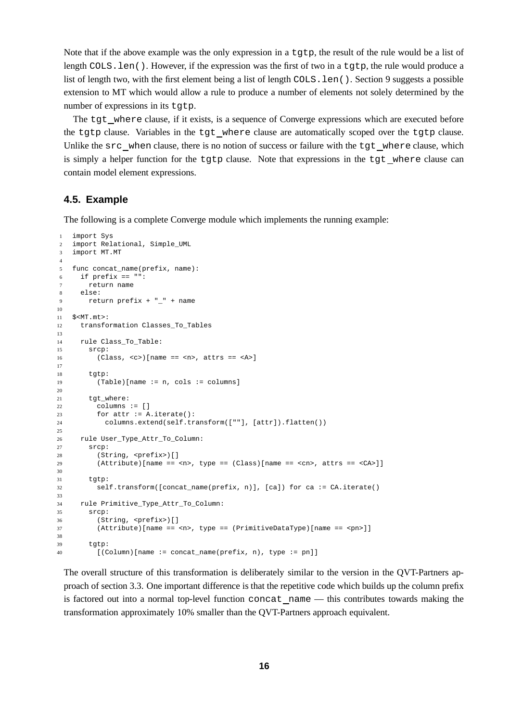Note that if the above example was the only expression in a tgtp, the result of the rule would be a list of length COLS.len(). However, if the expression was the first of two in a tgtp, the rule would produce a list of length two, with the first element being a list of length COLS.len(). Section 9 suggests a possible extension to MT which would allow a rule to produce a number of elements not solely determined by the number of expressions in its tgtp.

The tgt where clause, if it exists, is a sequence of Converge expressions which are executed before the tgtp clause. Variables in the tgt where clause are automatically scoped over the tgtp clause. Unlike the src when clause, there is no notion of success or failure with the tgt where clause, which is simply a helper function for the tgtp clause. Note that expressions in the tgt where clause can contain model element expressions.

#### **4.5. Example**

The following is a complete Converge module which implements the running example:

```
1 import Sys
2 import Relational, Simple_UML
3 import MT.MT
4
5 func concat_name(prefix, name):
6 if \text{prefix} == \text{""}:
7 return name
8 else:
9 return prefix + " + name
10
11 $<MT.mt>:
12 transformation Classes To Tables
13
14 rule Class_To_Table:
15 srcp:
16 (Class, <c>)[name == <n>, attrs == <A>]
17
18 tgtp:
19 (Table)[name := n, cols := columns]20
21 tgt_where:
22 columns := []
23 for attr := A.iterate():
24 columns.extend(self.transform([""], [attr]).flatten())
2526 rule User_Type_Attr_To_Column:
27 srcp:
28 (String, <prefix>)[]
29 (Attribute)[name == <sub>z</sub>, type == (Class)[name == <sub>z</sub> <cn>, attrs == <sub>z</sub> <cn>)]</sub></sub></sub>
30
31 tgtp:
32 self.transform([concat_name(prefix, n)], [ca]) for ca := CA.iterate()
33
34 rule Primitive_Type_Attr_To_Column:
35 srcp:
36 (String, <prefix>)[]
37 (Attribute)[name == <n>, type == (PrimitiveDataType)[name == <pn>]]
38
39 tgtp:
40 [(Column)[name := concat_name(prefix, n), type := pn]]
```
The overall structure of this transformation is deliberately similar to the version in the QVT-Partners approach of section 3.3. One important difference is that the repetitive code which builds up the column prefix is factored out into a normal top-level function concat name — this contributes towards making the transformation approximately 10% smaller than the QVT-Partners approach equivalent.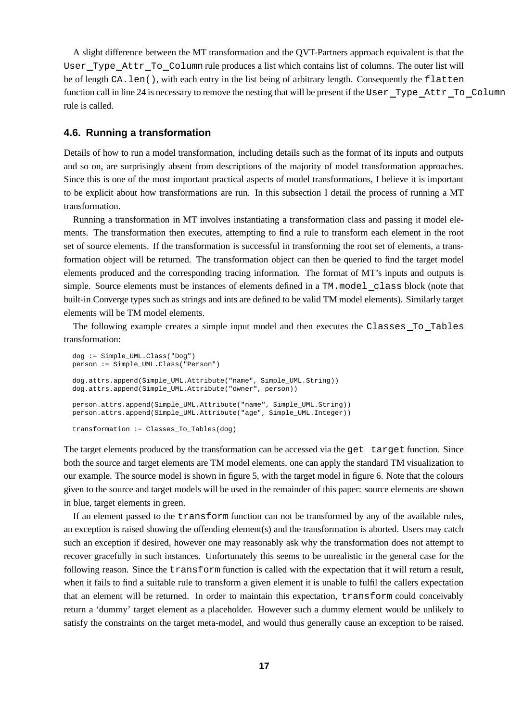A slight difference between the MT transformation and the QVT-Partners approach equivalent is that the User Type Attr To Column rule produces a list which contains list of columns. The outer list will be of length CA.len(), with each entry in the list being of arbitrary length. Consequently the flatten function call in line 24 is necessary to remove the nesting that will be present if the User Type Attr To Column rule is called.

#### **4.6. Running a transformation**

Details of how to run a model transformation, including details such as the format of its inputs and outputs and so on, are surprisingly absent from descriptions of the majority of model transformation approaches. Since this is one of the most important practical aspects of model transformations, I believe it is important to be explicit about how transformations are run. In this subsection I detail the process of running a MT transformation.

Running a transformation in MT involves instantiating a transformation class and passing it model elements. The transformation then executes, attempting to find a rule to transform each element in the root set of source elements. If the transformation is successful in transforming the root set of elements, a transformation object will be returned. The transformation object can then be queried to find the target model elements produced and the corresponding tracing information. The format of MT's inputs and outputs is simple. Source elements must be instances of elements defined in a TM.model class block (note that built-in Converge types such as strings and ints are defined to be valid TM model elements). Similarly target elements will be TM model elements.

The following example creates a simple input model and then executes the Classes\_To\_Tables transformation:

```
dog := Simple_UML.Class("Dog")
person := Simple_UML.Class("Person")
dog.attrs.append(Simple_UML.Attribute("name", Simple_UML.String))
dog.attrs.append(Simple_UML.Attribute("owner", person))
person.attrs.append(Simple_UML.Attribute("name", Simple_UML.String))
person.attrs.append(Simple_UML.Attribute("age", Simple_UML.Integer))
transformation := Classes_To_Tables(dog)
```
The target elements produced by the transformation can be accessed via the get target function. Since both the source and target elements are TM model elements, one can apply the standard TM visualization to our example. The source model is shown in figure 5, with the target model in figure 6. Note that the colours given to the source and target models will be used in the remainder of this paper: source elements are shown in blue, target elements in green.

If an element passed to the transform function can not be transformed by any of the available rules, an exception is raised showing the offending element(s) and the transformation is aborted. Users may catch such an exception if desired, however one may reasonably ask why the transformation does not attempt to recover gracefully in such instances. Unfortunately this seems to be unrealistic in the general case for the following reason. Since the transform function is called with the expectation that it will return a result, when it fails to find a suitable rule to transform a given element it is unable to fulfil the callers expectation that an element will be returned. In order to maintain this expectation, transform could conceivably return a 'dummy' target element as a placeholder. However such a dummy element would be unlikely to satisfy the constraints on the target meta-model, and would thus generally cause an exception to be raised.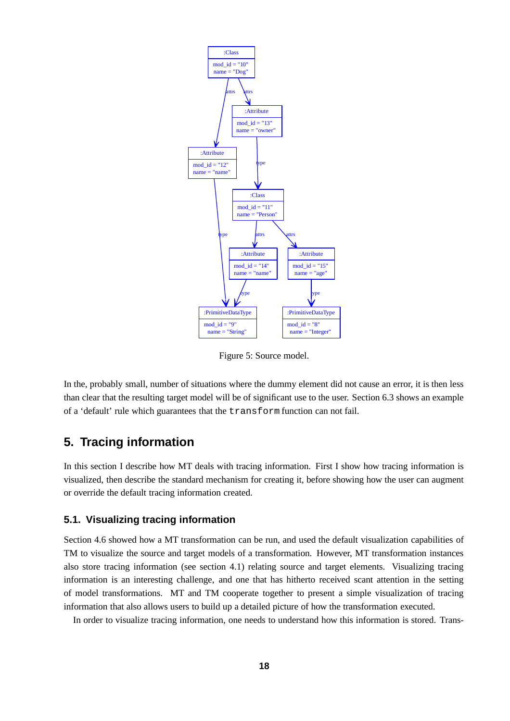

Figure 5: Source model.

In the, probably small, number of situations where the dummy element did not cause an error, it is then less than clear that the resulting target model will be of significant use to the user. Section 6.3 shows an example of a 'default' rule which guarantees that the transform function can not fail.

# **5. Tracing information**

In this section I describe how MT deals with tracing information. First I show how tracing information is visualized, then describe the standard mechanism for creating it, before showing how the user can augment or override the default tracing information created.

# **5.1. Visualizing tracing information**

Section 4.6 showed how a MT transformation can be run, and used the default visualization capabilities of TM to visualize the source and target models of a transformation. However, MT transformation instances also store tracing information (see section 4.1) relating source and target elements. Visualizing tracing information is an interesting challenge, and one that has hitherto received scant attention in the setting of model transformations. MT and TM cooperate together to present a simple visualization of tracing information that also allows users to build up a detailed picture of how the transformation executed.

In order to visualize tracing information, one needs to understand how this information is stored. Trans-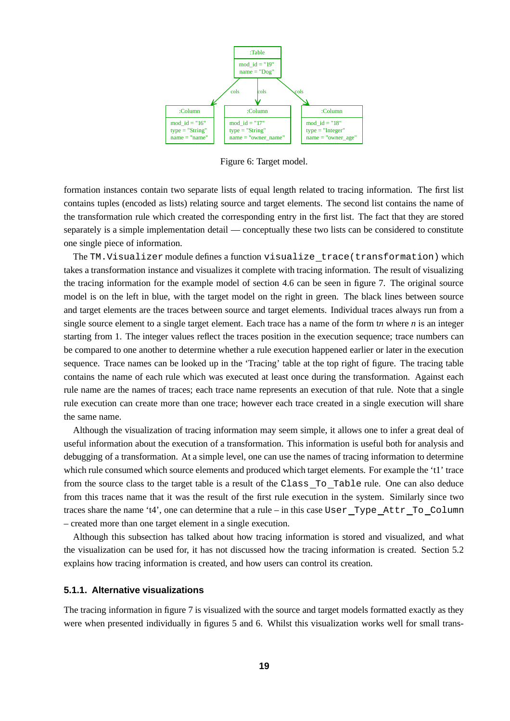

Figure 6: Target model.

formation instances contain two separate lists of equal length related to tracing information. The first list contains tuples (encoded as lists) relating source and target elements. The second list contains the name of the transformation rule which created the corresponding entry in the first list. The fact that they are stored separately is a simple implementation detail — conceptually these two lists can be considered to constitute one single piece of information.

The TM.Visualizer module defines a function visualize trace(transformation) which takes a transformation instance and visualizes it complete with tracing information. The result of visualizing the tracing information for the example model of section 4.6 can be seen in figure 7. The original source model is on the left in blue, with the target model on the right in green. The black lines between source and target elements are the traces between source and target elements. Individual traces always run from a single source element to a single target element. Each trace has a name of the form t*n* where *n* is an integer starting from 1. The integer values reflect the traces position in the execution sequence; trace numbers can be compared to one another to determine whether a rule execution happened earlier or later in the execution sequence. Trace names can be looked up in the 'Tracing' table at the top right of figure. The tracing table contains the name of each rule which was executed at least once during the transformation. Against each rule name are the names of traces; each trace name represents an execution of that rule. Note that a single rule execution can create more than one trace; however each trace created in a single execution will share the same name.

Although the visualization of tracing information may seem simple, it allows one to infer a great deal of useful information about the execution of a transformation. This information is useful both for analysis and debugging of a transformation. At a simple level, one can use the names of tracing information to determine which rule consumed which source elements and produced which target elements. For example the 't1' trace from the source class to the target table is a result of the Class To Table rule. One can also deduce from this traces name that it was the result of the first rule execution in the system. Similarly since two traces share the name 't4', one can determine that a rule – in this case User\_Type\_Attr\_To\_Column – created more than one target element in a single execution.

Although this subsection has talked about how tracing information is stored and visualized, and what the visualization can be used for, it has not discussed how the tracing information is created. Section 5.2 explains how tracing information is created, and how users can control its creation.

#### **5.1.1. Alternative visualizations**

The tracing information in figure 7 is visualized with the source and target models formatted exactly as they were when presented individually in figures 5 and 6. Whilst this visualization works well for small trans-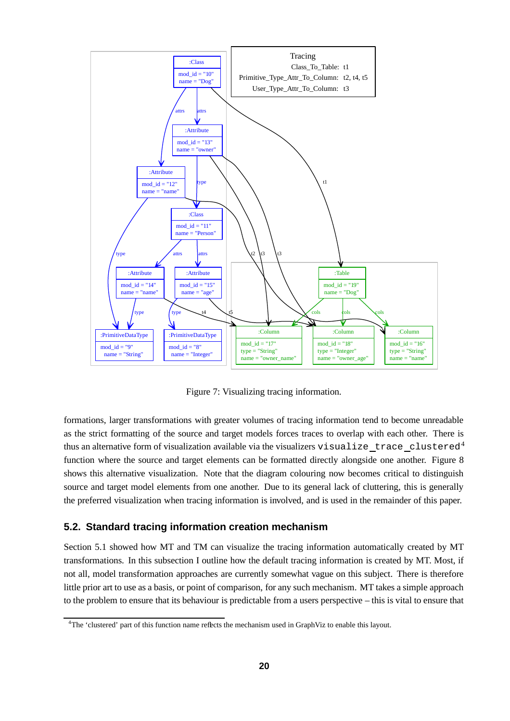

Figure 7: Visualizing tracing information.

formations, larger transformations with greater volumes of tracing information tend to become unreadable as the strict formatting of the source and target models forces traces to overlap with each other. There is thus an alternative form of visualization available via the visualizers visualize trace clustered<sup>4</sup> function where the source and target elements can be formatted directly alongside one another. Figure 8 shows this alternative visualization. Note that the diagram colouring now becomes critical to distinguish source and target model elements from one another. Due to its general lack of cluttering, this is generally the preferred visualization when tracing information is involved, and is used in the remainder of this paper.

# **5.2. Standard tracing information creation mechanism**

Section 5.1 showed how MT and TM can visualize the tracing information automatically created by MT transformations. In this subsection I outline how the default tracing information is created by MT. Most, if not all, model transformation approaches are currently somewhat vague on this subject. There is therefore little prior art to use as a basis, or point of comparison, for any such mechanism. MT takes a simple approach to the problem to ensure that its behaviour is predictable from a users perspective – this is vital to ensure that

<sup>&</sup>lt;sup>4</sup>The 'clustered' part of this function name reflects the mechanism used in GraphViz to enable this layout.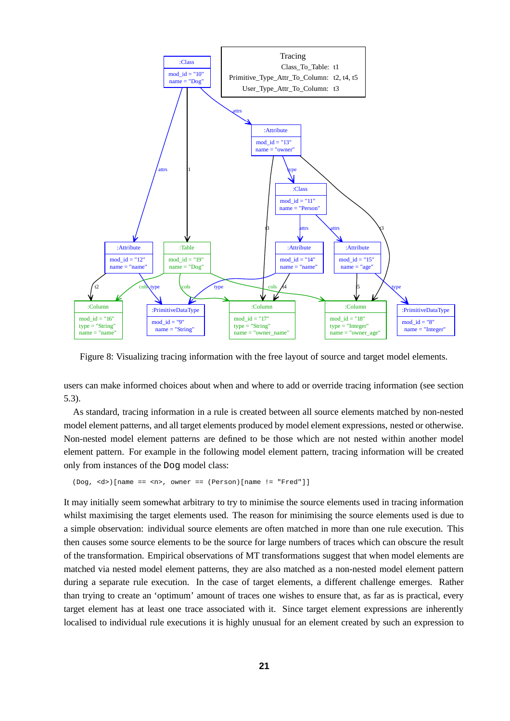

Figure 8: Visualizing tracing information with the free layout of source and target model elements.

users can make informed choices about when and where to add or override tracing information (see section 5.3).

As standard, tracing information in a rule is created between all source elements matched by non-nested model element patterns, and all target elements produced by model element expressions, nested or otherwise. Non-nested model element patterns are defined to be those which are not nested within another model element pattern. For example in the following model element pattern, tracing information will be created only from instances of the Dog model class:

```
(Dog, <d>)[name == <n>, owner == (Person)[name != "Fred"]]
```
It may initially seem somewhat arbitrary to try to minimise the source elements used in tracing information whilst maximising the target elements used. The reason for minimising the source elements used is due to a simple observation: individual source elements are often matched in more than one rule execution. This then causes some source elements to be the source for large numbers of traces which can obscure the result of the transformation. Empirical observations of MT transformations suggest that when model elements are matched via nested model element patterns, they are also matched as a non-nested model element pattern during a separate rule execution. In the case of target elements, a different challenge emerges. Rather than trying to create an 'optimum' amount of traces one wishes to ensure that, as far as is practical, every target element has at least one trace associated with it. Since target element expressions are inherently localised to individual rule executions it is highly unusual for an element created by such an expression to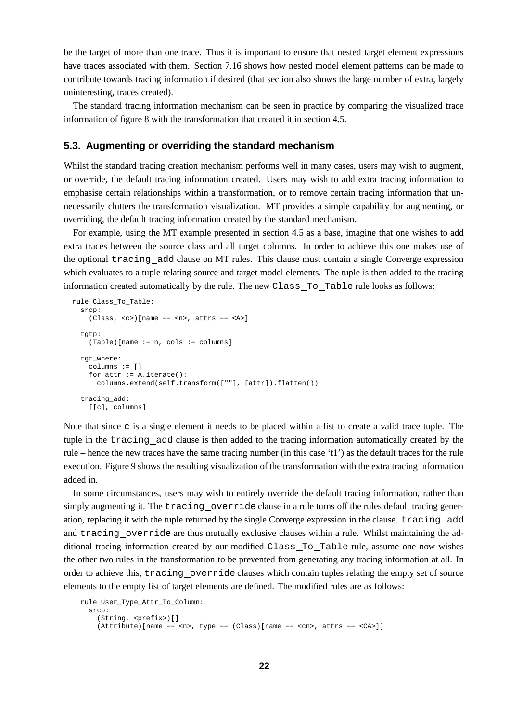be the target of more than one trace. Thus it is important to ensure that nested target element expressions have traces associated with them. Section 7.16 shows how nested model element patterns can be made to contribute towards tracing information if desired (that section also shows the large number of extra, largely uninteresting, traces created).

The standard tracing information mechanism can be seen in practice by comparing the visualized trace information of figure 8 with the transformation that created it in section 4.5.

#### **5.3. Augmenting or overriding the standard mechanism**

Whilst the standard tracing creation mechanism performs well in many cases, users may wish to augment, or override, the default tracing information created. Users may wish to add extra tracing information to emphasise certain relationships within a transformation, or to remove certain tracing information that unnecessarily clutters the transformation visualization. MT provides a simple capability for augmenting, or overriding, the default tracing information created by the standard mechanism.

For example, using the MT example presented in section 4.5 as a base, imagine that one wishes to add extra traces between the source class and all target columns. In order to achieve this one makes use of the optional tracing add clause on MT rules. This clause must contain a single Converge expression which evaluates to a tuple relating source and target model elements. The tuple is then added to the tracing information created automatically by the rule. The new Class To Table rule looks as follows:

```
rule Class_To_Table:
  srcp:
    (Class, <c>||name == <n>~; attrs == <A>~tgtp:
    (Table)[name := n, cols := columns]
  t.at. where:
    columns := []
    for attr := A. iterate():
      columns.extend(self.transform([""], [attr]).flatten())
  tracing_add:
    [[c], columns]
```
Note that since  $\sigma$  is a single element it needs to be placed within a list to create a valid trace tuple. The tuple in the tracing add clause is then added to the tracing information automatically created by the rule – hence the new traces have the same tracing number (in this case 't1') as the default traces for the rule execution. Figure 9 shows the resulting visualization of the transformation with the extra tracing information added in.

In some circumstances, users may wish to entirely override the default tracing information, rather than simply augmenting it. The tracing override clause in a rule turns off the rules default tracing generation, replacing it with the tuple returned by the single Converge expression in the clause. tracing add and tracing override are thus mutually exclusive clauses within a rule. Whilst maintaining the additional tracing information created by our modified Class To Table rule, assume one now wishes the other two rules in the transformation to be prevented from generating any tracing information at all. In order to achieve this, tracing override clauses which contain tuples relating the empty set of source elements to the empty list of target elements are defined. The modified rules are as follows:

```
rule User_Type_Attr_To_Column:
   srcp:
       (String, <prefix>)[]
       (Attribute)[name] == <math>\langle n \rangle</math>, type = (Class)[name] == <math>\langle cn \rangle</math>, <math>\langle n \rangle</math> = <math>\langle cn \rangle</math>,
```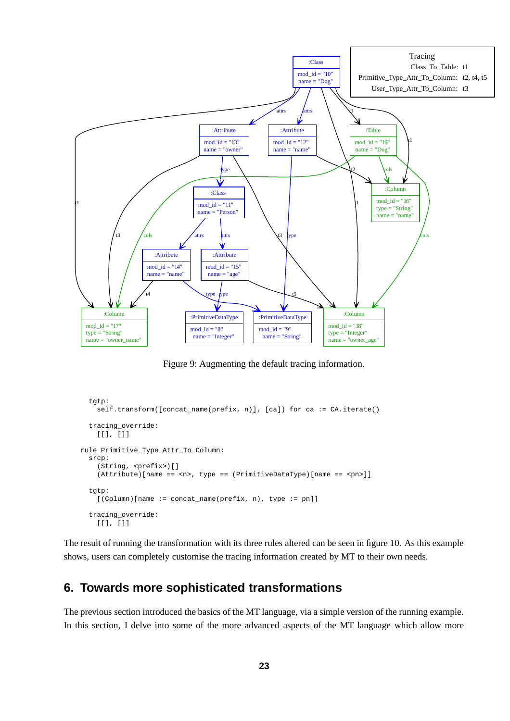

Figure 9: Augmenting the default tracing information.

```
tatp:
    self.transform([concat_name(prefix, n)], [ca]) for ca := CA.iterate()
  tracing_override:
    [[], []]
rule Primitive_Type_Attr_To_Column:
  srcp:
    (String, <prefix>)[]
    (Attribute)[name == <n>, type == (PrimitiveDataType)[name == <pn>]]
  tgtp:
    [(Column)[name := concat_name(prefix, n), type := pn]]
  tracing_override:
    [[], []]
```
The result of running the transformation with its three rules altered can be seen in figure 10. As this example shows, users can completely customise the tracing information created by MT to their own needs.

# **6. Towards more sophisticated transformations**

The previous section introduced the basics of the MT language, via a simple version of the running example. In this section, I delve into some of the more advanced aspects of the MT language which allow more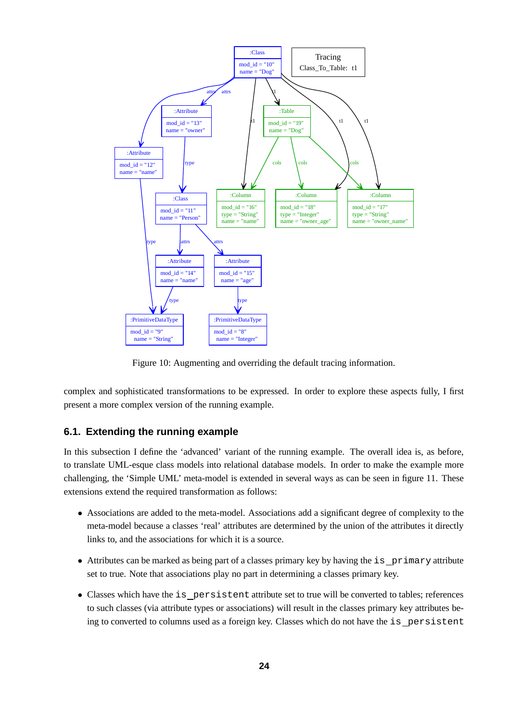

Figure 10: Augmenting and overriding the default tracing information.

complex and sophisticated transformations to be expressed. In order to explore these aspects fully, I first present a more complex version of the running example.

# **6.1. Extending the running example**

In this subsection I define the 'advanced' variant of the running example. The overall idea is, as before, to translate UML-esque class models into relational database models. In order to make the example more challenging, the 'Simple UML' meta-model is extended in several ways as can be seen in figure 11. These extensions extend the required transformation as follows:

- Associations are added to the meta-model. Associations add a significant degree of complexity to the meta-model because a classes 'real' attributes are determined by the union of the attributes it directly links to, and the associations for which it is a source.
- Attributes can be marked as being part of a classes primary key by having the is primary attribute set to true. Note that associations play no part in determining a classes primary key.
- Classes which have the is persistent attribute set to true will be converted to tables; references to such classes (via attribute types or associations) will result in the classes primary key attributes being to converted to columns used as a foreign key. Classes which do not have the is persistent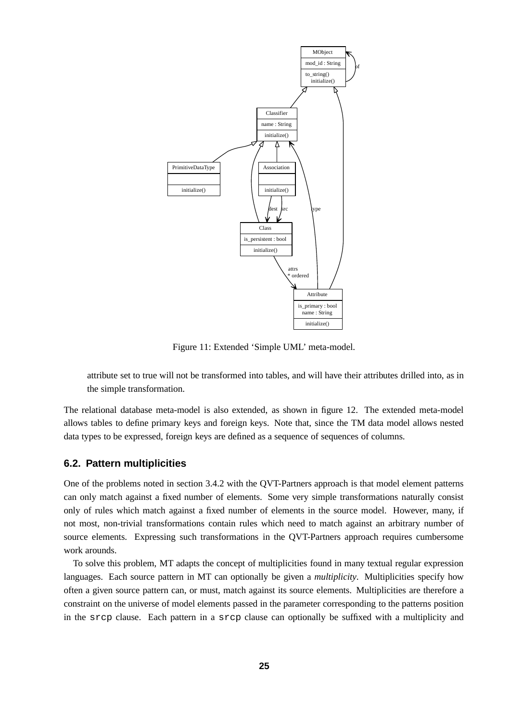

Figure 11: Extended 'Simple UML' meta-model.

attribute set to true will not be transformed into tables, and will have their attributes drilled into, as in the simple transformation.

The relational database meta-model is also extended, as shown in figure 12. The extended meta-model allows tables to define primary keys and foreign keys. Note that, since the TM data model allows nested data types to be expressed, foreign keys are defined as a sequence of sequences of columns.

## **6.2. Pattern multiplicities**

One of the problems noted in section 3.4.2 with the QVT-Partners approach is that model element patterns can only match against a fixed number of elements. Some very simple transformations naturally consist only of rules which match against a fixed number of elements in the source model. However, many, if not most, non-trivial transformations contain rules which need to match against an arbitrary number of source elements. Expressing such transformations in the QVT-Partners approach requires cumbersome work arounds.

To solve this problem, MT adapts the concept of multiplicities found in many textual regular expression languages. Each source pattern in MT can optionally be given a *multiplicity*. Multiplicities specify how often a given source pattern can, or must, match against its source elements. Multiplicities are therefore a constraint on the universe of model elements passed in the parameter corresponding to the patterns position in the srcp clause. Each pattern in a srcp clause can optionally be suffixed with a multiplicity and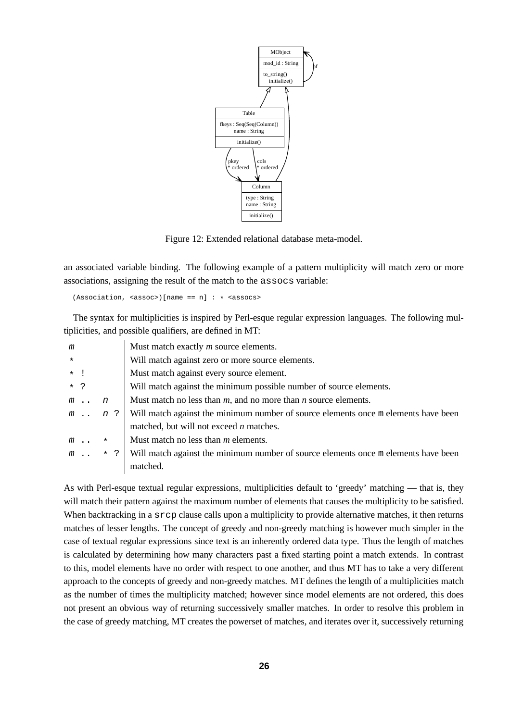

Figure 12: Extended relational database meta-model.

an associated variable binding. The following example of a pattern multiplicity will match zero or more associations, assigning the result of the match to the assocs variable:

 $(Association, [name == n] : * <assocs>$ 

The syntax for multiplicities is inspired by Perl-esque regular expression languages. The following multiplicities, and possible qualifiers, are defined in MT:

| m                              | Must match exactly <i>m</i> source elements.                                       |
|--------------------------------|------------------------------------------------------------------------------------|
| $\star$                        | Will match against zero or more source elements.                                   |
| $\star$                        | Must match against every source element.                                           |
| $\star$ ?                      | Will match against the minimum possible number of source elements.                 |
| $\boldsymbol{n}$<br>$m \ldots$ | Must match no less than $m$ , and no more than $n$ source elements.                |
| n ?<br>$m \ldots$              | Will match against the minimum number of source elements once m elements have been |
|                                | matched, but will not exceed $n$ matches.                                          |
| $\star$<br>$m \ldots$          | Must match no less than $m$ elements.                                              |
| $\star$ ?<br>$m \ldots$        | Will match against the minimum number of source elements once m elements have been |
|                                | matched.                                                                           |

As with Perl-esque textual regular expressions, multiplicities default to 'greedy' matching — that is, they will match their pattern against the maximum number of elements that causes the multiplicity to be satisfied. When backtracking in a srcp clause calls upon a multiplicity to provide alternative matches, it then returns matches of lesser lengths. The concept of greedy and non-greedy matching is however much simpler in the case of textual regular expressions since text is an inherently ordered data type. Thus the length of matches is calculated by determining how many characters past a fixed starting point a match extends. In contrast to this, model elements have no order with respect to one another, and thus MT has to take a very different approach to the concepts of greedy and non-greedy matches. MT defines the length of a multiplicities match as the number of times the multiplicity matched; however since model elements are not ordered, this does not present an obvious way of returning successively smaller matches. In order to resolve this problem in the case of greedy matching, MT creates the powerset of matches, and iterates over it, successively returning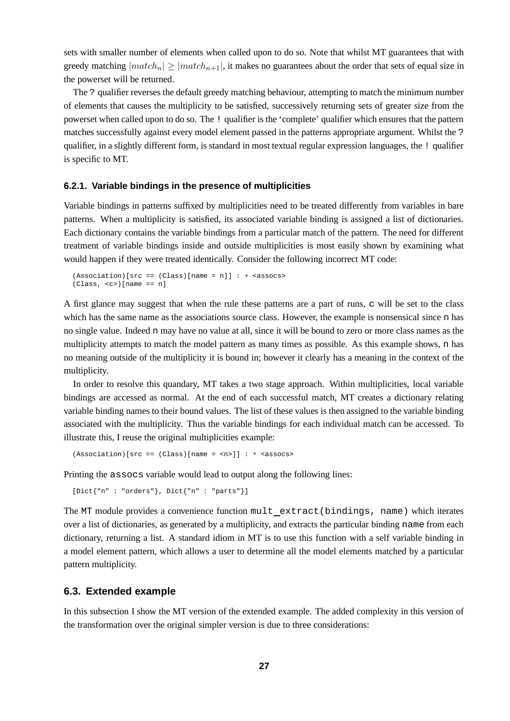sets with smaller number of elements when called upon to do so. Note that whilst MT guarantees that with greedy matching  $|match_n| \ge |match_{n+1}|$ , it makes no guarantees about the order that sets of equal size in the powerset will be returned.

The ? qualifier reverses the default greedy matching behaviour, attempting to match the minimum number of elements that causes the multiplicity to be satisfied, successively returning sets of greater size from the powerset when called upon to do so. The ! qualifier is the 'complete' qualifier which ensures that the pattern matches successfully against every model element passed in the patterns appropriate argument. Whilst the ? qualifier, in a slightly different form, is standard in most textual regular expression languages, the ! qualifier is specific to MT.

#### **6.2.1. Variable bindings in the presence of multiplicities**

Variable bindings in patterns suffixed by multiplicities need to be treated differently from variables in bare patterns. When a multiplicity is satisfied, its associated variable binding is assigned a list of dictionaries. Each dictionary contains the variable bindings from a particular match of the pattern. The need for different treatment of variable bindings inside and outside multiplicities is most easily shown by examining what would happen if they were treated identically. Consider the following incorrect MT code:

```
(Association)[src == (Class)[name = n]] : * <a>assocs&gt;(Class, <c> [name == n]
```
A first glance may suggest that when the rule these patterns are a part of runs, c will be set to the class which has the same name as the associations source class. However, the example is nonsensical since n has no single value. Indeed n may have no value at all, since it will be bound to zero or more class names as the multiplicity attempts to match the model pattern as many times as possible. As this example shows, n has no meaning outside of the multiplicity it is bound in; however it clearly has a meaning in the context of the multiplicity.

In order to resolve this quandary, MT takes a two stage approach. Within multiplicities, local variable bindings are accessed as normal. At the end of each successful match, MT creates a dictionary relating variable binding names to their bound values. The list of these values is then assigned to the variable binding associated with the multiplicity. Thus the variable bindings for each individual match can be accessed. To illustrate this, I reuse the original multiplicities example:

```
(Association)[src == (Class)[name = <sub>fn</sub>]] : * <sub>assocs</sub>)
```
Printing the assocs variable would lead to output along the following lines:

```
[Dict{"n" : "orders"}, Dict{"n" : "parts"}]
```
The MT module provides a convenience function mult extract(bindings, name) which iterates over a list of dictionaries, as generated by a multiplicity, and extracts the particular binding name from each dictionary, returning a list. A standard idiom in MT is to use this function with a self variable binding in a model element pattern, which allows a user to determine all the model elements matched by a particular pattern multiplicity.

# **6.3. Extended example**

In this subsection I show the MT version of the extended example. The added complexity in this version of the transformation over the original simpler version is due to three considerations: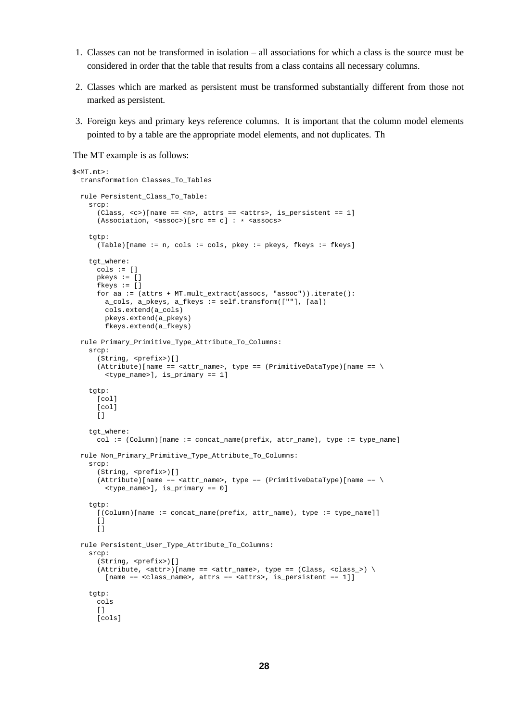- 1. Classes can not be transformed in isolation all associations for which a class is the source must be considered in order that the table that results from a class contains all necessary columns.
- 2. Classes which are marked as persistent must be transformed substantially different from those not marked as persistent.
- 3. Foreign keys and primary keys reference columns. It is important that the column model elements pointed to by a table are the appropriate model elements, and not duplicates. Th

The MT example is as follows:

```
$<MT.mt>:
 transformation Classes_To_Tables
 rule Persistent_Class_To_Table:
   srcp:
      (Class, <c>)[name == <n>, attrs == <attrs>, is_persistent == 1]
      (Association, <assoc)[src == c] : * <assocstgtp:
      (Table)[name := n, cols := cols, pkey := pkeys, fkeys := fkeys]
   tgt_where:
      cols := []pkeys := []
      fkeys := []for aa := (attrs + MT.mult_extract(assocs, "assoc")).iterate():
        a_cols, a_pkeys, a_fkeys := self.transform([""], [aa])
        cols.extend(a_cols)
        pkeys.extend(a_pkeys)
        fkeys.extend(a_fkeys)
 rule Primary_Primitive_Type_Attribute_To_Columns:
    srcp:
      (String, <prefix>)[]
      (Attribute)[name == <attr_name>, type == (PrimitiveDataType)[name == \
        <type_name>], is_primary == 1]
    tgtp:
      [col]
      [col]
     \lbracktgt_where:
      col := (Column)[name := concat_name(prefix, attr_name), type := type_name]
 rule Non_Primary_Primitive_Type_Attribute_To_Columns:
   srcp:
      (String, <prefix>)[]
      (Attribute)[name == <i>attr_name</i>], type == (PrimitiveDataType)[name == \n<type_name>], is_primary == 0]
    t.at.p:
      [(Column)[name := concat_name(prefix, attr_name), type := type_name]]
      \lceil]
      []
 rule Persistent_User_Type_Attribute_To_Columns:
    srcp:
      (String, <prefix>)[]
      (Attribute, <i>z</i> attr<math>)</math> [name == <i>z</i> attr_name), type == <i>(Class, <i>z</i> class_>) \[name == <class_name>, attrs == <attrs>, is_persistent == 1]]
    tgtp:
      cols
      []
      [cols]
```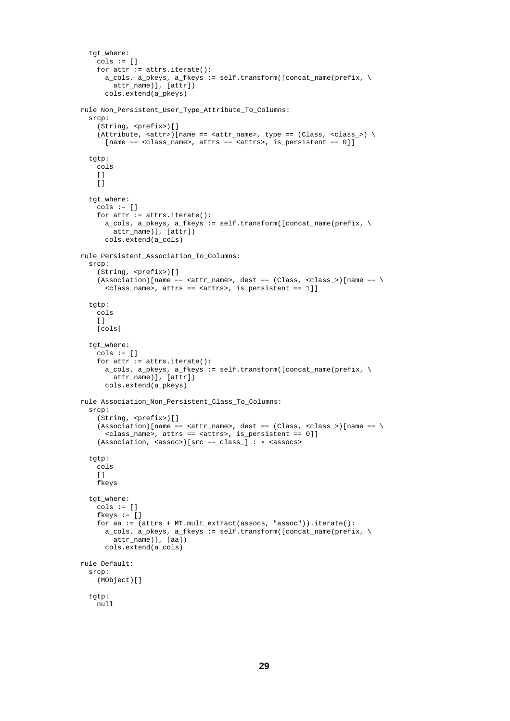```
tgt_where:
    cols := []for attr := attrs.iterate():
      a_cols, a_pkeys, a_fkeys := self.transform([concat_name(prefix, \
        attr_name)], [attr])
      cols.extend(a_pkeys)
rule Non_Persistent_User_Type_Attribute_To_Columns:
  srcp:
    (String, <prefix>)[]
    (Attribute, <at>start>)(name == <at>start_name, type == (Class, <class>)[name == <class_name>, attrs == <attrs>, is_persistent == 0]]
  tgtp:
    .<br>cols
    []\overline{1}tgt_where:
    cols := \lceil \cdot \rceilfor attr := attrs.iterate():
      a_{\text{c} \cdot \text{c} \cdot \text{c}} a_pkeys, a_{\text{c}} fkeys := self.transform([concat_name(prefix, \
        attr_name)], [attr])
      cols.extend(a_cols)
rule Persistent_Association_To_Columns:
  srcp:
    (String, <prefix>)[]
    (Association)[name == <">attr_name</code>, dest == (Class, <">class__</code>)[name == \<class_name>, attrs == <attrs>, is_persistent == 1]]
  tgtp:
    cols
    \lceil]
    [cols]
  tgt_where:
    cols := []for attr := attrs.iterate():
      a_cols, a_pkeys, a_fkeys := self.transform([concat_name(prefix, \
       attr_name)], [attr])
      cols.extend(a_pkeys)
rule Association Non Persistent Class To Columns:
  srcp:
    (String, <prefix>)[]
    (Association)[name == <attr_name>, dest == (Class, <class_>)[name == \
      <class_name>, attrs == <attrs>, is_persistent == 0]]
    (Association, <sassoc>|src == class_]: * <sassocs>tgtp:
    cols
    \Boxfkeys
  tgt_where:
    cols := []fkeys := []
    for aa := (attrs + MT.mult_extract(assocs, "assoc")).iterate():
      a cols, a pkeys, a fkeys := self.transform([concat_name(prefix, \
        attr_name)], [aa])
      cols.extend(a_cols)
rule Default:
  srcp:
    (MObject)[]
  tgtp:
    null
```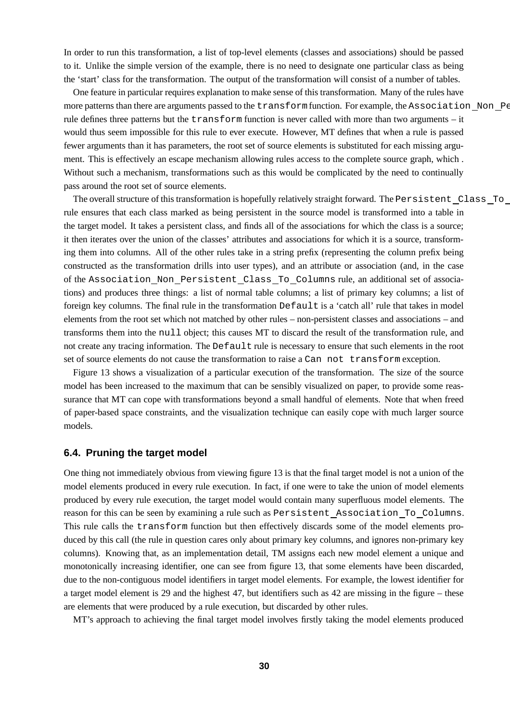In order to run this transformation, a list of top-level elements (classes and associations) should be passed to it. Unlike the simple version of the example, there is no need to designate one particular class as being the 'start' class for the transformation. The output of the transformation will consist of a number of tables.

One feature in particular requires explanation to make sense of this transformation. Many of the rules have more patterns than there are arguments passed to the transform function. For example, the Association Non Pe rule defines three patterns but the transform function is never called with more than two arguments – it would thus seem impossible for this rule to ever execute. However, MT defines that when a rule is passed fewer arguments than it has parameters, the root set of source elements is substituted for each missing argument. This is effectively an escape mechanism allowing rules access to the complete source graph, which . Without such a mechanism, transformations such as this would be complicated by the need to continually pass around the root set of source elements.

The overall structure of this transformation is hopefully relatively straight forward. The Persistent Class To rule ensures that each class marked as being persistent in the source model is transformed into a table in the target model. It takes a persistent class, and finds all of the associations for which the class is a source; it then iterates over the union of the classes' attributes and associations for which it is a source, transforming them into columns. All of the other rules take in a string prefix (representing the column prefix being constructed as the transformation drills into user types), and an attribute or association (and, in the case of the Association Non Persistent Class To Columns rule, an additional set of associations) and produces three things: a list of normal table columns; a list of primary key columns; a list of foreign key columns. The final rule in the transformation Default is a 'catch all' rule that takes in model elements from the root set which not matched by other rules – non-persistent classes and associations – and transforms them into the null object; this causes MT to discard the result of the transformation rule, and not create any tracing information. The Default rule is necessary to ensure that such elements in the root set of source elements do not cause the transformation to raise a Can not transform exception.

Figure 13 shows a visualization of a particular execution of the transformation. The size of the source model has been increased to the maximum that can be sensibly visualized on paper, to provide some reassurance that MT can cope with transformations beyond a small handful of elements. Note that when freed of paper-based space constraints, and the visualization technique can easily cope with much larger source models.

## **6.4. Pruning the target model**

One thing not immediately obvious from viewing figure 13 is that the final target model is not a union of the model elements produced in every rule execution. In fact, if one were to take the union of model elements produced by every rule execution, the target model would contain many superfluous model elements. The reason for this can be seen by examining a rule such as Persistent Association To Columns. This rule calls the transform function but then effectively discards some of the model elements produced by this call (the rule in question cares only about primary key columns, and ignores non-primary key columns). Knowing that, as an implementation detail, TM assigns each new model element a unique and monotonically increasing identifier, one can see from figure 13, that some elements have been discarded, due to the non-contiguous model identifiers in target model elements. For example, the lowest identifier for a target model element is 29 and the highest 47, but identifiers such as 42 are missing in the figure – these are elements that were produced by a rule execution, but discarded by other rules.

MT's approach to achieving the final target model involves firstly taking the model elements produced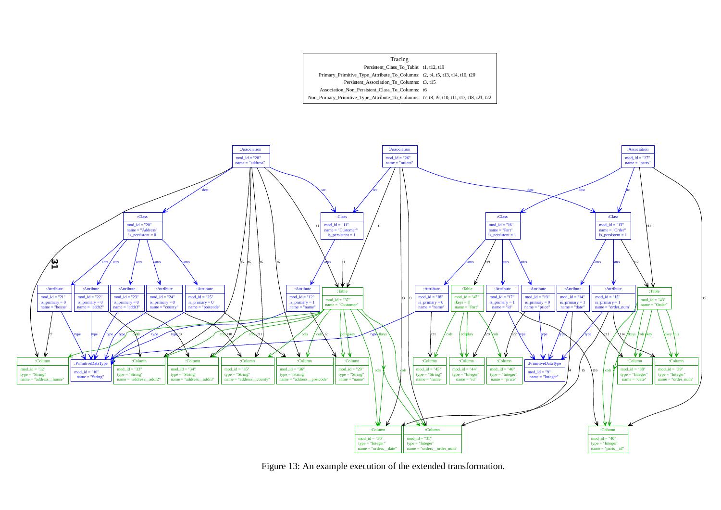



Figure 13: An example execution of the extended transformation.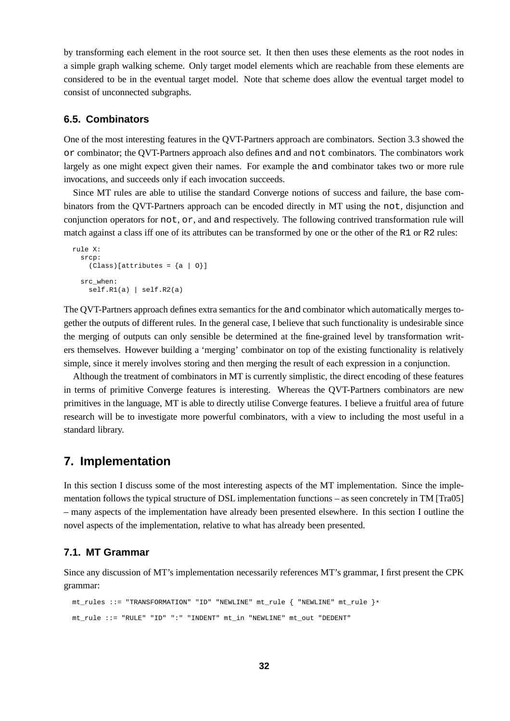by transforming each element in the root source set. It then then uses these elements as the root nodes in a simple graph walking scheme. Only target model elements which are reachable from these elements are considered to be in the eventual target model. Note that scheme does allow the eventual target model to consist of unconnected subgraphs.

# **6.5. Combinators**

One of the most interesting features in the QVT-Partners approach are combinators. Section 3.3 showed the or combinator; the QVT-Partners approach also defines and and not combinators. The combinators work largely as one might expect given their names. For example the and combinator takes two or more rule invocations, and succeeds only if each invocation succeeds.

Since MT rules are able to utilise the standard Converge notions of success and failure, the base combinators from the QVT-Partners approach can be encoded directly in MT using the not, disjunction and conjunction operators for not, or, and and respectively. The following contrived transformation rule will match against a class iff one of its attributes can be transformed by one or the other of the R1 or R2 rules:

```
rule X:
 srcp:
   (Class)[attributes = {a | 0}]src_when:
    self.R1(a) | self.R2(a)
```
The QVT-Partners approach defines extra semantics for the and combinator which automatically merges together the outputs of different rules. In the general case, I believe that such functionality is undesirable since the merging of outputs can only sensible be determined at the fine-grained level by transformation writers themselves. However building a 'merging' combinator on top of the existing functionality is relatively simple, since it merely involves storing and then merging the result of each expression in a conjunction.

Although the treatment of combinators in MT is currently simplistic, the direct encoding of these features in terms of primitive Converge features is interesting. Whereas the QVT-Partners combinators are new primitives in the language, MT is able to directly utilise Converge features. I believe a fruitful area of future research will be to investigate more powerful combinators, with a view to including the most useful in a standard library.

# **7. Implementation**

In this section I discuss some of the most interesting aspects of the MT implementation. Since the implementation follows the typical structure of DSL implementation functions – as seen concretely in TM [Tra05] – many aspects of the implementation have already been presented elsewhere. In this section I outline the novel aspects of the implementation, relative to what has already been presented.

### **7.1. MT Grammar**

Since any discussion of MT's implementation necessarily references MT's grammar, I first present the CPK grammar:

```
mt_rules ::= "TRANSFORMATION" "ID" "NEWLINE" mt_rule { "NEWLINE" mt_rule }*
mt_rule ::= "RULE" "ID" ":" "INDENT" mt_in "NEWLINE" mt_out "DEDENT"
```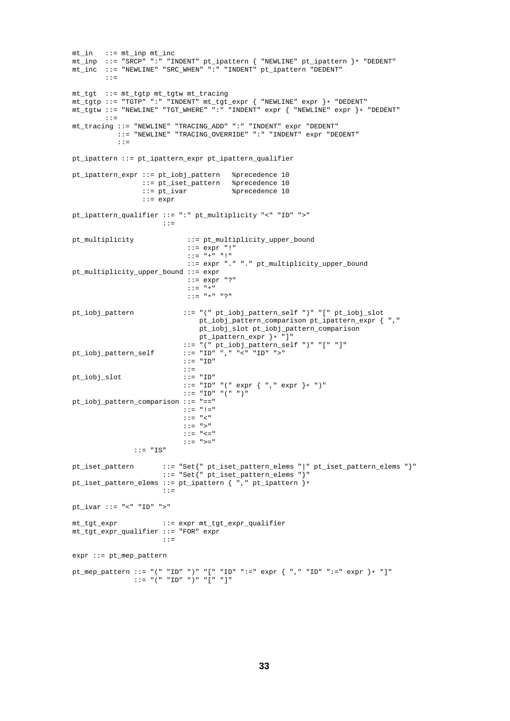```
mt_in ::= mt\_inp mt\_incmt_inp ::= "SRCP" ":" "INDENT" pt_ipattern { "NEWLINE" pt_ipattern }* "DEDENT"
mt_inc ::= "NEWLINE" "SRC_WHEN" ":" "INDENT" pt_ipattern "DEDENT"
       : : =mt_tgt ::= mt_tgtp mt_tgtw mt_tracing
mt_tgtp ::= "TGTP" ":" "INDENT" mt_tgt_expr { "NEWLINE" expr }* "DEDENT"
mt_tgtw ::= "NEWLINE" "TGT_WHERE" ":" "INDENT" expr { "NEWLINE" expr }* "DEDENT"
       ::=
mt_tracing ::= "NEWLINE" "TRACING_ADD" ":" "INDENT" expr "DEDENT"
           ::= "NEWLINE" "TRACING_OVERRIDE" ":" "INDENT" expr "DEDENT"
           ::=
pt_ipattern ::= pt_ipattern_expr pt_ipattern_qualifier
pt_ipattern_expr ::= pt_iobj_pattern %precedence 10
                 ::= pt_iset_pattern %precedence 10
                 ::= pt_ivar %precedence 10
                 ::= expr
pt_ipattern_qualifier ::= ":" pt_multiplicity "<" "ID" ">"
                     ::=
pt_multiplicity ::= pt_multiplicity_upper_bound
                           ::= expr "!"
                            ::= "\star" "!"
                            ::= expr "." "." pt_multiplicity_upper_bound
pt_multiplicity_upper_bound ::= expr
                           ::= expr "?"
                            ::= "*"
                           ::= "*" "?"
pt_iobj_pattern ::= "(" pt_iobj_pattern_self ")" "[" pt_iobj_slot
                              pt_iobj_pattern_comparison pt_ipattern_expr { ","
                              pt_iobj_slot pt_iobj_pattern_comparison
                              pt_ipattern_expr }* "]"
                           ::= "(" pt_iobj_pattern_self ")" "[" "]"
pt_iobj_pattern_self ::= "ID" "," "<" "ID" ">"
                           ::= "ID"
                           ::=<br>::= "ID"
pt_iobj_slot
                           ::= "ID" "(" expr { ", " expr }* ")"
                           ::= "ID" "(" ")"
pt_iobj_pattern_comparison ::= "=="
                           ::= "!="
                           ::= "<"
                           ::= ">"
                           ::= " == " == "::= ">="
              ::= "IS"pt_iset_pattern ::= "Set{" pt_iset_pattern_elems "|" pt_iset_pattern_elems "}"
                      ::= "Set{" pt_iset_pattern_elems "}"
pt_iset_pattern_elems ::= pt_ipattern { "," pt_ipattern }*
                     \cdot: =pt_ivar ::= "<" "ID" ">"
mt_tgt_expr ::= expr mt_tgt_expr_qualifier
mt_tgt_expr_qualifier ::= "FOR" expr
                     : : :=expr := pt mep pattern
pt_mep_pattern ::= "(" "ID" ")" "[" "ID" ":=" expr { "," "ID" ":=" expr }* "]"
              \therefore := "(" " T D" ")" " " " " " " "
```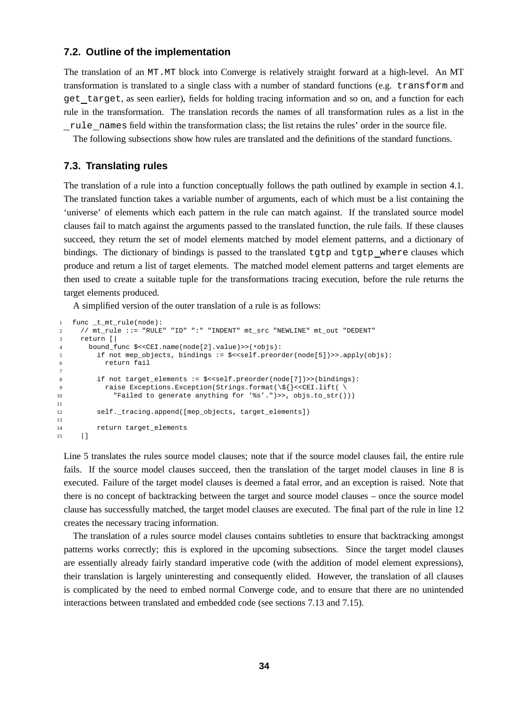## **7.2. Outline of the implementation**

The translation of an MT.MT block into Converge is relatively straight forward at a high-level. An MT transformation is translated to a single class with a number of standard functions (e.g. transform and get target, as seen earlier), fields for holding tracing information and so on, and a function for each rule in the transformation. The translation records the names of all transformation rules as a list in the rule names field within the transformation class; the list retains the rules' order in the source file.

The following subsections show how rules are translated and the definitions of the standard functions.

## **7.3. Translating rules**

The translation of a rule into a function conceptually follows the path outlined by example in section 4.1. The translated function takes a variable number of arguments, each of which must be a list containing the 'universe' of elements which each pattern in the rule can match against. If the translated source model clauses fail to match against the arguments passed to the translated function, the rule fails. If these clauses succeed, they return the set of model elements matched by model element patterns, and a dictionary of bindings. The dictionary of bindings is passed to the translated tgtp and tgtp where clauses which produce and return a list of target elements. The matched model element patterns and target elements are then used to create a suitable tuple for the transformations tracing execution, before the rule returns the target elements produced.

A simplified version of the outer translation of a rule is as follows:

```
1 func _t_mt_rule(node):
2 // mt_rule ::= "RULE" "ID" ":" "INDENT" mt_src "NEWLINE" mt_out "DEDENT"
3 return [|
4 bound_func $<<CEI.name(node[2].value)>>(*objs):
        if not mep_objects, bindings := $<<self.preorder(node[5])>> apply(objs):6 return fail
7
8 if not target_elements := $<<self.preorder(node[7])>>(bindings):
9 raise Exceptions.Exception(Strings.format(\${}<<CEI.lift( \
10 "Failed to generate anything for '%s'.")>>, objs.to_str()))
11
12 self._tracing.append([mep_objects, target_elements])
13
14 return target_elements
15 |]
```
Line 5 translates the rules source model clauses; note that if the source model clauses fail, the entire rule fails. If the source model clauses succeed, then the translation of the target model clauses in line 8 is executed. Failure of the target model clauses is deemed a fatal error, and an exception is raised. Note that there is no concept of backtracking between the target and source model clauses – once the source model clause has successfully matched, the target model clauses are executed. The final part of the rule in line 12 creates the necessary tracing information.

The translation of a rules source model clauses contains subtleties to ensure that backtracking amongst patterns works correctly; this is explored in the upcoming subsections. Since the target model clauses are essentially already fairly standard imperative code (with the addition of model element expressions), their translation is largely uninteresting and consequently elided. However, the translation of all clauses is complicated by the need to embed normal Converge code, and to ensure that there are no unintended interactions between translated and embedded code (see sections 7.13 and 7.15).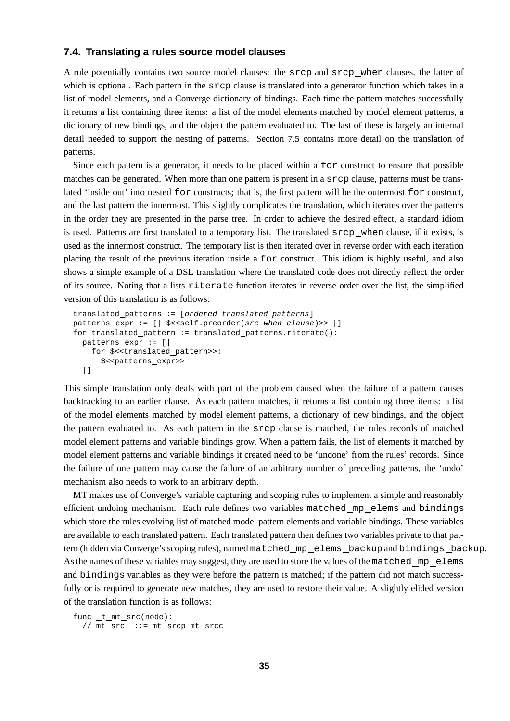# **7.4. Translating a rules source model clauses**

A rule potentially contains two source model clauses: the srcp and srcp when clauses, the latter of which is optional. Each pattern in the srcp clause is translated into a generator function which takes in a list of model elements, and a Converge dictionary of bindings. Each time the pattern matches successfully it returns a list containing three items: a list of the model elements matched by model element patterns, a dictionary of new bindings, and the object the pattern evaluated to. The last of these is largely an internal detail needed to support the nesting of patterns. Section 7.5 contains more detail on the translation of patterns.

Since each pattern is a generator, it needs to be placed within a for construct to ensure that possible matches can be generated. When more than one pattern is present in a srcp clause, patterns must be translated 'inside out' into nested for constructs; that is, the first pattern will be the outermost for construct, and the last pattern the innermost. This slightly complicates the translation, which iterates over the patterns in the order they are presented in the parse tree. In order to achieve the desired effect, a standard idiom is used. Patterns are first translated to a temporary list. The translated srcp when clause, if it exists, is used as the innermost construct. The temporary list is then iterated over in reverse order with each iteration placing the result of the previous iteration inside a for construct. This idiom is highly useful, and also shows a simple example of a DSL translation where the translated code does not directly reflect the order of its source. Noting that a lists riterate function iterates in reverse order over the list, the simplified version of this translation is as follows:

```
translated patterns := [ordered translated patterns]
patterns_expr := [| $<<self.preorder(src_when clause)>> |]
for translated pattern := translated patterns.riterate():
 patterns expr := [|
    for $<<translated pattern>>:
      $<patterns_expr>>
  |]
```
This simple translation only deals with part of the problem caused when the failure of a pattern causes backtracking to an earlier clause. As each pattern matches, it returns a list containing three items: a list of the model elements matched by model element patterns, a dictionary of new bindings, and the object the pattern evaluated to. As each pattern in the srcp clause is matched, the rules records of matched model element patterns and variable bindings grow. When a pattern fails, the list of elements it matched by model element patterns and variable bindings it created need to be 'undone' from the rules' records. Since the failure of one pattern may cause the failure of an arbitrary number of preceding patterns, the 'undo' mechanism also needs to work to an arbitrary depth.

MT makes use of Converge's variable capturing and scoping rules to implement a simple and reasonably efficient undoing mechanism. Each rule defines two variables matched mp elems and bindings which store the rules evolving list of matched model pattern elements and variable bindings. These variables are available to each translated pattern. Each translated pattern then defines two variables private to that pattern (hidden via Converge's scoping rules), named matched mp elems backup and bindings backup. As the names of these variables may suggest, they are used to store the values of the matched mp elems and bindings variables as they were before the pattern is matched; if the pattern did not match successfully or is required to generate new matches, they are used to restore their value. A slightly elided version of the translation function is as follows:

```
func_t_mt\_src(node):
  // mt\_src ::= mt\_srcp mt\_srcc
```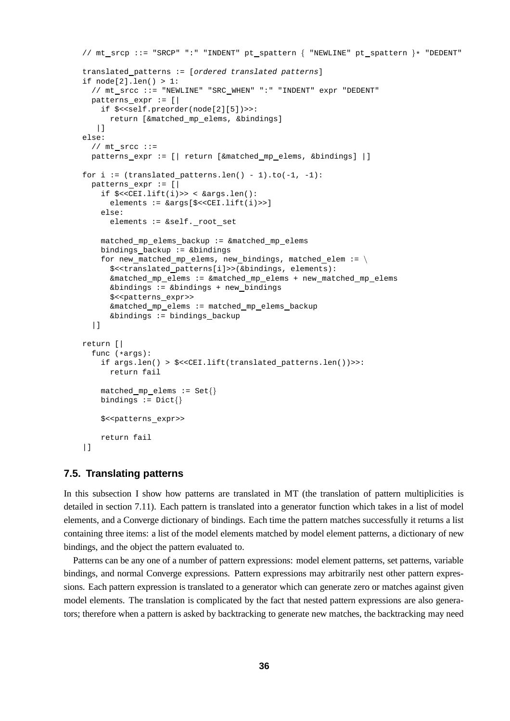```
// mt srcp ::= "SRCP" ":" "INDENT" pt spattern \{ "NEWLINE" pt spattern \}* "DEDENT"
translated patterns := [ordered translated patterns]
if node[2].len() > 1:
  // mt srcc ::= "NEWLINE" "SRC WHEN" ":" "INDENT" expr "DEDENT"
 patterns expr := [|
   if $<<self.preorder(node[2][5])>>:
      return [&matched mp elems, &bindings]
  |]
else:
 // mt srcc ::=
 patterns expr := [| return [&matched mp elems, &bindings] |]
for i := (translated patterns.len() - 1).to(-1, -1):
 patterns expr := [|
   if $<<CEI.lift(i)>> < &args.len():
     elements := &args[$<<CEI.lift(i)>>]
   else:
     elements := &self._root_set
   matched mp elems backup := &matched mp elems
   bindings backup := &bindings
   for new_matched_mp_elems, new_bindings, matched_elem := \setminus$<<translated patterns[i]>>(&bindings, elements):
      &matched mp elems := &matched mp elems + new matched mp elems
      &bindings := &bindings + new bindings
      $<<patterns expr>>
     &matched mp elems := matched mp elems backup
      &bindings := bindings backup
  |]return [|
 func (*args):
   if args.len() > $<<CEI.lift(translated patterns.len())>>:
     return fail
   matched_mp_elems := Set{}bindings := \text{Dict}$<<patterns_expr>>
   return fail
|]
```
## **7.5. Translating patterns**

In this subsection I show how patterns are translated in MT (the translation of pattern multiplicities is detailed in section 7.11). Each pattern is translated into a generator function which takes in a list of model elements, and a Converge dictionary of bindings. Each time the pattern matches successfully it returns a list containing three items: a list of the model elements matched by model element patterns, a dictionary of new bindings, and the object the pattern evaluated to.

Patterns can be any one of a number of pattern expressions: model element patterns, set patterns, variable bindings, and normal Converge expressions. Pattern expressions may arbitrarily nest other pattern expressions. Each pattern expression is translated to a generator which can generate zero or matches against given model elements. The translation is complicated by the fact that nested pattern expressions are also generators; therefore when a pattern is asked by backtracking to generate new matches, the backtracking may need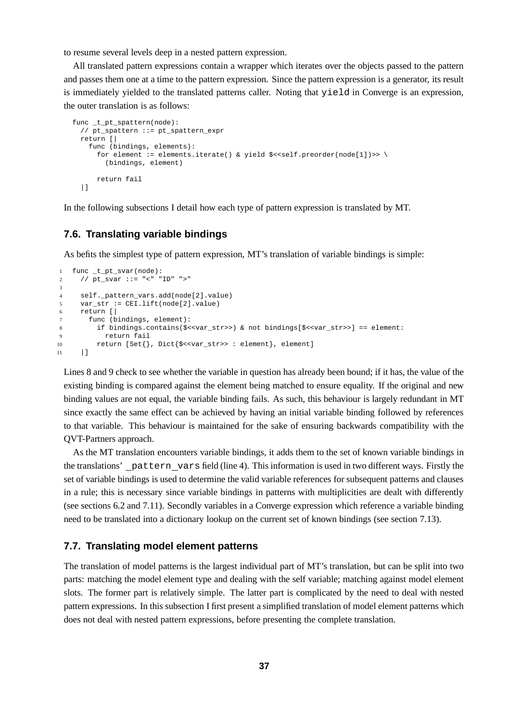to resume several levels deep in a nested pattern expression.

All translated pattern expressions contain a wrapper which iterates over the objects passed to the pattern and passes them one at a time to the pattern expression. Since the pattern expression is a generator, its result is immediately yielded to the translated patterns caller. Noting that yield in Converge is an expression, the outer translation is as follows:

```
func _t_pt_spattern(node):
  // pt_spattern ::= pt_spattern_expr
 return [|
   func (bindings, elements):
      for element := elements.iterate() & yield $<<self.preorder(node[1])>> \setminus(bindings, element)
      return fail
  |]
```
In the following subsections I detail how each type of pattern expression is translated by MT.

# **7.6. Translating variable bindings**

As befits the simplest type of pattern expression, MT's translation of variable bindings is simple:

```
1 func _t_pt_svar(node):
2 // pt_svar ::= "<" "ID" ">"
3
4 self._pattern_vars.add(node[2].value)
5 var_str := CEI.lift(node[2].value)
6 return [|
7 func (bindings, element):
8 if bindings.contains($<<var_str>>) & not bindings[$<<var_str>>] == element:
9 return fail
10 return [Set{}, Dict{$<<var_str>> : element}, element]
11 |]
```
Lines 8 and 9 check to see whether the variable in question has already been bound; if it has, the value of the existing binding is compared against the element being matched to ensure equality. If the original and new binding values are not equal, the variable binding fails. As such, this behaviour is largely redundant in MT since exactly the same effect can be achieved by having an initial variable binding followed by references to that variable. This behaviour is maintained for the sake of ensuring backwards compatibility with the QVT-Partners approach.

As the MT translation encounters variable bindings, it adds them to the set of known variable bindings in the translations' pattern vars field (line 4). This information is used in two different ways. Firstly the set of variable bindings is used to determine the valid variable references for subsequent patterns and clauses in a rule; this is necessary since variable bindings in patterns with multiplicities are dealt with differently (see sections 6.2 and 7.11). Secondly variables in a Converge expression which reference a variable binding need to be translated into a dictionary lookup on the current set of known bindings (see section 7.13).

## **7.7. Translating model element patterns**

The translation of model patterns is the largest individual part of MT's translation, but can be split into two parts: matching the model element type and dealing with the self variable; matching against model element slots. The former part is relatively simple. The latter part is complicated by the need to deal with nested pattern expressions. In this subsection I first present a simplified translation of model element patterns which does not deal with nested pattern expressions, before presenting the complete translation.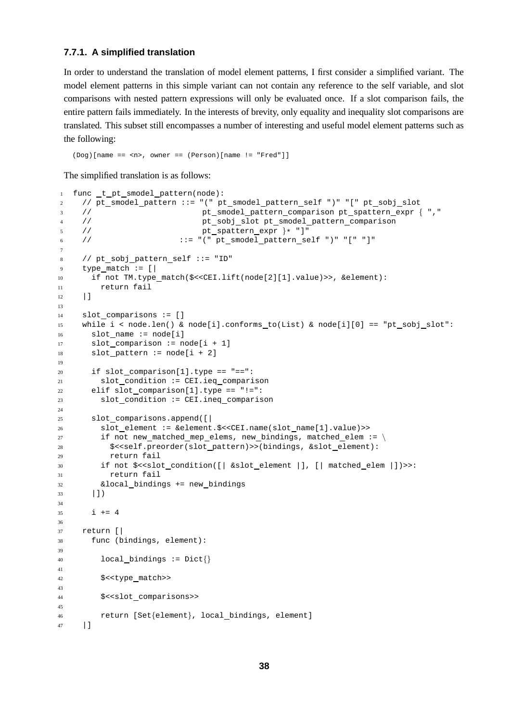# **7.7.1. A simplified translation**

In order to understand the translation of model element patterns, I first consider a simplified variant. The model element patterns in this simple variant can not contain any reference to the self variable, and slot comparisons with nested pattern expressions will only be evaluated once. If a slot comparison fails, the entire pattern fails immediately. In the interests of brevity, only equality and inequality slot comparisons are translated. This subset still encompasses a number of interesting and useful model element patterns such as the following:

(Dog)[name == <n>, owner == (Person)[name != "Fred"]]

The simplified translation is as follows:

```
1 func t pt smodel pattern(node):
2 // pt_smodel_pattern ::= "(" pt_smodel_pattern_self ")" "[" pt_sobj_slot
3 // pt_smodel_pattern_comparison pt_spattern_expr { ", "
4 // pt sobj slot pt smodel pattern comparison
5 // pt\_spattern\_expr } * "]<br>6 // ::= "(" pt] smooth pattern s6 // ::= "(" pt smodel pattern self ")" "[" "]"
7
8 // pt sobj pattern self ::= "ID"
9 type_match := [|
10 if not TM.type match($<<CEI.lift(node[2][1].value)>>, &element):
11 return fail
12 |]
13
14 slot comparisons := []
15 while i \leq node.len() & node[i].conforms to(List) & node[i][0] == "pt sobj slot":
16 slot name := node[i]17 slot comparison := node[i + 1]
18 slot pattern := node[i + 2]19
20 if slot comparison[1].type == "==":
21 slot condition := CEI.ieq comparison
22 elif slot comparison[1].type == "!=":
23 slot condition := CEI.ineq comparison
24
25 slot comparisons.append([|
26 slot element := &element.$<<CEI.name(slot name[1].value)>>
27 if not new matched mep elems, new bindings, matched elem := \setminus28 $<<self.preorder(slot pattern)>>(bindings, &slot element):
29 return fail
30 if not \frac{\epsilon}{3}<slot_condition([| &slot_element |], [| matched_elem |])>>:
31 return fail
32 &local bindings += new bindings
33 |])
34
35 \quad i \quad += \quad 436
37 return [|
38 func (bindings, element):
39
40 local bindings := Dict{}
41
42 $<<type match>>
43
44 $<<slot comparisons>>
45
46 return [Set{element}, local bindings, element]
47 | 1
```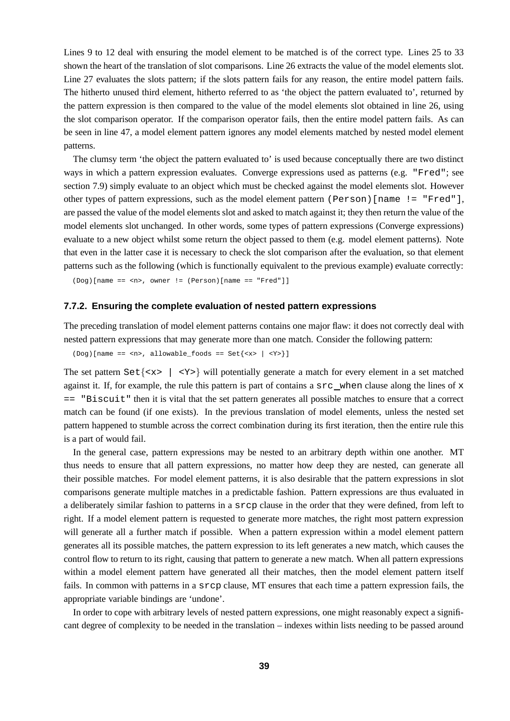Lines 9 to 12 deal with ensuring the model element to be matched is of the correct type. Lines 25 to 33 shown the heart of the translation of slot comparisons. Line 26 extracts the value of the model elements slot. Line 27 evaluates the slots pattern; if the slots pattern fails for any reason, the entire model pattern fails. The hitherto unused third element, hitherto referred to as 'the object the pattern evaluated to', returned by the pattern expression is then compared to the value of the model elements slot obtained in line 26, using the slot comparison operator. If the comparison operator fails, then the entire model pattern fails. As can be seen in line 47, a model element pattern ignores any model elements matched by nested model element patterns.

The clumsy term 'the object the pattern evaluated to' is used because conceptually there are two distinct ways in which a pattern expression evaluates. Converge expressions used as patterns (e.g. "Fred"; see section 7.9) simply evaluate to an object which must be checked against the model elements slot. However other types of pattern expressions, such as the model element pattern (Person)[name != "Fred"], are passed the value of the model elements slot and asked to match against it; they then return the value of the model elements slot unchanged. In other words, some types of pattern expressions (Converge expressions) evaluate to a new object whilst some return the object passed to them (e.g. model element patterns). Note that even in the latter case it is necessary to check the slot comparison after the evaluation, so that element patterns such as the following (which is functionally equivalent to the previous example) evaluate correctly:

(Dog)[name == <n>, owner != (Person)[name == "Fred"]]

#### **7.7.2. Ensuring the complete evaluation of nested pattern expressions**

The preceding translation of model element patterns contains one major flaw: it does not correctly deal with nested pattern expressions that may generate more than one match. Consider the following pattern:

```
(Dog)[name == <sub>2</sub>, all <sub>1</sub>, <sub>2</sub>, <sub>3</sub>]
```
The set pattern  $\text{Set}\{<\mathbf{x}> | <\mathbf{y}> \}$  will potentially generate a match for every element in a set matched against it. If, for example, the rule this pattern is part of contains a  $src$  when clause along the lines of  $x$ == "Biscuit" then it is vital that the set pattern generates all possible matches to ensure that a correct match can be found (if one exists). In the previous translation of model elements, unless the nested set pattern happened to stumble across the correct combination during its first iteration, then the entire rule this is a part of would fail.

In the general case, pattern expressions may be nested to an arbitrary depth within one another. MT thus needs to ensure that all pattern expressions, no matter how deep they are nested, can generate all their possible matches. For model element patterns, it is also desirable that the pattern expressions in slot comparisons generate multiple matches in a predictable fashion. Pattern expressions are thus evaluated in a deliberately similar fashion to patterns in a srcp clause in the order that they were defined, from left to right. If a model element pattern is requested to generate more matches, the right most pattern expression will generate all a further match if possible. When a pattern expression within a model element pattern generates all its possible matches, the pattern expression to its left generates a new match, which causes the control flow to return to its right, causing that pattern to generate a new match. When all pattern expressions within a model element pattern have generated all their matches, then the model element pattern itself fails. In common with patterns in a srcp clause, MT ensures that each time a pattern expression fails, the appropriate variable bindings are 'undone'.

In order to cope with arbitrary levels of nested pattern expressions, one might reasonably expect a significant degree of complexity to be needed in the translation – indexes within lists needing to be passed around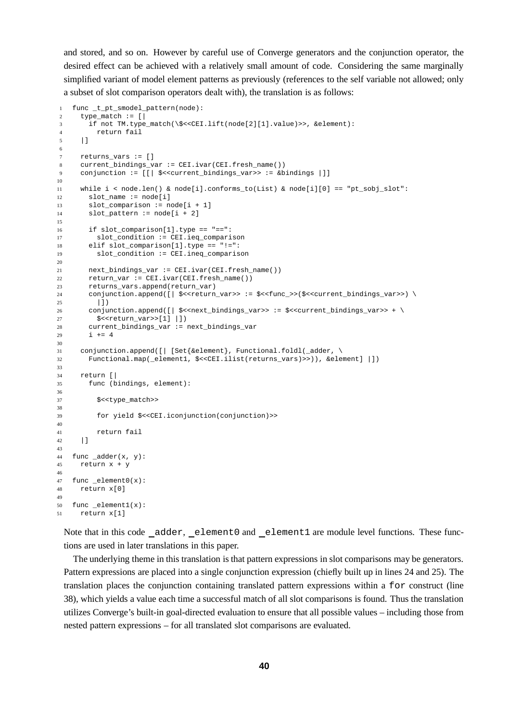and stored, and so on. However by careful use of Converge generators and the conjunction operator, the desired effect can be achieved with a relatively small amount of code. Considering the same marginally simplified variant of model element patterns as previously (references to the self variable not allowed; only a subset of slot comparison operators dealt with), the translation is as follows:

```
1 func _t_pt_smodel_pattern(node):
2 type_match := [|
3 if not TM.type_match(\$<<CEI.lift(node[2][1].value)>>, &element):
4 return fail
5 |]
6
7 returns vars := [ ]8 current_bindings_var := CEI.ivar(CEI.fresh_name())
9 conjunction := [[| $<<current_bindings_var>> := &bindings |]]
10
11 while i < node.len() & node[i].conforms_to(List) & node[i][0] == "pt_sobj_slot":
12 slot_name := node[i]
13 slot comparison := node[i + 1]
14 slot pattern := node[i + 2]15
16 if slot_comparison[1].type == "==":
17 slot_condition := CEI.ieq_comparison
18 elif slot_comparison[1].type == "!=":
19 slot_condition := CEI.ineq_comparison
20
21 next_bindings_var := CEI.ivar(CEI.fresh_name())
22 return_var := CEI.ivar(CEI.fresh_name())
23 returns_vars.append(return_var)
24 conjunction.append([| \frac{1}{2} \] \frac{1}{2} <<return_var>> := \frac{1}{2} << func_>>(\frac{1}{2} << current_bindings_var>>) \langle25 |])
26 conjunction.append([| $<<next_bindings_var>> := $<<current_bindings_var>> + \
27 $<<return_var>>[1] |])
28 current_bindings_var := next_bindings_var
29 i += 430
31 conjunction.append([| [Set{&element}, Functional.foldl(_adder, \
32 Functional.map(_element1, $<<CEI.ilist(returns_vars)>>)), &element] |])
33
34 return [|
35 func (bindings, element):
36
37 $<<type match>>
38
39 for yield $<<CEI.iconjunction(conjunction)>>
40
41 return fail
42 |]
43
44 func adder(x, y):
45 return x + y
46
47 func _element0(x):
48 return x[0]
49
50 func element1(x):51 return x[1]
```
Note that in this code adder, element0 and element1 are module level functions. These functions are used in later translations in this paper.

The underlying theme in this translation is that pattern expressions in slot comparisons may be generators. Pattern expressions are placed into a single conjunction expression (chiefly built up in lines 24 and 25). The translation places the conjunction containing translated pattern expressions within a for construct (line 38), which yields a value each time a successful match of all slot comparisons is found. Thus the translation utilizes Converge's built-in goal-directed evaluation to ensure that all possible values – including those from nested pattern expressions – for all translated slot comparisons are evaluated.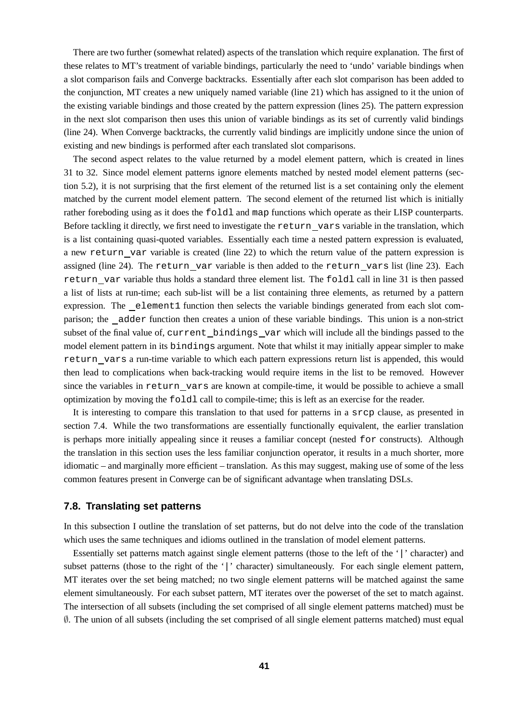There are two further (somewhat related) aspects of the translation which require explanation. The first of these relates to MT's treatment of variable bindings, particularly the need to 'undo' variable bindings when a slot comparison fails and Converge backtracks. Essentially after each slot comparison has been added to the conjunction, MT creates a new uniquely named variable (line 21) which has assigned to it the union of the existing variable bindings and those created by the pattern expression (lines 25). The pattern expression in the next slot comparison then uses this union of variable bindings as its set of currently valid bindings (line 24). When Converge backtracks, the currently valid bindings are implicitly undone since the union of existing and new bindings is performed after each translated slot comparisons.

The second aspect relates to the value returned by a model element pattern, which is created in lines 31 to 32. Since model element patterns ignore elements matched by nested model element patterns (section 5.2), it is not surprising that the first element of the returned list is a set containing only the element matched by the current model element pattern. The second element of the returned list which is initially rather foreboding using as it does the foldl and map functions which operate as their LISP counterparts. Before tackling it directly, we first need to investigate the return vars variable in the translation, which is a list containing quasi-quoted variables. Essentially each time a nested pattern expression is evaluated, a new return var variable is created (line 22) to which the return value of the pattern expression is assigned (line 24). The return var variable is then added to the return vars list (line 23). Each return var variable thus holds a standard three element list. The foldl call in line 31 is then passed a list of lists at run-time; each sub-list will be a list containing three elements, as returned by a pattern expression. The element1 function then selects the variable bindings generated from each slot comparison; the adder function then creates a union of these variable bindings. This union is a non-strict subset of the final value of, current bindings var which will include all the bindings passed to the model element pattern in its bindings argument. Note that whilst it may initially appear simpler to make return vars a run-time variable to which each pattern expressions return list is appended, this would then lead to complications when back-tracking would require items in the list to be removed. However since the variables in return vars are known at compile-time, it would be possible to achieve a small optimization by moving the foldl call to compile-time; this is left as an exercise for the reader.

It is interesting to compare this translation to that used for patterns in a srcp clause, as presented in section 7.4. While the two transformations are essentially functionally equivalent, the earlier translation is perhaps more initially appealing since it reuses a familiar concept (nested for constructs). Although the translation in this section uses the less familiar conjunction operator, it results in a much shorter, more idiomatic – and marginally more efficient – translation. As this may suggest, making use of some of the less common features present in Converge can be of significant advantage when translating DSLs.

## **7.8. Translating set patterns**

In this subsection I outline the translation of set patterns, but do not delve into the code of the translation which uses the same techniques and idioms outlined in the translation of model element patterns.

Essentially set patterns match against single element patterns (those to the left of the '|' character) and subset patterns (those to the right of the '|' character) simultaneously. For each single element pattern, MT iterates over the set being matched; no two single element patterns will be matched against the same element simultaneously. For each subset pattern, MT iterates over the powerset of the set to match against. The intersection of all subsets (including the set comprised of all single element patterns matched) must be ∅. The union of all subsets (including the set comprised of all single element patterns matched) must equal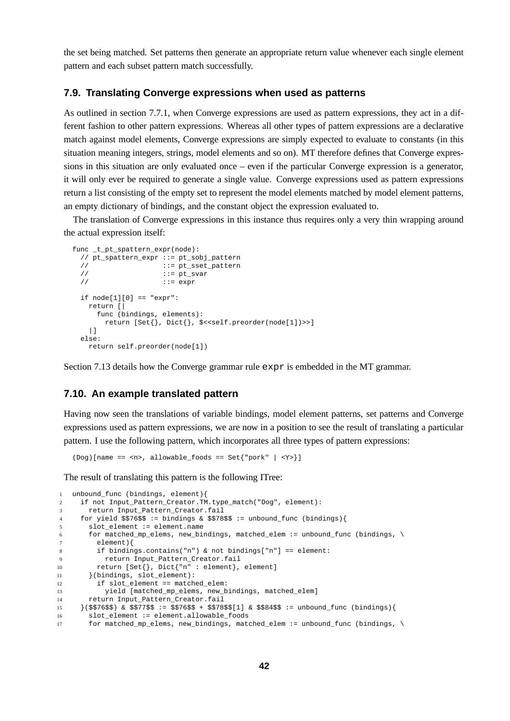the set being matched. Set patterns then generate an appropriate return value whenever each single element pattern and each subset pattern match successfully.

#### **7.9. Translating Converge expressions when used as patterns**

As outlined in section 7.7.1, when Converge expressions are used as pattern expressions, they act in a different fashion to other pattern expressions. Whereas all other types of pattern expressions are a declarative match against model elements, Converge expressions are simply expected to evaluate to constants (in this situation meaning integers, strings, model elements and so on). MT therefore defines that Converge expressions in this situation are only evaluated once – even if the particular Converge expression is a generator, it will only ever be required to generate a single value. Converge expressions used as pattern expressions return a list consisting of the empty set to represent the model elements matched by model element patterns, an empty dictionary of bindings, and the constant object the expression evaluated to.

The translation of Converge expressions in this instance thus requires only a very thin wrapping around the actual expression itself:

```
func t pt spattern expr(node):
 // pt_spattern_expr ::= pt_sobj_pattern
 // ::= pt_sset_pattern
 // ::= pt_svar
 // ::= expr
 if node[1][0] == "expr":return [|
    func (bindings, elements):
      return [Set{}, Dict{}, $<<self.preorder(node[1])>>]
   |]
 else:
  return self.preorder(node[1])
```
Section 7.13 details how the Converge grammar rule expr is embedded in the MT grammar.

# **7.10. An example translated pattern**

Having now seen the translations of variable bindings, model element patterns, set patterns and Converge expressions used as pattern expressions, we are now in a position to see the result of translating a particular pattern. I use the following pattern, which incorporates all three types of pattern expressions:

(Dog)[name == <n>, allowable\_foods == Set{"pork" | <Y>}]

The result of translating this pattern is the following ITree:

```
1 unbound_func (bindings, element){
2 if not Input_Pattern_Creator.TM.type_match("Dog", element):
3 return Input_Pattern_Creator.fail
4 for yield $$76$$ := bindings & $$78$$ := unbound_func (bindings){
5 slot_element := element.name
6 for matched_mp_elems, new_bindings, matched_elem := unbound_func (bindings, \
7 element){
8 if bindings.contains("n") \& not bindings["n"] == element:
9 return Input_Pattern_Creator.fail
10 return [Set{}, Dict{"n" : element}, element]
11 }(bindings, slot_element):
12 if slot_element == matched_elem:
13 yield [matched_mp_elems, new_bindings, matched_elem]
14 return Input_Pattern_Creator.fail
15 }($$76$$) & $$77$$ := $$76$$ + $$78$$[1] & $$84$$ := unbound_func (bindings){
16 slot_element := element.allowable_foods
17 for matched_mp_elems, new_bindings, matched_elem := unbound_func (bindings, \
```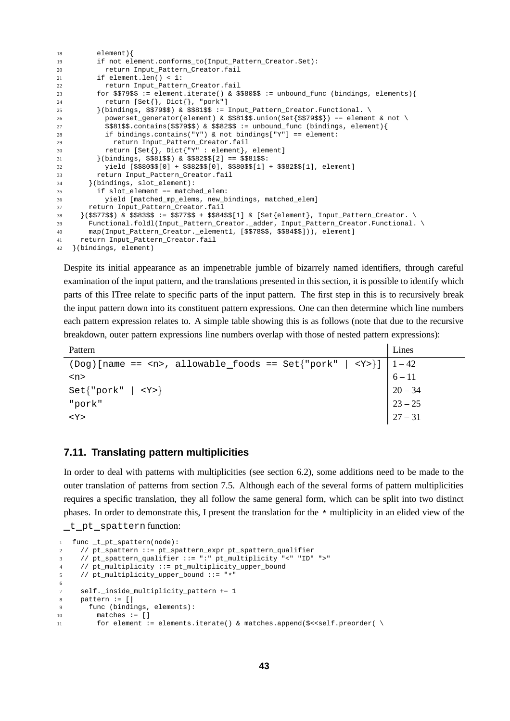```
18 element){
19 if not element.conforms_to(Input_Pattern_Creator.Set):
20 return Input_Pattern_Creator.fail
21 if element.len() < 1:
22 return Input_Pattern_Creator.fail
23 for $$79$$ := element.iterate() & $$80$$ := unbound_func (bindings, elements){
24 return [Set{}, Dict{}, "pork"]
25 \{ (bindings, $$79$$) & $$81$$ := Input_Pattern_Creator. Functional.
26 powerset_generator(element) & $$81$$.union(Set{$$79$$}) == element & not \
27 $$81$$.contains($$79$$) & $$82$$ := unbound_func (bindings, element){
28 if bindings.contains("Y") & not bindings["Y"] == element:
29 return Input_Pattern_Creator.fail
30 return [Set{}, Dict{"Y" : element}, element]
31 }(bindings, $$81$$) & $$82$$[2] == $$81$$:
32 yield [$$80$$[0] + $$82$$[0], $$80$$[1] + $$82$$[1], element]
33 return Input_Pattern_Creator.fail
34 }(bindings, slot_element):
35 if slot_element == matched_elem:
36 yield [matched_mp_elems, new_bindings, matched_elem]
37 return Input_Pattern_Creator.fail
38 }($$77$$) & $$83$$ := $$77$$ + $$84$$[1] & [Set{element}, Input_Pattern_Creator. \
39 Functional.foldl(Input_Pattern_Creator._adder, Input_Pattern_Creator.Functional. \
40 map(Input_Pattern_Creator._element1, [$$78$$, $$84$$])), element]
41 return Input_Pattern_Creator.fail
42 }(bindings, element)
```
Despite its initial appearance as an impenetrable jumble of bizarrely named identifiers, through careful examination of the input pattern, and the translations presented in this section, it is possible to identify which parts of this ITree relate to specific parts of the input pattern. The first step in this is to recursively break the input pattern down into its constituent pattern expressions. One can then determine which line numbers each pattern expression relates to. A simple table showing this is as follows (note that due to the recursive breakdown, outer pattern expressions line numbers overlap with those of nested pattern expressions):

Pattern Lines

| $(Dog)$ [name == <n>, allowable_foods == Set{"pork"   <y>}]   1 - 42</y></n> |                                                          |
|------------------------------------------------------------------------------|----------------------------------------------------------|
| <n></n>                                                                      | $6 - 11$                                                 |
| $Set{ "pork"   }$                                                            | $20 - 34$                                                |
| "pork"                                                                       | $\begin{array}{ c }\n 23 - 25 \\  27 - 31\n \end{array}$ |
| $<$ Y $>$                                                                    |                                                          |

## **7.11. Translating pattern multiplicities**

In order to deal with patterns with multiplicities (see section 6.2), some additions need to be made to the outer translation of patterns from section 7.5. Although each of the several forms of pattern multiplicities requires a specific translation, they all follow the same general form, which can be split into two distinct phases. In order to demonstrate this, I present the translation for the \* multiplicity in an elided view of the \_t\_pt\_spattern function:

```
1 func _t_pt_spattern(node):
2 // pt_spattern ::= pt_spattern_expr pt_spattern_qualifier
3 // pt_spattern_qualifier ::= ":" pt_multiplicity "<" "ID" ">"
4 // pt_multiplicity ::= pt_multiplicity_upper_bound
5 // pt_multiplicity_upper_bound ::= "*"
6
7 self._inside_multiplicity_pattern += 1
8 pattern := \lceil \cdot \rceil9 func (bindings, elements):
10 matches := []
11 for element := elements.iterate() & matches.append($<<self.preorder( \
```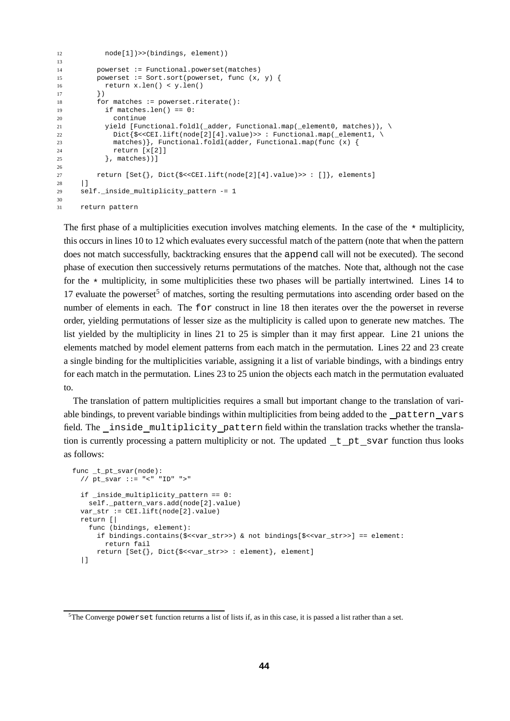```
12 node[1])>>(bindings, element))
13
14 powerset := Functional.powerset(matches)
15 powerset := Sort.sort(powerset, func (x, y) {
16 return x.len() < y.len()
17 } }
18 for matches := powerset.riterate():
19 if matches.len() == 0:
20 continue
21 yield [Functional.foldl(_adder, Functional.map(_element0, matches)), \
22 Dict{$<<CEI.lift(node[2][4].value)>> : Functional.map(_element1, \
23 matches) }, Functional.foldl(adder, Functional.map(func (x) {
24 return [x[2]]
25 }, matches))]
26
27 return [Set{}, Dict{$<<CEI.lift(node[2][4].value)>> : []}, elements]
     | |29 self._inside_multiplicity_pattern -= 1
30
31 return pattern
```
The first phase of a multiplicities execution involves matching elements. In the case of the  $\star$  multiplicity, this occurs in lines 10 to 12 which evaluates every successful match of the pattern (note that when the pattern does not match successfully, backtracking ensures that the append call will not be executed). The second phase of execution then successively returns permutations of the matches. Note that, although not the case for the  $*$  multiplicity, in some multiplicities these two phases will be partially intertwined. Lines 14 to 17 evaluate the powerset<sup>5</sup> of matches, sorting the resulting permutations into ascending order based on the number of elements in each. The for construct in line 18 then iterates over the the powerset in reverse order, yielding permutations of lesser size as the multiplicity is called upon to generate new matches. The list yielded by the multiplicity in lines 21 to 25 is simpler than it may first appear. Line 21 unions the elements matched by model element patterns from each match in the permutation. Lines 22 and 23 create a single binding for the multiplicities variable, assigning it a list of variable bindings, with a bindings entry for each match in the permutation. Lines 23 to 25 union the objects each match in the permutation evaluated to.

The translation of pattern multiplicities requires a small but important change to the translation of variable bindings, to prevent variable bindings within multiplicities from being added to the pattern vars field. The inside multiplicity pattern field within the translation tracks whether the translation is currently processing a pattern multiplicity or not. The updated  $t$  pt svar function thus looks as follows:

```
func _t_pt_svar(node):
 // pt_svar ::= "<" "ID" ">"
 if _inside_multiplicity_pattern == 0:
   self. pattern vars.add(node[2].value)
 var_str := CEI.lift(node[2].value)
 return [|
    func (bindings, element):
     if bindings.contains($<<var_str>>) & not bindings[$<<var_str>>] == element:
       return fail
      return [Set{}, Dict{$<<var_str>> : element}, element]
  |]
```
<sup>5</sup>The Converge powerset function returns a list of lists if, as in this case, it is passed a list rather than a set.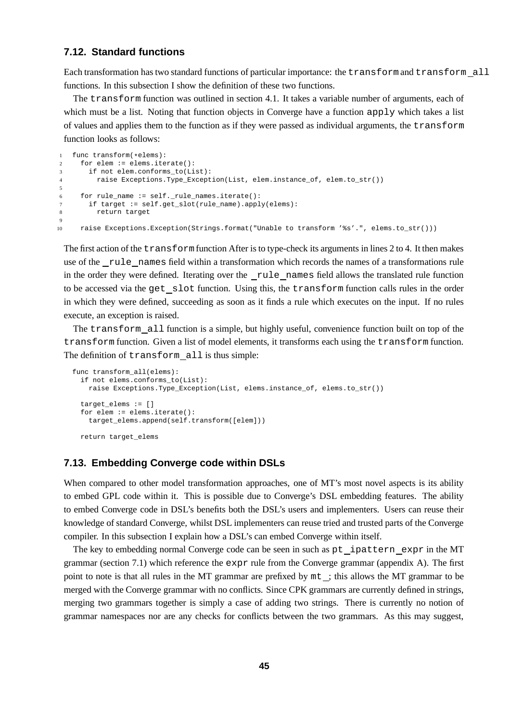# **7.12. Standard functions**

Each transformation has two standard functions of particular importance: the transform and transform all functions. In this subsection I show the definition of these two functions.

The transform function was outlined in section 4.1. It takes a variable number of arguments, each of which must be a list. Noting that function objects in Converge have a function apply which takes a list of values and applies them to the function as if they were passed as individual arguments, the transform function looks as follows:

```
1 func transform(*elems):<br>2 for elem := elems.ite
     for elem := elems.iterate():
3 if not elem.conforms_to(List):
4 raise Exceptions.Type_Exception(List, elem.instance_of, elem.to_str())
5
6 for rule_name := self._rule_names.iterate():
      if target := self.get_slot(rule_name).apply(elems):
8 return target
9
10 raise Exceptions.Exception(Strings.format("Unable to transform '%s'.", elems.to_str()))
```
The first action of the transformfunction After is to type-check its arguments in lines 2 to 4. It then makes use of the rule names field within a transformation which records the names of a transformations rule in the order they were defined. Iterating over the \_rule\_names field allows the translated rule function to be accessed via the get slot function. Using this, the transform function calls rules in the order in which they were defined, succeeding as soon as it finds a rule which executes on the input. If no rules execute, an exception is raised.

The transform all function is a simple, but highly useful, convenience function built on top of the transform function. Given a list of model elements, it transforms each using the transform function. The definition of transform all is thus simple:

```
func transform_all(elems):
 if not elems.conforms_to(List):
   raise Exceptions.Type_Exception(List, elems.instance_of, elems.to_str())
 target elems := []for elem := elems.iterate():
   target_elems.append(self.transform([elem]))
 return target_elems
```
## **7.13. Embedding Converge code within DSLs**

When compared to other model transformation approaches, one of MT's most novel aspects is its ability to embed GPL code within it. This is possible due to Converge's DSL embedding features. The ability to embed Converge code in DSL's benefits both the DSL's users and implementers. Users can reuse their knowledge of standard Converge, whilst DSL implementers can reuse tried and trusted parts of the Converge compiler. In this subsection I explain how a DSL's can embed Converge within itself.

The key to embedding normal Converge code can be seen in such as pt ipattern expr in the MT grammar (section 7.1) which reference the expr rule from the Converge grammar (appendix A). The first point to note is that all rules in the MT grammar are prefixed by mt ; this allows the MT grammar to be merged with the Converge grammar with no conflicts. Since CPK grammars are currently defined in strings, merging two grammars together is simply a case of adding two strings. There is currently no notion of grammar namespaces nor are any checks for conflicts between the two grammars. As this may suggest,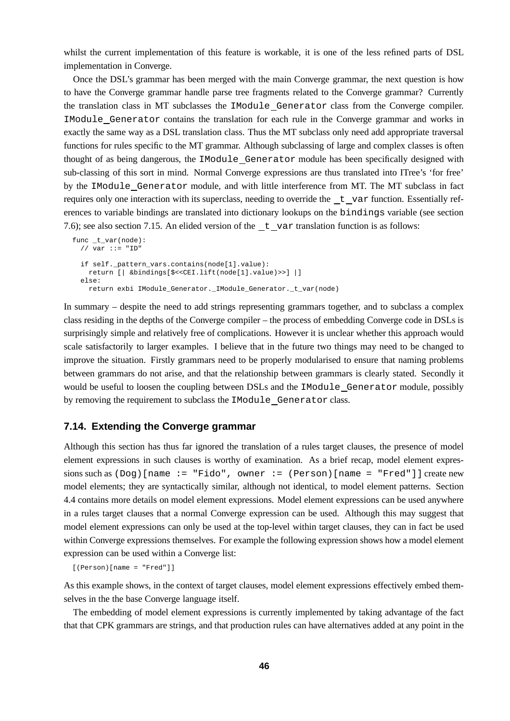whilst the current implementation of this feature is workable, it is one of the less refined parts of DSL implementation in Converge.

Once the DSL's grammar has been merged with the main Converge grammar, the next question is how to have the Converge grammar handle parse tree fragments related to the Converge grammar? Currently the translation class in MT subclasses the IModule Generator class from the Converge compiler. IModule Generator contains the translation for each rule in the Converge grammar and works in exactly the same way as a DSL translation class. Thus the MT subclass only need add appropriate traversal functions for rules specific to the MT grammar. Although subclassing of large and complex classes is often thought of as being dangerous, the IModule Generator module has been specifically designed with sub-classing of this sort in mind. Normal Converge expressions are thus translated into ITree's 'for free' by the IModule Generator module, and with little interference from MT. The MT subclass in fact requires only one interaction with its superclass, needing to override the  $t_{\text{av}}$  var function. Essentially references to variable bindings are translated into dictionary lookups on the bindings variable (see section 7.6); see also section 7.15. An elided version of the  $t$  var translation function is as follows:

```
func _t_var(node):
 // var ::= "ID"
 if self._pattern_vars.contains(node[1].value):
   return [| &bindings[$<<CEI.lift(node[1].value)>>] |]
  else:
   return exbi IModule Generator. IModule Generator. t var(node)
```
In summary – despite the need to add strings representing grammars together, and to subclass a complex class residing in the depths of the Converge compiler – the process of embedding Converge code in DSLs is surprisingly simple and relatively free of complications. However it is unclear whether this approach would scale satisfactorily to larger examples. I believe that in the future two things may need to be changed to improve the situation. Firstly grammars need to be properly modularised to ensure that naming problems between grammars do not arise, and that the relationship between grammars is clearly stated. Secondly it would be useful to loosen the coupling between DSLs and the IModule Generator module, possibly by removing the requirement to subclass the IModule Generator class.

## **7.14. Extending the Converge grammar**

Although this section has thus far ignored the translation of a rules target clauses, the presence of model element expressions in such clauses is worthy of examination. As a brief recap, model element expressions such as  $(Doq)$  [name := "Fido", owner :=  $(Person)$  [name = "Fred"]] create new model elements; they are syntactically similar, although not identical, to model element patterns. Section 4.4 contains more details on model element expressions. Model element expressions can be used anywhere in a rules target clauses that a normal Converge expression can be used. Although this may suggest that model element expressions can only be used at the top-level within target clauses, they can in fact be used within Converge expressions themselves. For example the following expression shows how a model element expression can be used within a Converge list:

[(Person)[name = "Fred"]]

As this example shows, in the context of target clauses, model element expressions effectively embed themselves in the the base Converge language itself.

The embedding of model element expressions is currently implemented by taking advantage of the fact that that CPK grammars are strings, and that production rules can have alternatives added at any point in the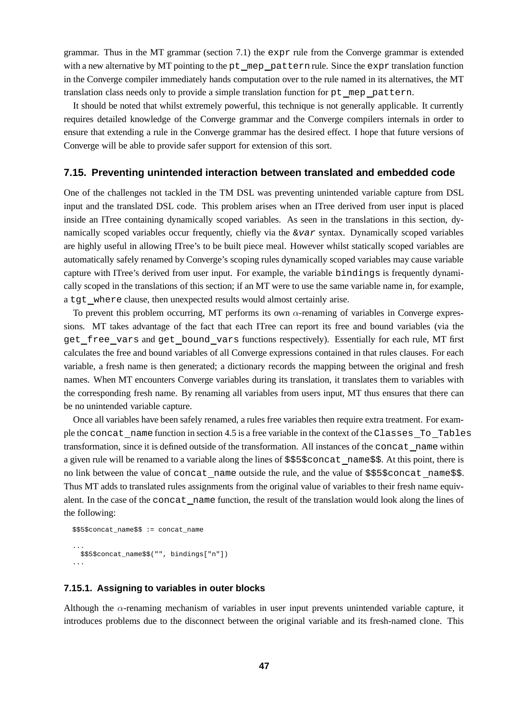grammar. Thus in the MT grammar (section 7.1) the expr rule from the Converge grammar is extended with a new alternative by MT pointing to the pt mep pattern rule. Since the expr translation function in the Converge compiler immediately hands computation over to the rule named in its alternatives, the MT translation class needs only to provide a simple translation function for pt mep pattern.

It should be noted that whilst extremely powerful, this technique is not generally applicable. It currently requires detailed knowledge of the Converge grammar and the Converge compilers internals in order to ensure that extending a rule in the Converge grammar has the desired effect. I hope that future versions of Converge will be able to provide safer support for extension of this sort.

## **7.15. Preventing unintended interaction between translated and embedded code**

One of the challenges not tackled in the TM DSL was preventing unintended variable capture from DSL input and the translated DSL code. This problem arises when an ITree derived from user input is placed inside an ITree containing dynamically scoped variables. As seen in the translations in this section, dynamically scoped variables occur frequently, chiefly via the  $&var$  syntax. Dynamically scoped variables are highly useful in allowing ITree's to be built piece meal. However whilst statically scoped variables are automatically safely renamed by Converge's scoping rules dynamically scoped variables may cause variable capture with ITree's derived from user input. For example, the variable bindings is frequently dynamically scoped in the translations of this section; if an MT were to use the same variable name in, for example, a tgt where clause, then unexpected results would almost certainly arise.

To prevent this problem occurring, MT performs its own  $\alpha$ -renaming of variables in Converge expressions. MT takes advantage of the fact that each ITree can report its free and bound variables (via the get free vars and get bound vars functions respectively). Essentially for each rule, MT first calculates the free and bound variables of all Converge expressions contained in that rules clauses. For each variable, a fresh name is then generated; a dictionary records the mapping between the original and fresh names. When MT encounters Converge variables during its translation, it translates them to variables with the corresponding fresh name. By renaming all variables from users input, MT thus ensures that there can be no unintended variable capture.

Once all variables have been safely renamed, a rules free variables then require extra treatment. For example the concat name function in section 4.5 is a free variable in the context of the Classes To Tables transformation, since it is defined outside of the transformation. All instances of the concat name within a given rule will be renamed to a variable along the lines of \$\$5\$concat name\$\$. At this point, there is no link between the value of concat name outside the rule, and the value of \$\$5\$concat name\$\$. Thus MT adds to translated rules assignments from the original value of variables to their fresh name equivalent. In the case of the concat name function, the result of the translation would look along the lines of the following:

```
$$5$concat_name$$ := concat_name
...
 $$5$concat_name$$("", bindings["n"])
...
```
#### **7.15.1. Assigning to variables in outer blocks**

Although the  $\alpha$ -renaming mechanism of variables in user input prevents unintended variable capture, it introduces problems due to the disconnect between the original variable and its fresh-named clone. This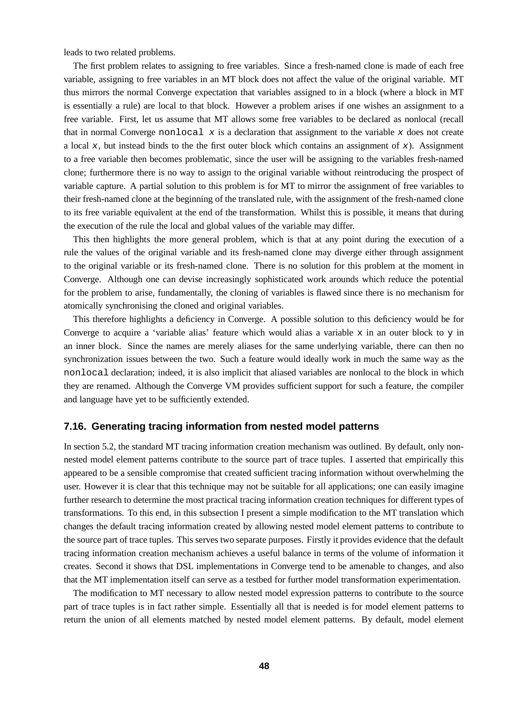leads to two related problems.

The first problem relates to assigning to free variables. Since a fresh-named clone is made of each free variable, assigning to free variables in an MT block does not affect the value of the original variable. MT thus mirrors the normal Converge expectation that variables assigned to in a block (where a block in MT is essentially a rule) are local to that block. However a problem arises if one wishes an assignment to a free variable. First, let us assume that MT allows some free variables to be declared as nonlocal (recall that in normal Converge nonlocal  $x$  is a declaration that assignment to the variable  $x$  does not create a local x, but instead binds to the the first outer block which contains an assignment of x). Assignment to a free variable then becomes problematic, since the user will be assigning to the variables fresh-named clone; furthermore there is no way to assign to the original variable without reintroducing the prospect of variable capture. A partial solution to this problem is for MT to mirror the assignment of free variables to their fresh-named clone at the beginning of the translated rule, with the assignment of the fresh-named clone to its free variable equivalent at the end of the transformation. Whilst this is possible, it means that during the execution of the rule the local and global values of the variable may differ.

This then highlights the more general problem, which is that at any point during the execution of a rule the values of the original variable and its fresh-named clone may diverge either through assignment to the original variable or its fresh-named clone. There is no solution for this problem at the moment in Converge. Although one can devise increasingly sophisticated work arounds which reduce the potential for the problem to arise, fundamentally, the cloning of variables is flawed since there is no mechanism for atomically synchronising the cloned and original variables.

This therefore highlights a deficiency in Converge. A possible solution to this deficiency would be for Converge to acquire a 'variable alias' feature which would alias a variable x in an outer block to y in an inner block. Since the names are merely aliases for the same underlying variable, there can then no synchronization issues between the two. Such a feature would ideally work in much the same way as the nonlocal declaration; indeed, it is also implicit that aliased variables are nonlocal to the block in which they are renamed. Although the Converge VM provides sufficient support for such a feature, the compiler and language have yet to be sufficiently extended.

# **7.16. Generating tracing information from nested model patterns**

In section 5.2, the standard MT tracing information creation mechanism was outlined. By default, only nonnested model element patterns contribute to the source part of trace tuples. I asserted that empirically this appeared to be a sensible compromise that created sufficient tracing information without overwhelming the user. However it is clear that this technique may not be suitable for all applications; one can easily imagine further research to determine the most practical tracing information creation techniques for different types of transformations. To this end, in this subsection I present a simple modification to the MT translation which changes the default tracing information created by allowing nested model element patterns to contribute to the source part of trace tuples. This serves two separate purposes. Firstly it provides evidence that the default tracing information creation mechanism achieves a useful balance in terms of the volume of information it creates. Second it shows that DSL implementations in Converge tend to be amenable to changes, and also that the MT implementation itself can serve as a testbed for further model transformation experimentation.

The modification to MT necessary to allow nested model expression patterns to contribute to the source part of trace tuples is in fact rather simple. Essentially all that is needed is for model element patterns to return the union of all elements matched by nested model element patterns. By default, model element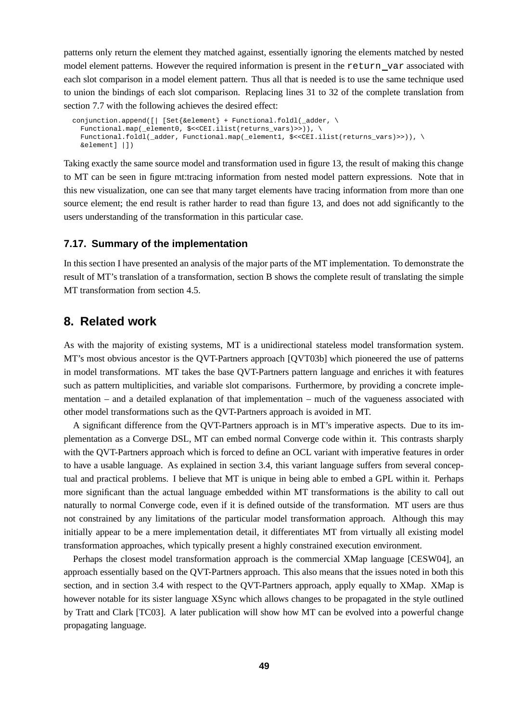patterns only return the element they matched against, essentially ignoring the elements matched by nested model element patterns. However the required information is present in the return var associated with each slot comparison in a model element pattern. Thus all that is needed is to use the same technique used to union the bindings of each slot comparison. Replacing lines 31 to 32 of the complete translation from section 7.7 with the following achieves the desired effect:

```
conjunction.append([| [Set{&element} + Functional.foldl(_adder, \
 Functional.map(_element0, $<<CEI.ilist(returns_vars)>>)), \
  Functional.foldl(_adder, Functional.map(_element1, $<<CEI.ilist(returns_vars)>>)), \
 &element] |])
```
Taking exactly the same source model and transformation used in figure 13, the result of making this change to MT can be seen in figure mt:tracing information from nested model pattern expressions. Note that in this new visualization, one can see that many target elements have tracing information from more than one source element; the end result is rather harder to read than figure 13, and does not add significantly to the users understanding of the transformation in this particular case.

#### **7.17. Summary of the implementation**

In this section I have presented an analysis of the major parts of the MT implementation. To demonstrate the result of MT's translation of a transformation, section B shows the complete result of translating the simple MT transformation from section 4.5.

# **8. Related work**

As with the majority of existing systems, MT is a unidirectional stateless model transformation system. MT's most obvious ancestor is the QVT-Partners approach [QVT03b] which pioneered the use of patterns in model transformations. MT takes the base QVT-Partners pattern language and enriches it with features such as pattern multiplicities, and variable slot comparisons. Furthermore, by providing a concrete implementation – and a detailed explanation of that implementation – much of the vagueness associated with other model transformations such as the QVT-Partners approach is avoided in MT.

A significant difference from the QVT-Partners approach is in MT's imperative aspects. Due to its implementation as a Converge DSL, MT can embed normal Converge code within it. This contrasts sharply with the QVT-Partners approach which is forced to define an OCL variant with imperative features in order to have a usable language. As explained in section 3.4, this variant language suffers from several conceptual and practical problems. I believe that MT is unique in being able to embed a GPL within it. Perhaps more significant than the actual language embedded within MT transformations is the ability to call out naturally to normal Converge code, even if it is defined outside of the transformation. MT users are thus not constrained by any limitations of the particular model transformation approach. Although this may initially appear to be a mere implementation detail, it differentiates MT from virtually all existing model transformation approaches, which typically present a highly constrained execution environment.

Perhaps the closest model transformation approach is the commercial XMap language [CESW04], an approach essentially based on the QVT-Partners approach. This also means that the issues noted in both this section, and in section 3.4 with respect to the QVT-Partners approach, apply equally to XMap. XMap is however notable for its sister language XSync which allows changes to be propagated in the style outlined by Tratt and Clark [TC03]. A later publication will show how MT can be evolved into a powerful change propagating language.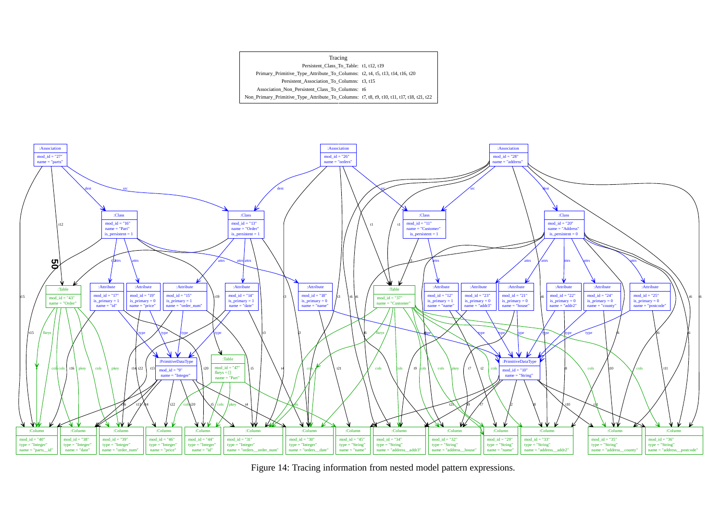



Figure 14: Tracing information from nested model pattern expressions.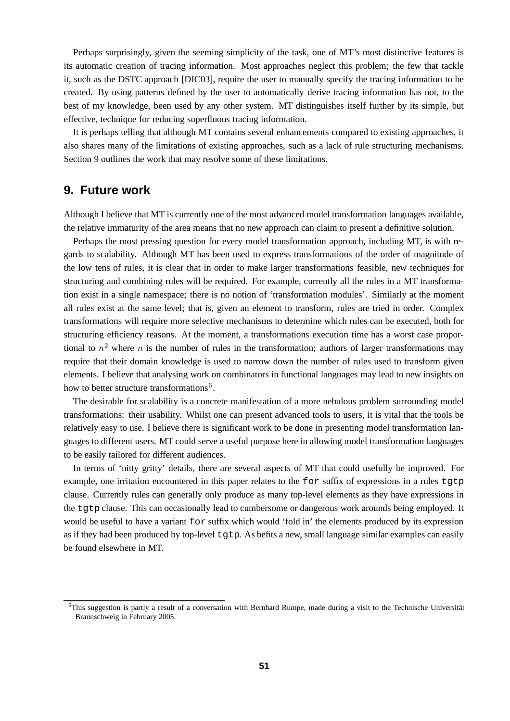Perhaps surprisingly, given the seeming simplicity of the task, one of MT's most distinctive features is its automatic creation of tracing information. Most approaches neglect this problem; the few that tackle it, such as the DSTC approach [DIC03], require the user to manually specify the tracing information to be created. By using patterns defined by the user to automatically derive tracing information has not, to the best of my knowledge, been used by any other system. MT distinguishes itself further by its simple, but effective, technique for reducing superfluous tracing information.

It is perhaps telling that although MT contains several enhancements compared to existing approaches, it also shares many of the limitations of existing approaches, such as a lack of rule structuring mechanisms. Section 9 outlines the work that may resolve some of these limitations.

# **9. Future work**

Although I believe that MT is currently one of the most advanced model transformation languages available, the relative immaturity of the area means that no new approach can claim to present a definitive solution.

Perhaps the most pressing question for every model transformation approach, including MT, is with regards to scalability. Although MT has been used to express transformations of the order of magnitude of the low tens of rules, it is clear that in order to make larger transformations feasible, new techniques for structuring and combining rules will be required. For example, currently all the rules in a MT transformation exist in a single namespace; there is no notion of 'transformation modules'. Similarly at the moment all rules exist at the same level; that is, given an element to transform, rules are tried in order. Complex transformations will require more selective mechanisms to determine which rules can be executed, both for structuring efficiency reasons. At the moment, a transformations execution time has a worst case proportional to  $n^2$  where n is the number of rules in the transformation; authors of larger transformations may require that their domain knowledge is used to narrow down the number of rules used to transform given elements. I believe that analysing work on combinators in functional languages may lead to new insights on how to better structure transformations<sup>6</sup>.

The desirable for scalability is a concrete manifestation of a more nebulous problem surrounding model transformations: their usability. Whilst one can present advanced tools to users, it is vital that the tools be relatively easy to use. I believe there is significant work to be done in presenting model transformation languages to different users. MT could serve a useful purpose here in allowing model transformation languages to be easily tailored for different audiences.

In terms of 'nitty gritty' details, there are several aspects of MT that could usefully be improved. For example, one irritation encountered in this paper relates to the for suffix of expressions in a rules tgtp clause. Currently rules can generally only produce as many top-level elements as they have expressions in the tgtp clause. This can occasionally lead to cumbersome or dangerous work arounds being employed. It would be useful to have a variant for suffix which would 'fold in' the elements produced by its expression as if they had been produced by top-level tgtp. As befits a new, small language similar examples can easily be found elsewhere in MT.

 $6$ This suggestion is partly a result of a conversation with Bernhard Rumpe, made during a visit to the Technische Universität Braunschweig in February 2005.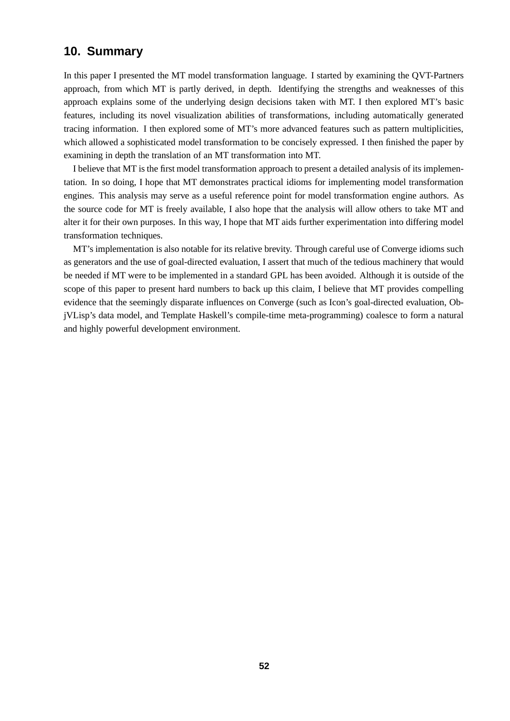# **10. Summary**

In this paper I presented the MT model transformation language. I started by examining the QVT-Partners approach, from which MT is partly derived, in depth. Identifying the strengths and weaknesses of this approach explains some of the underlying design decisions taken with MT. I then explored MT's basic features, including its novel visualization abilities of transformations, including automatically generated tracing information. I then explored some of MT's more advanced features such as pattern multiplicities, which allowed a sophisticated model transformation to be concisely expressed. I then finished the paper by examining in depth the translation of an MT transformation into MT.

I believe that MT is the first model transformation approach to present a detailed analysis of its implementation. In so doing, I hope that MT demonstrates practical idioms for implementing model transformation engines. This analysis may serve as a useful reference point for model transformation engine authors. As the source code for MT is freely available, I also hope that the analysis will allow others to take MT and alter it for their own purposes. In this way, I hope that MT aids further experimentation into differing model transformation techniques.

MT's implementation is also notable for its relative brevity. Through careful use of Converge idioms such as generators and the use of goal-directed evaluation, I assert that much of the tedious machinery that would be needed if MT were to be implemented in a standard GPL has been avoided. Although it is outside of the scope of this paper to present hard numbers to back up this claim, I believe that MT provides compelling evidence that the seemingly disparate influences on Converge (such as Icon's goal-directed evaluation, ObjVLisp's data model, and Template Haskell's compile-time meta-programming) coalesce to form a natural and highly powerful development environment.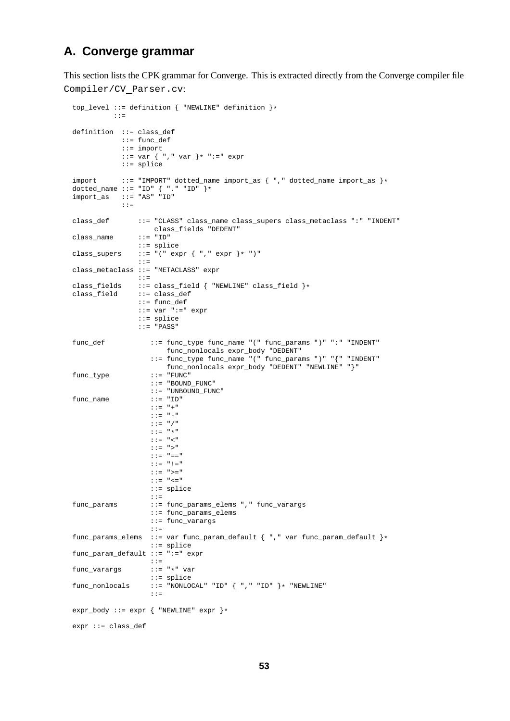# **A. Converge grammar**

This section lists the CPK grammar for Converge. This is extracted directly from the Converge compiler file Compiler/CV Parser.cv:

```
top_level ::= definition { "NEWLINE" definition }*
          ::=
definition ::= class_def
            ::= func_def
            ::= import
            ::= var \{ " , " var } \} * " := " exp r::= splice
import ::= "IMPORT" dotted_name import_as { "," dotted_name import_as }*
dotted_name ::= "ID" { "." "ID" }*
import_as ::= "AS" "ID"
            ::=
class_def ::= "CLASS" class_name class_supers class_metaclass ":" "INDENT"
                class_fields "DEDENT"
class_name
                ::= splice
class_supers ::= \bar{r}(" expr { ", " expr }* ")"
                ::=
class_metaclass ::= "METACLASS" expr
                ::=
\begin{tabular}{ll} class\_fields & ::=& class\_field & "NEWLINE" class\_field \\ class\_field & ::=& class\_def \end{tabular}::= class_def
                ::= func_def
                ::= var ":=" expr
                ::= splice
                 ::= "PASS"
func_def ::= func_type func_name "(" func_params ")" ":" "INDENT"
                       func_nonlocals expr_body "DEDENT"
                   ::= func_type func_name "(" func_params ")" "{" "INDENT"
                   func_nonlocals expr_body "DEDENT" "NEWLINE" "}" ::= "FUNC"
func_type
                   ::= "BOUND_FUNC"
                   ::= "UNBOUND_FUNC"<br>::= "ID"
func name
                   ::= "+"
                   ::= "-"
                    ::= "/"
                    ::= "*"
                    ::= "<"
                    ::= ">"
                    ::= "=="
                    ::= "!="
                    ::= ">="
                    ::= "<="
                    ::= splice
                    ::=
func_params ::= func_params_elems "," func_varargs
                    ::= func_params_elems
                    ::= func_varargs
                    ::=
func_params_elems ::= var func_param_default { "," var func_param_default }*
                   ::= splice
func_param_default ::= ":=" expr
                   ::=<br>::= "*" var
func varargs
                   ::= splice
func\_nonlocals ::= "NONLOCAL" "ID" \{ "," "ID" \}* "NEWLINE"
                    ::=
expr_body ::= expr { "NEWLINE" expr }*
expr ::= class_def
```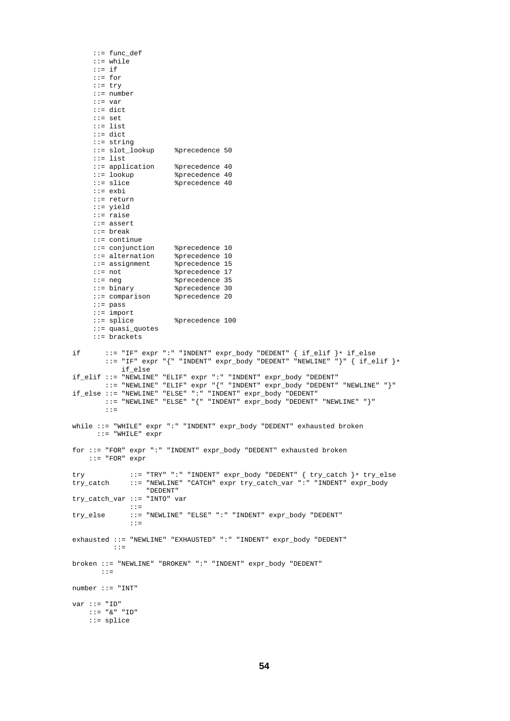```
::= func_def
     ::= while
     ::= if
     ::= for
     ::= try
     ::= number
     ::= var
     ::= dict
     ::= set
     ::= list
     ::= dict
     ::= string
     ::= slot_lookup %precedence 50
     ::= list
     ::= application %precedence 40
     ::= lookup %precedence 40
                         *precedence 40
     ::= exbi
     ::= return
     ::= yield
     ::= raise
     ::= assert
     ::= break
     ::= continue
     ::= conjunction %precedence 10
     ::= alternation %precedence 10
     ::= assignment %precedence 15
     ::= not %precedence 17
     ::= neg %precedence 35
     ::= binary %precedence 30<br>::= comparison %precedence 20
     ::= comparison
     ::= pass
     ::= import
                         %precedence 100
     ::= quasi_quotes
     ::= brackets
if ::= "IF" expr ":" "INDENT" expr_body "DEDENT" { if_elif }* if_else
        ::= "IF" expr "{}" "INDEX" expr-body "DEPENDor" "NEWLINE" "}" { if\_elif } *if_else
if_elif ::= "NEWLINE" "ELIF" expr ":" "INDENT" expr_body "DEDENT"
       ::= "NEWLINE" "ELIF" expr "{" "INDENT" expr_body "DEDENT" "NEWLINE" "}"
if_else ::= "NEWLINE" "ELSE" ":" "INDENT" expr_body "DEDENT"
        ::= "NEWLINE" "ELSE" "{" "INDENT" expr_body "DEDENT" "NEWLINE" "}"
        ::=
while ::= "WHILE" expr ":" "INDENT" expr_body "DEDENT" exhausted broken
      ::= "WHILE" expr
for ::= "FOR" expr ":" "INDENT" expr_body "DEDENT" exhausted broken
   ::= "FOR" expr
try ::= "TRY" ":" "INDENT" expr_body "DEDENT" { try_catch }* try_else<br>try_catch ::= "NEWLINE" "CATCH" expr try_catch_var ":" "INDENT" expr_body
              try_catch ::= "NEWLINE" "CATCH" expr try_catch_var ":" "INDENT" expr_body
                  "DEDENT"
try_catch_var ::= "INTO" var
              ::=
try_else ::= "NEWLINE" "ELSE" ":" "INDENT" expr_body "DEDENT"
              ::=
exhausted ::= "NEWLINE" "EXHAUSTED" ":" "INDENT" expr_body "DEDENT"
          ::=
broken ::= "NEWLINE" "BROKEN" ":" "INDENT" expr_body "DEDENT"
       \cdot: =number ::= "INT"
var := "ID"
   ::= "&" "ID"
    ::= splice
```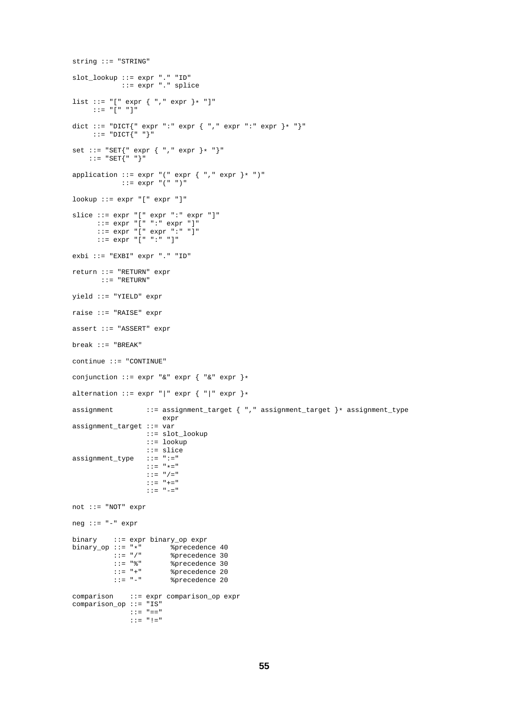```
string ::= "STRING"
slot_lookup ::= expr "." "ID"
            ::= expr "." splice
list ::= "[" expr { "," expr }* "]"
    ::= "[" "]"
dict ::= "DICT{" expr ":" expr { "," expr ":" expr }* "}"
    ::= "DICT\{ " " " } \}"
set ::= "SET{" expr { "," expr }* "}"
::= "SET{" "}"
application ::= \exp r "(" \exp r { "," \exp r }* ")"
           ::= expr "(" ")"
lookup ::= expr "[" expr "]"
slice ::= expr "[" expr ":" expr "]"
      ::= expr "[" ":" expr "]"
      ::= expr "[" expr ":" "]"
      ::= expr "[" ":" "]"
exbi ::= "EXBI" expr "." "ID"
return ::= "RETURN" expr
      ::= "RETURN"
yield ::= "YIELD" expr
raise ::= "RAISE" expr
assert ::= "ASSERT" expr
break ::= "BREAK"
continue ::= "CONTINUE"
conjunction ::= \exp r "&" \exp r { "&" \exp r }*
alternation ::= expr "|" expr { "|" expr }*
assignment ::= assignment_target { "," assignment_target }* assignment_type
                      expr
assignment_target ::= var
                 ::= slot_lookup
                  ::= lookup
                  ::= slice
assignment_type ::= ":="
                  ::= "*="
                 ::= ''/="
                  ::= "+="
                  ::= "-="
not ::= "NOT" expr
neg ::= "-" expr
binary ::= expr binary_op expr
binary_op ::= "*" %precedence 40
          ::= "/" %precedence 30
          ::= "%" %precedence 30
          ::= "+" %precedence 20
          ::= "-" %precedence 20
comparison ::= expr comparison_op expr
comparison_op ::= "IS"
              ::= "=="
              ::= "!="
```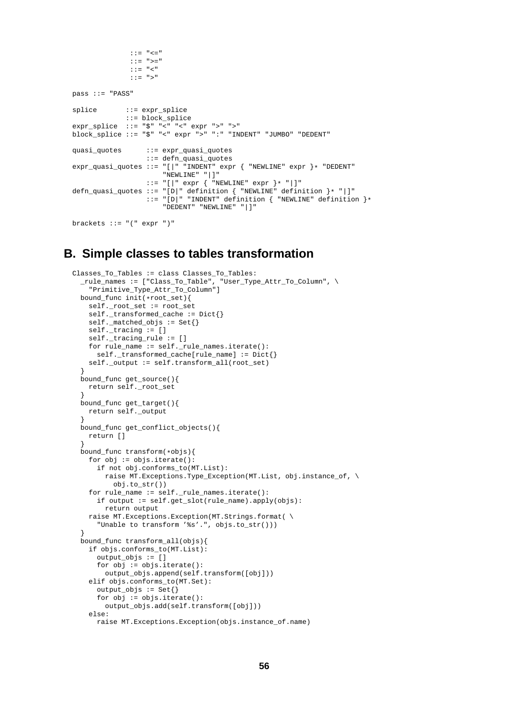```
::= "<="
               ::= ">="
               ::= "<"
               ::= ">"
pass ::= "PASS"
splice ::= expr_splice
              ::= block_splice
expr_splice ::= "$" "<" "<" expr ">" ">"
block_splice ::= "$" "<" expr ">" ":" "INDENT" "JUMBO" "DEDENT"
quasi_quotes ::= expr_quasi_quotes
                   ::= defn_quasi_quotes
\text{expr\_quasi\_quotes} :: = "[] " \text{INDEX} " \text{expr} { \text{WEWLINE} " \text{expr} } \} * " \text{DEPENDENT""NEWLINE" "|]"
                   ::= "[|" expr { "NEWLINE" expr }* "|]"
defn_quasi_quotes ::= "[D|" definition { "NEWLINE" definition }* "|]"
                  ::= "[D|" "INDENT" definition { "NEWLINE" definition }*
                        "DEDENT" "NEWLINE" "|]"
brackets ::= "(" expr ")"
```
# **B. Simple classes to tables transformation**

```
Classes_To_Tables := class Classes_To_Tables:
  _rule_names := ["Class_To_Table", "User_Type_Attr_To_Column", \
    "Primitive_Type_Attr_To_Column"]
  bound_func init(*root_set){
   self._root_set := root_set
    self._transformed_cache := Dict{}
   self._matched_objs := Set{}
   self._tracing := []
    self._tracing_rule := []
    for rule_name := self._rule_names.iterate():
      self._transformed_cache[rule_name] := Dict{}
    self._output := self.transform_all(root_set)
  }
  bound_func get_source(){
   return self._root_set
  }
  bound_func get_target(){
   return self._output
  }
  bound_func get_conflict_objects(){
   return []
  }
  bound_func transform(*objs){
   for obj := objs.iterate():
      if not obj.conforms_to(MT.List):
        raise MT.Exceptions.Type_Exception(MT.List, obj.instance_of, \
          obj.to_str())
    for rule_name := self._rule_names.iterate():
      if output := self.get_slot(rule_name).apply(objs):
       return output
    raise MT.Exceptions.Exception(MT.Strings.format( \
      "Unable to transform '%s'.", objs.to_str()))
  }
  bound_func transform_all(objs){
    if objs.conforms_to(MT.List):
      output_objs := []
      for obj := obj.iterate():output_objs.append(self.transform([obj]))
    elif objs.conforms_to(MT.Set):
      output\_objs := Set{}}
      for obj := objs.iterate():
       output_objs.add(self.transform([obj]))
    else:
      raise MT.Exceptions.Exception(objs.instance_of.name)
```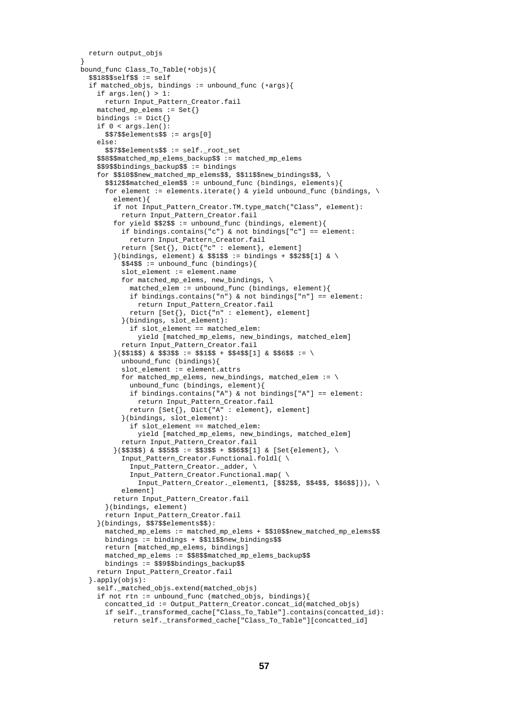```
return output_objs
}
bound_func Class_To_Table(*objs){
  $3185$self$$ := self
  if matched_objs, bindings := unbound_func (*args){
    if args.length() > 1:
     return Input_Pattern_Creator.fail
    matched_mp_elems := Set{}
    bindings := \text{Dict}if 0 < args.len():
     $$7$$elements$$ := args[0]
    else:
      $$7$$elements$$ := self._root_set
    $$8$$matched_mp_elems_backup$$ := matched_mp_elems
    $$9$$bindings_backup$$ := bindings
    for $$10$$new_matched_mp_elems$$, $$11$$new_bindings$$, \
      $$12$$matched_elem$$ := unbound_func (bindings, elements){
      for element := elements.iterate() & yield unbound_func (bindings, \
        element){
        if not Input_Pattern_Creator.TM.type_match("Class", element):
          return Input_Pattern_Creator.fail
        for yield $$2$$ := unbound_func (bindings, element){
          if bindings.contains("c") & not bindings["c"] == element:
            return Input_Pattern_Creator.fail
          return [Set], Dict['c" : element], element]
        \}(bindings, element) & $$1$$ := bindings + $$2$$[1] & \
          $$4$$ := unbound_func (bindings){
          slot element := element.name
          for matched_mp_elems, new_bindings, \
            matched_elem := unbound_func (bindings, element){
            if bindings.contains("n") & not bindings["n"] == element:
              return Input_Pattern_Creator.fail
            return [Set{}, Dict{"n" : element}, element]
          }(bindings, slot_element):
            if slot_element == matched_elem:
              yield [matched_mp_elems, new_bindings, matched_elem]
          return Input_Pattern_Creator.fail
        }($$1$$) & $$3$$ := $$1$$ + $$4$$[1] & $$6$$ := \
          unbound_func (bindings){
          slot_element := element.attrs
          for matched_mp_elems, new_bindings, matched_elem := \setminusunbound_func (bindings, element){
            if bindings.contains("A") & not bindings["A"] == element:
              return Input_Pattern_Creator.fail
            return [Set{}, Dict{"A" : element}, element]
          }(bindings, slot_element):
            if slot_element == matched_elem:
              yield [matched_mp_elems, new_bindings, matched_elem]
          return Input_Pattern_Creator.fail
        \{($$3$$) & $$5$$ := $$3$$ + $$6$$[1] & [Set{element}, \
          Input_Pattern_Creator.Functional.foldl( \
            Input_Pattern_Creator._adder, \
            Input_Pattern_Creator.Functional.map( \
              Input Pattern Creator _* element1, [$$2$$, $$4$$, $$6$$])), \
          elementl
        return Input_Pattern_Creator.fail
      }(bindings, element)
      return Input_Pattern_Creator.fail
    }(bindings, $$7$$elements$$):
     matched mp_elems := matched_mp_elems + $$10$$new_matched_mp_elems$$
     bindings := bindings + $$11$$new_bindings$$
      return [matched_mp_elems, bindings]
     matched_mp_elems := $$8$$matched_mp_elems_backup$$
     bindings := $$9$$bindings_backup$$
    return Input_Pattern_Creator.fail
  }.apply(objs):
    self._matched_objs.extend(matched_objs)
    if not rtn := unbound func (matched objs, bindings){
      concatted_id := Output_Pattern_Creator.concat_id(matched_objs)
      if self._transformed_cache["Class_To_Table"].contains(concatted_id):
        return self._transformed_cache["Class_To_Table"][concatted_id]
```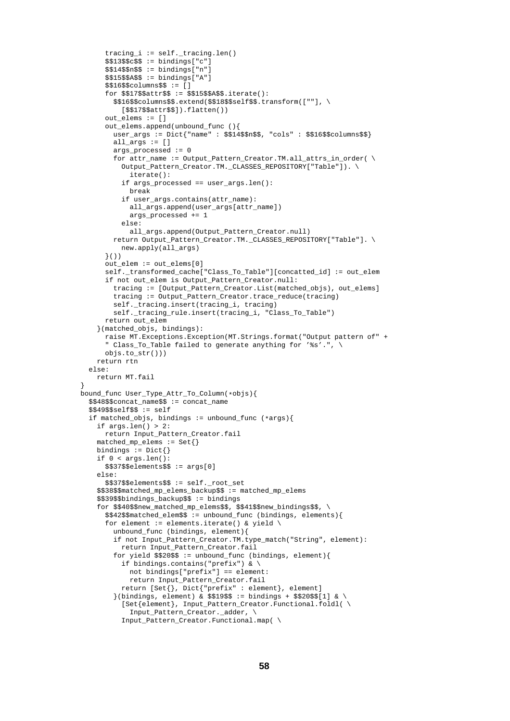```
tracing i := self. trainq.len()$$13$$c$$ := bindings["c"]
      $$14$$n$$ := bindings["n"]
      $$15$$A$$ := bindings["A"]
      $$16$$columns$$ := []
      for $$17$$attr$$ := $$15$$A$$.iterate():
        $$16$$columns$$.extend($$18$$self$$.transform([""], \
          [$$17$$attr$$]).flatten())
      out_elems := []
      out_elems.append(unbound_func (){
        user_args := Dict{"name" : $$14$$n$$, "cols" : $$16$$columns$$}
        all args := [ ]args_processed := 0
        for attr_name := Output_Pattern_Creator.TM.all_attrs_in_order( \setminusOutput_Pattern_Creator.TM._CLASSES_REPOSITORY["Table"]). \
            iterate():
          if args_processed == user_args.len():
           break
          if user_args.contains(attr_name):
            all_args.append(user_args[attr_name])
            args_processed += 1
          else:
            all_args.append(Output_Pattern_Creator.null)
        return Output_Pattern_Creator.TM._CLASSES_REPOSITORY["Table"]. \
         new.apply(all_args)
      }())
      out_elem := out_elems[0]
      self. transformed cache["Class To Table"][concatted id] := out elem
      if not out_elem is Output_Pattern_Creator.null:
        tracing := [Output_Pattern_Creator.List(matched_objs), out_elems]
        tracing := Output_Pattern_Creator.trace_reduce(tracing)
        self._tracing.insert(tracing_i, tracing)
        self._tracing_rule.insert(tracing_i, "Class_To_Table")
      return out_elem
    }(matched_objs, bindings):
     raise MT.Exceptions.Exception(MT.Strings.format("Output pattern of" +
      " Class_To_Table failed to generate anything for '%s'.", \
      obis.to_str()))
    return rtn
  else:
    return MT.fail
bound_func User_Type_Attr_To_Column(*objs){
  $$48$$concat_name$$ := concat_name
  $349$$self$$ := self
  if matched_objs, bindings := unbound_func (*args){
    if \arcsin \tanh 2:
     return Input_Pattern_Creator.fail
    matched_mp_elems := Set{}bindings := \text{Dict}if 0 < args.len():
      $37$3elements$ := arg[0]else:
      $$37$$elements$$ := self._root_set
    $$38$$matched_mp_elems_backup$$ := matched_mp_elems
    $$39$$bindings_backup$$ := bindings
    for $$40$$new_matched_mp_elems$$, $$41$$new_bindings$$, \
      $$42$$matched_elem$$ := unbound_func (bindings, elements){
      for element := elements.iterate() & yield \setminusunbound func (bindings, element) {
        if not Input_Pattern_Creator.TM.type_match("String", element):
          return Input_Pattern_Creator.fail
        for yield $$20$$ := unbound_func (bindings, element){
          if bindings.contains("prefix") & \
            not bindings["prefix"] == element:
            return Input_Pattern_Creator.fail
          return [Set{}, Dict{"prefix" : element}, element]
        \{ (bindings, element) & $$19$$ := bindings + $$20$$[1] & \
          [Set{element}, Input_Pattern_Creator.Functional.foldl( \
            Input_Pattern_Creator._adder, \
```
}

```
Input_Pattern_Creator.Functional.map( \
```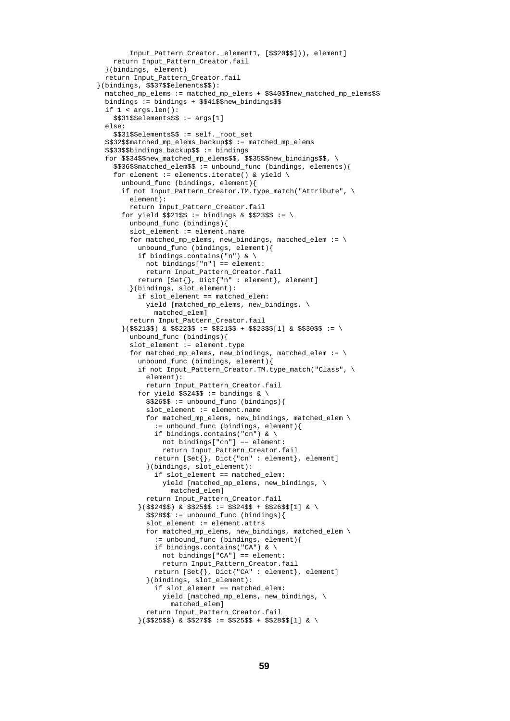```
Input Pattern Creator. element1, [$$20$$])), element]
   return Input_Pattern_Creator.fail
  }(bindings, element)
 return Input_Pattern_Creator.fail
}(bindings, $$37$$elements$$):
 matched_mp_elems := matched_mp_elems + $$40$$new_matched_mp_elems$$
 bindings := bindings + $$41$$new_bindings$$
 if 1 < arg.length):
   $31$$5elements$ := arg[1]else:
    $$31$$elements$$ := self._root_set
 $$32$$matched_mp_elems_backup$$ := matched_mp_elems
 $$33$$bindings_backup$$ := bindings
 for $$34$$new_matched_mp_elems$$, $$35$$new_bindings$$, \
    $$36$$matched_elem$$ := unbound_func (bindings, elements){
    for element := elements.iterate() & yield \
     unbound_func (bindings, element){
     if not Input_Pattern_Creator.TM.type_match("Attribute", \
        element):
       return Input_Pattern_Creator.fail
     for yield $21$$ := bindings & $$23$$ := \
        unbound_func (bindings){
        slot_element := element.name
        for matched_mp_elems, new_bindings, matched_elem := \setminusunbound_func (bindings, element){
          if bindings.contains("n") & \
            not bindings["n"] == element:
           return Input_Pattern_Creator.fail
          return [Set{}, Dict{"n" : element}, element]
        }(bindings, slot_element):
          if slot element == matched elem:
           yield [matched_mp_elems, new_bindings, \
             matched_elem]
        return Input_Pattern_Creator.fail
     }($$21$$) & $$22$$ := $$21$$ + $$23$$[1] & $$30$$ := \
        unbound_func (bindings){
        slot_element := element.type
        for matched_mp_elems, new_bindings, matched_elem := \setminusunbound_func (bindings, element){
          if not Input_Pattern_Creator.TM.type_match("Class", \
            element):
           return Input_Pattern_Creator.fail
          for yield $24$; := bindings & \
           $326$$ := unbound func (bindings){
            slot_element := element.name
            for matched_mp_elems, new_bindings, matched_elem \
              := unbound_func (bindings, element){
              if bindings.contains("cn") & \
                not bindings["cn"] == element:
                return Input_Pattern_Creator.fail
              return [Set{}, Dict{"cn" : element}, element]
            }(bindings, slot_element):
              if slot_element == matched_elem:
                yield [matched_mp_elems, new_bindings, \
                 matched_elem]
            return Input_Pattern_Creator.fail
          }($$24$$) & $$25$$ := $$24$$ + $$26$$[1] & \
            $$28$$ := unbound_func (bindings){
            slot_element := element.attrs
            for matched mp_elems, new_bindings, matched_elem \
              := unbound_func (bindings, element){
              if bindings.contains("CA") & \
                not bindings["CA"] == element:
                return Input_Pattern_Creator.fail
              return [Set{}, Dict{"CA" : element}, element]
            }(bindings, slot_element):
              if slot_element == matched_elem:
                yield [matched_mp_elems, new_bindings, \
                 matched_elem]
            return Input_Pattern_Creator.fail
          }($$25$$) & $$27$$ := $$25$$ + $$28$$[1] & \
```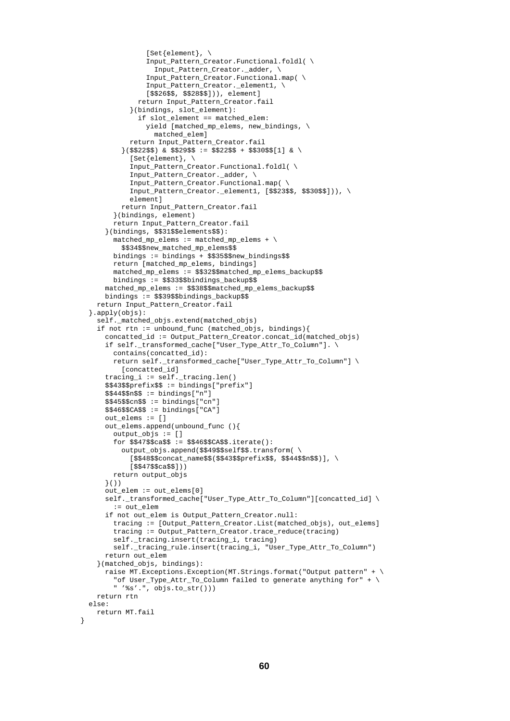```
[Set{element}, \
              Input_Pattern_Creator.Functional.foldl( \
                Input_Pattern_Creator._adder, \
              Input_Pattern_Creator.Functional.map( \
              Input_Pattern_Creator._element1, \
              [$$26$$, $$28$$])), element]
            return Input_Pattern_Creator.fail
          }(bindings, slot_element):
            if slot_element == matched_elem:
              yield [matched_mp_elems, new_bindings, \
                matched_elem]
          return Input_Pattern_Creator.fail
        \{ ($$22$$) & $$29$$ := $$22$$ + $$30$$[1] & \
          [Set{element}, \
          Input_Pattern_Creator.Functional.foldl( \
          Input_Pattern_Creator._adder, \
          Input_Pattern_Creator.Functional.map( \
          Input_Pattern_Creator._element1, [$$23$$, $$30$$])), \
          element]
        return Input_Pattern_Creator.fail
      }(bindings, element)
      return Input_Pattern_Creator.fail
    }(bindings, $$31$$elements$$):
      matched_mp_elems := matched_mp_elems + \n$$34$$new_matched_mp_elems$$
      bindings := bindings + $$35$$new_bindings$$
      return [matched_mp_elems, bindings]
      matched mp_elems := $$32$$matched mp_elems_backup$$
      bindings := $$33$$bindings_backup$$
    matched_mp_elems := $$38$$matched_mp_elems_backup$$
   bindings := $$39$$bindings_backup$$
  return Input_Pattern_Creator.fail
}.apply(objs):
  self._matched_objs.extend(matched_objs)
  if not rtn := unbound_func (matched_objs, bindings){
    concatted_id := Output_Pattern_Creator.concat_id(matched_objs)
    if self._transformed_cache["User_Type_Attr_To_Column"]. \
      contains(concatted_id):
      return self._transformed_cache["User_Type_Attr_To_Column"] \
        [concatted_id]
    tracing_i := self._tracing.len()
    $$43$$prefix$$ := bindings["prefix"]
    $$44$$n$$ := bindings["n"]
    $345$$cn$$ := bindings["cn"]
    $46$$CA$$ := bindings["CA"]
    out_elems := []
    out_elems.append(unbound_func (){
      output_objs := []
      for $$47$$ca$$ := $$46$$CA$$.iterate():
        output_objs.append($$49$$self$$.transform( \
          [$$48$$concat_name$$($$43$$prefix$$, $$44$$n$$)], \
          [$$47$$ca$$]))
      return output_objs
    }())
    out_elem := out_elems[0]
    self._transformed_cache["User_Type_Attr_To_Column"][concatted_id] \
      := out_elem
    if not out_elem is Output_Pattern_Creator.null:
      tracing := [Output_Pattern_Creator.List(matched_objs), out_elems]
      tracing := Output Pattern Creator.trace reduce(tracing)
      self._tracing.insert(tracing_i, tracing)
      self._tracing_rule.insert(tracing_i, "User_Type_Attr_To_Column")
   return out_elem
  }(matched_objs, bindings):
    raise MT.Exceptions.Exception(MT.Strings.format("Output pattern" + \
      "of User_Type_Attr_To_Column failed to generate anything for" + \setminus" '%s'.", objs.to_str()))
 return rtn
else:
 return MT.fail
```
}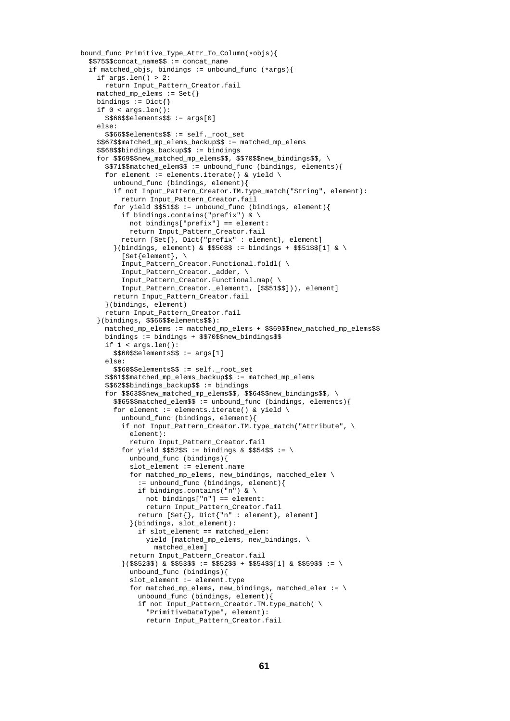```
bound_func Primitive_Type_Attr_To_Column(*objs){
  $$75$$concat_name$$ := concat_name
  if matched_objs, bindings := unbound_func (*args){
    if \arcsin \text{len}(x) > 2:
     return Input_Pattern_Creator.fail
    matched_mp_elems := Set{}
    bindings := \text{Dict}if 0 < arg.length):
     $566$$6lements$ := args[0]else:
      $$66$$elements$$ := self._root_set
    $$67$$matched_mp_elems_backup$$ := matched_mp_elems
    $$68$$bindings_backup$$ := bindings
    for $$69$$new_matched_mp_elems$$, $$70$$new_bindings$$, \
      $$71$$matched_elem$$ := unbound_func (bindings, elements){
      for element := elements.iterate() & yield \
        unbound_func (bindings, element){
        if not Input_Pattern_Creator.TM.type_match("String", element):
          return Input_Pattern_Creator.fail
        for yield $5515$ := unbound func (binding, element)if bindings.contains("prefix") & \
            not bindings["prefix"] == element:
            return Input_Pattern_Creator.fail
          return [Set{}, Dict{"prefix" : element}, element]
        \{ (bindings, element) & $$50$$ := bindings + $$51$$[1] & \
          [Set{element}, \
          Input_Pattern_Creator.Functional.foldl( \
          Input Pattern Creator. adder, \
          Input_Pattern_Creator.Functional.map( \
          Input_Pattern_Creator._element1, [$$51$$])), element]
        return Input_Pattern_Creator.fail
      }(bindings, element)
      return Input_Pattern_Creator.fail
    }(bindings, $$66$$elements$$):
      matched_mp_elems := matched_mp_elems + $$69$$new_matched_mp_elems$$
      bindings := bindings + $$70$$new_bindings$$
      if 1 < args.len():
        $560$$60clements$5 := args[1]
      else:
        $$60$$elements$$ := self._root_set
      $$61$$matched_mp_elems_backup$$ := matched_mp_elems
      $$62$$bindings_backup$$ := bindings
      for $$63$$new_matched_mp_elems$$, $$64$$new_bindings$$, \
        $$65$$matched_elem$$ := unbound_func (bindings, elements){
        for element := elements.iterate() & yield \
          unbound_func (bindings, element){
          if not Input_Pattern_Creator.TM.type_match("Attribute", \
            element):
            return Input_Pattern_Creator.fail
          for yield $52$$ := bindings & $$54$$ := \
            unbound_func (bindings){
            slot element := element.name
            for matched_mp_elems, new_bindings, matched_elem \
              := unbound_func (bindings, element){
              if bindings.contains("n") & \
                not bindings["n"] == element:
                return Input_Pattern_Creator.fail
              return [Set{}, Dict{"n" : element}, element]
            }(bindings, slot_element):
              if slot_element == matched_elem:
                yield [matched_mp_elems, new_bindings, \
                  matched_elem]
            return Input_Pattern_Creator.fail
          }($$52$$) & $$53$$ := $$52$$ + $$54$$[1] & $$59$$ := \
            unbound_func (bindings){
            slot_element := element.type
            for matched_mp_elems, new_bindings, matched_elem := \
              unbound func (bindings, element) {
              if not Input_Pattern_Creator.TM.type_match( \
                "PrimitiveDataType", element):
```

```
61
```
return Input\_Pattern\_Creator.fail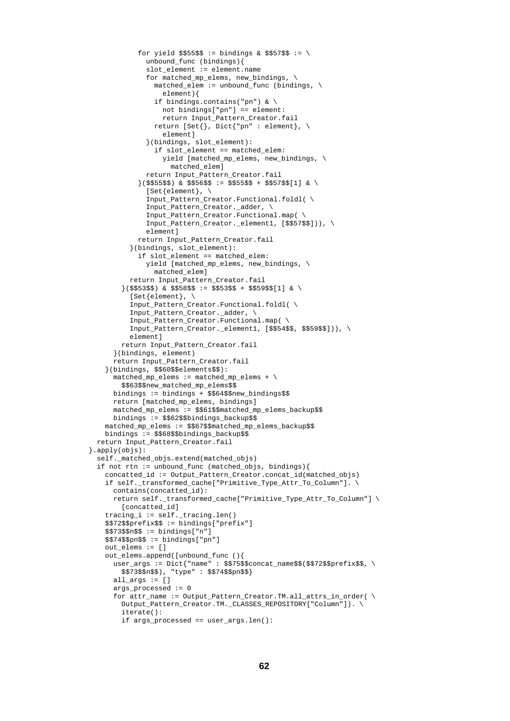```
for yield $555$$ := bindings & $$57$$ := \
              unbound_func (bindings){
              slot_element := element.name
              for matched_mp_elems, new_bindings, \
                matched\_elem := unbound\_func (binding, \ \ \ \ \element){
                if bindings.contains("pn") & \
                  not bindings["pn"] == element:
                  return Input_Pattern_Creator.fail
                return [Set\{\}, Dict\{\text{ "pn" : element}\}, \ \ \ \ \ \element]
              }(bindings, slot_element):
                if slot_element == matched_elem:
                  yield [matched_mp_elems, new_bindings, \
                    matched_elem]
              return Input_Pattern_Creator.fail
            \{ ($$55$$) & $$56$$ := $$55$$ + $$57$$[1] & \
              [Set\{element\}, \
              Input_Pattern_Creator.Functional.foldl( \
              Input_Pattern_Creator._adder, \
              Input_Pattern_Creator.Functional.map( \
              Input_Pattern_Creator._element1, [$$57$$])), \
              elementl
            return Input_Pattern_Creator.fail
          }(bindings, slot_element):
            if slot_element == matched_elem:
              yield [matched_mp_elems, new_bindings, \
                matched_elem]
          return Input_Pattern_Creator.fail
        }($$53$$) & $$58$$ := $$53$$ + $$59$$[1] & \
          [Set{element}, \setminusInput_Pattern_Creator.Functional.foldl( \
          Input_Pattern_Creator._adder, \
          Input Pattern Creator.Functional.map( \
          Input_Pattern_Creator._element1, [$$54$$, $$59$$])), \
          element]
        return Input_Pattern_Creator.fail
      }(bindings, element)
      return Input_Pattern_Creator.fail
    }(bindings, $$60$$elements$$):
      matched_mp_elems := matched_mp_elems + \n\$$63$$new_matched_mp_elems$$
      bindings := bindings + $$64$$new_bindings$$
      return [matched_mp_elems, bindings]
      matched_mp_elems := $$61$$matched_mp_elems_backup$$
      bindings := $$62$$bindings_backup$$
   matched_mp_elems := $$67$$matched_mp_elems_backup$$
   bindings := $$68$$bindings_backup$$
  return Input_Pattern_Creator.fail
}.apply(objs):
  self._matched_objs.extend(matched_objs)
  if not rtn := unbound func (matched objs, bindings){
    concatted_id := Output_Pattern_Creator.concat_id(matched_objs)
    if self._transformed_cache["Primitive_Type_Attr_To_Column"]. \
      contains(concatted_id):
      return self._transformed_cache["Primitive_Type_Attr_To_Column"] \
        [concatted_id]
    tracing_i := self._tracing.len()
    $$72$$prefix$$ := bindings["prefix"]
    $573$5n$s : = binding['n"]$$74$$pn$$ := bindings["pn"]
    out elems := []out_elems.append([unbound_func (){
      user_args := Dict{"name" : $$75$$concat_name$$($$72$$prefix$$, \
        $$73$$n$$), "type" : $$74$$pn$$}
      all_args := []
      args processed := 0for attr name := Output Pattern Creator.TM.all attrs in order( \setminusOutput_Pattern_Creator.TM._CLASSES_REPOSITORY["Column"]). \
        iterate():
        if args_processed == user_args.len():
```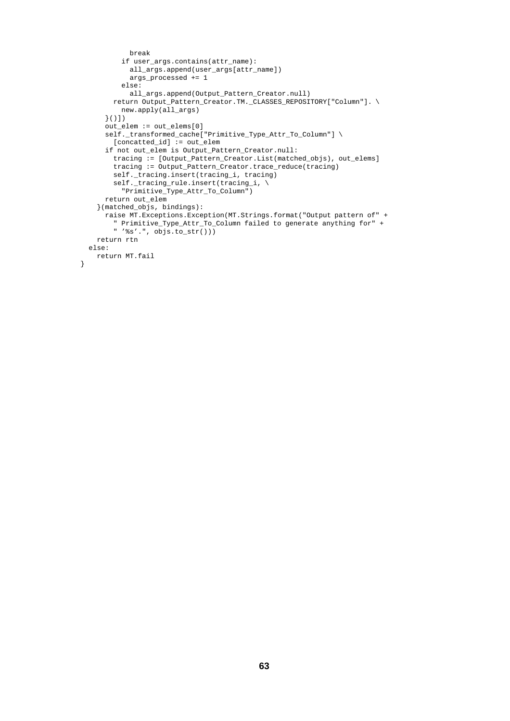```
break
         if user_args.contains(attr_name):
           all_args.append(user_args[attr_name])
           args_processed += 1
         else:
           all_args.append(Output_Pattern_Creator.null)
       return Output_Pattern_Creator.TM._CLASSES_REPOSITORY["Column"]. \
         new.apply(all_args)
     }()])
     out_elem := out_elems[0]
     self._transformed_cache["Primitive_Type_Attr_To_Column"] \
       [concatted_id] := out_elem
     if not out_elem is Output_Pattern_Creator.null:
       tracing := [Output_Pattern_Creator.List(matched_objs), out_elems]
       tracing := Output_Pattern_Creator.trace_reduce(tracing)
       self._tracing.insert(tracing_i, tracing)
       self._tracing_rule.insert(tracing_i, \
         "Primitive_Type_Attr_To_Column")
     return out_elem
   }(matched_objs, bindings):
     raise MT.Exceptions.Exception(MT.Strings.format("Output pattern of" +
        " Primitive_Type_Attr_To_Column failed to generate anything for" +
       " '%s'.", objs.to_str()))
   return rtn
 else:
   return MT.fail
}
```